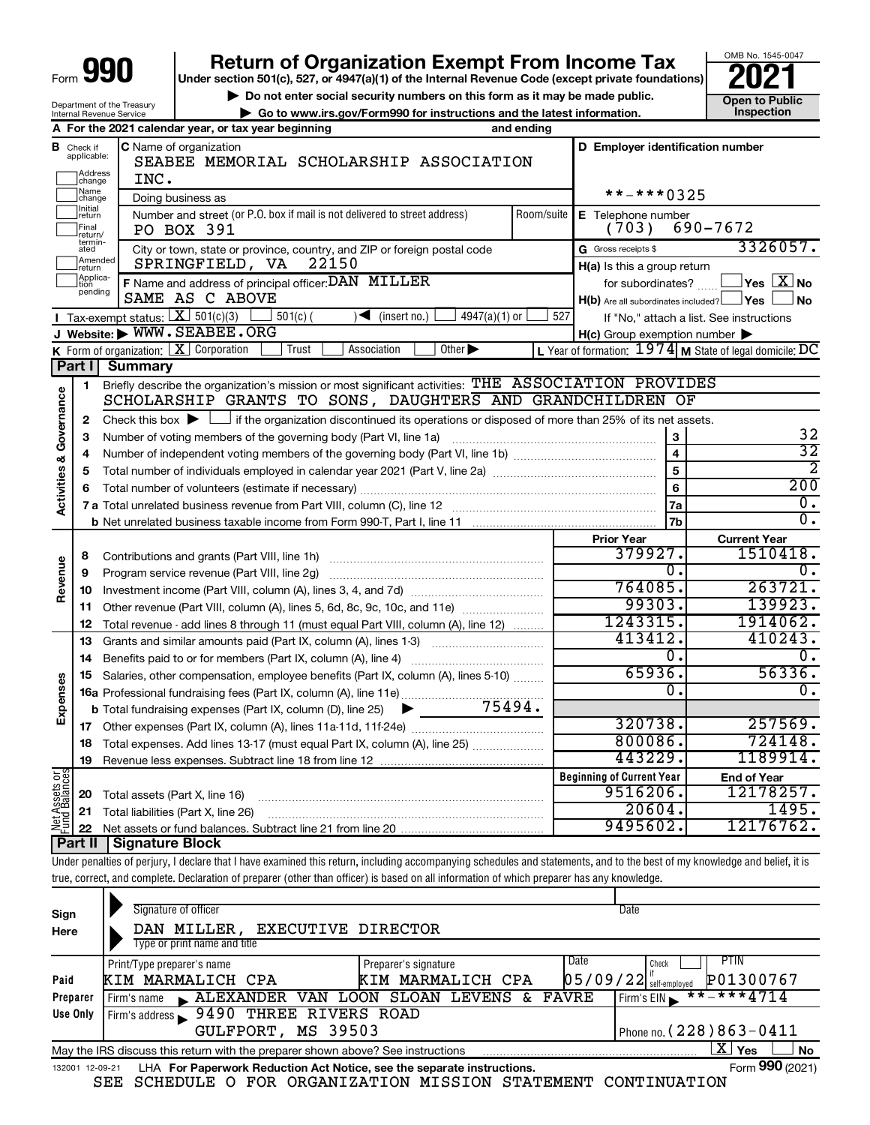| Form | n<br>I |  |
|------|--------|--|
|      |        |  |

# **990** Return of Organization Exempt From Income Tax <br>
Under section 501(c), 527, or 4947(a)(1) of the Internal Revenue Code (except private foundations)<br> **PO21**

**| Do not enter social security numbers on this form as it may be made public. Open to Public | Go to www.irs.gov/Form990 for instructions and the latest information. Inspection**

OMB No. 1545-0047

| Department of the Treasury |   |  |                             |  |  |  |  |  |
|----------------------------|---|--|-----------------------------|--|--|--|--|--|
| Internal Revenue Service   |   |  |                             |  |  |  |  |  |
|                            | - |  | $\sim$ $\sim$ $\sim$ $\sim$ |  |  |  |  |  |

|                         |                                        | A For the 2021 calendar year, or tax year beginning<br>and ending                                                                                                          |            |                                                     |                                                                      |  |  |  |  |
|-------------------------|----------------------------------------|----------------------------------------------------------------------------------------------------------------------------------------------------------------------------|------------|-----------------------------------------------------|----------------------------------------------------------------------|--|--|--|--|
|                         | <b>B</b> Check if applicable:          | <b>C</b> Name of organization<br>SEABEE MEMORIAL SCHOLARSHIP ASSOCIATION                                                                                                   |            | D Employer identification number                    |                                                                      |  |  |  |  |
|                         | Address<br> change                     | INC.                                                                                                                                                                       |            |                                                     |                                                                      |  |  |  |  |
|                         | ]Name<br>]change                       | Doing business as                                                                                                                                                          | **-***0325 |                                                     |                                                                      |  |  |  |  |
|                         | Initial<br>return<br>Final<br> return/ | Number and street (or P.O. box if mail is not delivered to street address)<br><b>PO BOX 391</b>                                                                            | Room/suite | E Telephone number<br>(703)                         | 690-7672                                                             |  |  |  |  |
|                         | termin-<br>ated                        | City or town, state or province, country, and ZIP or foreign postal code                                                                                                   |            | G Gross receipts \$                                 | 3326057.                                                             |  |  |  |  |
|                         | Amended<br>Ireturn                     | 22150<br>SPRINGFIELD, VA                                                                                                                                                   |            | H(a) Is this a group return                         |                                                                      |  |  |  |  |
|                         | Applica-<br>Ition                      | F Name and address of principal officer: DAN MILLER                                                                                                                        |            | for subordinates?                                   | $ {\mathsf Y}\mathsf{es}\,\lfloor \overline{{\mathbf X}} \rfloor$ No |  |  |  |  |
|                         | pending                                | SAME AS C ABOVE                                                                                                                                                            |            | $H(b)$ Are all subordinates included? $\Box$ Yes    | l No                                                                 |  |  |  |  |
|                         |                                        | Tax-exempt status: $X \over 301(c)(3)$<br>$501(c)$ (<br>$\sqrt{\frac{1}{1}}$ (insert no.)<br>$4947(a)(1)$ or                                                               | 527        |                                                     | If "No," attach a list. See instructions                             |  |  |  |  |
|                         |                                        | J Website: WWW.SEABEE.ORG                                                                                                                                                  |            | $H(c)$ Group exemption number $\blacktriangleright$ |                                                                      |  |  |  |  |
|                         |                                        | K Form of organization: $X$ Corporation<br>Association<br>Other $\blacktriangleright$<br>Trust                                                                             |            |                                                     | L Year of formation: $1974$ M State of legal domicile: DC            |  |  |  |  |
|                         | <b>Part I</b>                          | <b>Summary</b>                                                                                                                                                             |            |                                                     |                                                                      |  |  |  |  |
|                         | 1                                      | Briefly describe the organization's mission or most significant activities: THE ASSOCIATION PROVIDES                                                                       |            |                                                     |                                                                      |  |  |  |  |
| Governance              |                                        | SCHOLARSHIP GRANTS TO SONS, DAUGHTERS AND GRANDCHILDREN OF                                                                                                                 |            |                                                     |                                                                      |  |  |  |  |
|                         | 2                                      | Check this box $\blacktriangleright \Box$ if the organization discontinued its operations or disposed of more than 25% of its net assets.                                  |            |                                                     |                                                                      |  |  |  |  |
|                         | 3                                      | Number of voting members of the governing body (Part VI, line 1a)                                                                                                          |            | 3                                                   | 32                                                                   |  |  |  |  |
|                         | 4                                      |                                                                                                                                                                            |            | $\overline{4}$                                      | $\overline{32}$                                                      |  |  |  |  |
|                         | 5                                      |                                                                                                                                                                            |            | $5\phantom{1}$                                      | $\overline{2}$                                                       |  |  |  |  |
|                         | 6                                      |                                                                                                                                                                            |            | 6                                                   | $\overline{200}$                                                     |  |  |  |  |
| <b>Activities &amp;</b> |                                        |                                                                                                                                                                            |            | 7a                                                  | $0$ .                                                                |  |  |  |  |
|                         |                                        |                                                                                                                                                                            |            | 7b                                                  | $\overline{0}$ .                                                     |  |  |  |  |
|                         |                                        |                                                                                                                                                                            |            | <b>Prior Year</b>                                   | <b>Current Year</b>                                                  |  |  |  |  |
|                         | 8                                      |                                                                                                                                                                            |            | 379927.                                             | 1510418.                                                             |  |  |  |  |
| Revenue                 | 9                                      | Program service revenue (Part VIII, line 2g)                                                                                                                               |            | 0.                                                  |                                                                      |  |  |  |  |
|                         | 10                                     |                                                                                                                                                                            |            | 764085.                                             | 263721.                                                              |  |  |  |  |
|                         | 11                                     | Other revenue (Part VIII, column (A), lines 5, 6d, 8c, 9c, 10c, and 11e)                                                                                                   |            | 99303.                                              | 139923.                                                              |  |  |  |  |
|                         | 12                                     | Total revenue - add lines 8 through 11 (must equal Part VIII, column (A), line 12)                                                                                         |            | 1243315.                                            | 1914062.                                                             |  |  |  |  |
|                         | 13                                     | Grants and similar amounts paid (Part IX, column (A), lines 1-3)                                                                                                           |            | 413412.                                             | 410243.                                                              |  |  |  |  |
|                         | 14                                     | Benefits paid to or for members (Part IX, column (A), line 4)                                                                                                              |            | 0.                                                  | υ.                                                                   |  |  |  |  |
|                         | 15                                     | Salaries, other compensation, employee benefits (Part IX, column (A), lines 5-10)                                                                                          |            | 65936.                                              | 56336.                                                               |  |  |  |  |
|                         |                                        |                                                                                                                                                                            |            | 0.                                                  | $\overline{0}$ .                                                     |  |  |  |  |
| Expenses                |                                        | 75494.<br><b>b</b> Total fundraising expenses (Part IX, column (D), line 25) $\triangleright$                                                                              |            |                                                     |                                                                      |  |  |  |  |
|                         | 17                                     |                                                                                                                                                                            |            | 320738.                                             | 257569.                                                              |  |  |  |  |
|                         |                                        | 18 Total expenses. Add lines 13-17 (must equal Part IX, column (A), line 25)                                                                                               |            | 800086.                                             | 724148.                                                              |  |  |  |  |
|                         |                                        | 19 Revenue less expenses. Subtract line 18 from line 12                                                                                                                    |            | 443229.                                             | 1189914.                                                             |  |  |  |  |
| Net Assets or           |                                        |                                                                                                                                                                            |            | <b>Beginning of Current Year</b>                    | <b>End of Year</b>                                                   |  |  |  |  |
|                         | 20                                     | Total assets (Part X, line 16)                                                                                                                                             |            | 9516206.                                            | 12178257.                                                            |  |  |  |  |
|                         | 21                                     | Total liabilities (Part X, line 26)                                                                                                                                        |            | 20604.                                              | 1495.                                                                |  |  |  |  |
|                         | 22                                     |                                                                                                                                                                            |            | 9495602.                                            | 12176762.                                                            |  |  |  |  |
|                         | <b>Part II</b>                         | <b>Signature Block</b>                                                                                                                                                     |            |                                                     |                                                                      |  |  |  |  |
|                         |                                        | Under penalties of perjury, I declare that I have examined this return, including accompanying schedules and statements, and to the best of my knowledge and belief, it is |            |                                                     |                                                                      |  |  |  |  |
|                         |                                        | true, correct, and complete. Declaration of preparer (other than officer) is based on all information of which preparer has any knowledge.                                 |            |                                                     |                                                                      |  |  |  |  |
|                         |                                        | Signature of officer                                                                                                                                                       |            |                                                     |                                                                      |  |  |  |  |
| Sign                    |                                        |                                                                                                                                                                            |            | Date                                                |                                                                      |  |  |  |  |
| Here                    |                                        | DAN MILLER, EXECUTIVE DIRECTOR                                                                                                                                             |            |                                                     |                                                                      |  |  |  |  |
|                         |                                        | Type or print name and title                                                                                                                                               |            |                                                     |                                                                      |  |  |  |  |

|                                                                                                          | Print/Type preparer's name                                                                                   | Preparer's signature | Date<br>Check                                                      | PTIN                        |  |  |  |  |  |
|----------------------------------------------------------------------------------------------------------|--------------------------------------------------------------------------------------------------------------|----------------------|--------------------------------------------------------------------|-----------------------------|--|--|--|--|--|
| Paid                                                                                                     | KIM MARMALICH CPA                                                                                            | KIM MARMALICH CPA    | $\vert 0$ 5 / 0 9 / 2 2 $\vert$ $\mathrm{_{self\text{-}emploved}}$ | P01300767                   |  |  |  |  |  |
| Preparer                                                                                                 | ALEXANDER VAN LOON SLOAN LEVENS<br>Firm's name                                                               | &.                   | <b>FAVRE</b><br>Firm's EIN                                         | $***$ $+$ $+$ $+$ $4$ 714   |  |  |  |  |  |
| Use Only                                                                                                 | Firm's address > 9490 THREE RIVERS ROAD                                                                      |                      |                                                                    |                             |  |  |  |  |  |
|                                                                                                          | GULFPORT, MS 39503                                                                                           |                      |                                                                    | Phone no. $(228)863 - 0411$ |  |  |  |  |  |
| x<br>Yes<br><b>No</b><br>May the IRS discuss this return with the preparer shown above? See instructions |                                                                                                              |                      |                                                                    |                             |  |  |  |  |  |
|                                                                                                          | Form 990 (2021)<br>LHA For Paperwork Reduction Act Notice, see the separate instructions.<br>132001 12-09-21 |                      |                                                                    |                             |  |  |  |  |  |

SEE SCHEDULE O FOR ORGANIZATION MISSION STATEMENT CONTINUATION

orm ອອບ (2021)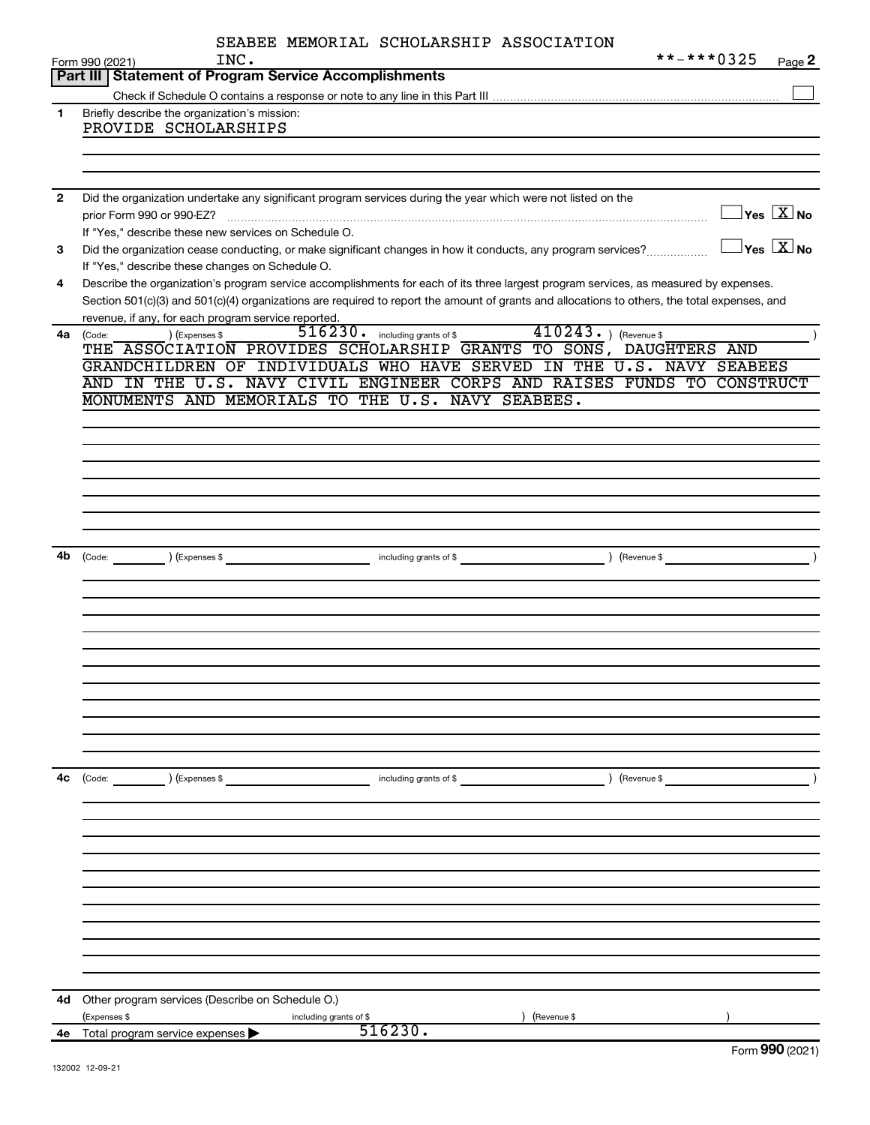|              | SEABEE MEMORIAL SCHOLARSHIP ASSOCIATION                                                                                                                          |
|--------------|------------------------------------------------------------------------------------------------------------------------------------------------------------------|
|              | **-***0325<br>INC.<br>Form 990 (2021)<br>Page 2                                                                                                                  |
|              | <b>Part III   Statement of Program Service Accomplishments</b>                                                                                                   |
|              |                                                                                                                                                                  |
| 1            | Briefly describe the organization's mission:<br>PROVIDE SCHOLARSHIPS                                                                                             |
|              |                                                                                                                                                                  |
|              |                                                                                                                                                                  |
|              |                                                                                                                                                                  |
| $\mathbf{2}$ | Did the organization undertake any significant program services during the year which were not listed on the                                                     |
|              | $\Box$ Yes $[\overline{\mathrm{X}}]$ No<br>prior Form 990 or 990-EZ?                                                                                             |
|              | If "Yes," describe these new services on Schedule O.                                                                                                             |
| 3            | $\overline{\ }$ Yes $\overline{\phantom{a}X}$ No<br>Did the organization cease conducting, or make significant changes in how it conducts, any program services? |
|              | If "Yes," describe these changes on Schedule O.                                                                                                                  |
| 4            | Describe the organization's program service accomplishments for each of its three largest program services, as measured by expenses.                             |
|              | Section 501(c)(3) and 501(c)(4) organizations are required to report the amount of grants and allocations to others, the total expenses, and                     |
|              | revenue, if any, for each program service reported.                                                                                                              |
| 4a           | $410243.$ (Revenue \$<br>516230.<br>including grants of \$<br>(Expenses \$<br>(Code:                                                                             |
|              | THE ASSOCIATION PROVIDES SCHOLARSHIP GRANTS TO SONS, DAUGHTERS AND                                                                                               |
|              | GRANDCHILDREN OF INDIVIDUALS WHO HAVE SERVED IN THE U.S. NAVY SEABEES                                                                                            |
|              | ENGINEER CORPS AND RAISES FUNDS TO CONSTRUCT<br>AND IN THE U.S. NAVY CIVIL                                                                                       |
|              | MONUMENTS AND MEMORIALS TO THE U.S.<br>NAVY SEABEES.                                                                                                             |
|              |                                                                                                                                                                  |
|              |                                                                                                                                                                  |
|              |                                                                                                                                                                  |
|              |                                                                                                                                                                  |
|              |                                                                                                                                                                  |
|              |                                                                                                                                                                  |
|              |                                                                                                                                                                  |
|              |                                                                                                                                                                  |
| 4b           | $\lambda$<br>including grants of \$<br>) (Revenue \$<br>(Code: ) (Expenses \$                                                                                    |
|              |                                                                                                                                                                  |
|              |                                                                                                                                                                  |
|              |                                                                                                                                                                  |
|              |                                                                                                                                                                  |
|              |                                                                                                                                                                  |
|              |                                                                                                                                                                  |
|              |                                                                                                                                                                  |
|              |                                                                                                                                                                  |
|              |                                                                                                                                                                  |
|              |                                                                                                                                                                  |
|              |                                                                                                                                                                  |
|              |                                                                                                                                                                  |
| 4с           | $\text{(Code:}$ $\qquad \qquad \text{)}$ (Expenses \$<br>$\angle$ (Revenue \$<br>including grants of \$                                                          |
|              |                                                                                                                                                                  |
|              |                                                                                                                                                                  |
|              |                                                                                                                                                                  |
|              |                                                                                                                                                                  |
|              |                                                                                                                                                                  |
|              |                                                                                                                                                                  |
|              |                                                                                                                                                                  |
|              |                                                                                                                                                                  |
|              |                                                                                                                                                                  |
|              |                                                                                                                                                                  |
|              |                                                                                                                                                                  |
| 4d           | Other program services (Describe on Schedule O.)                                                                                                                 |
|              | (Expenses \$<br>(Revenue \$<br>including grants of \$                                                                                                            |
| 4е           | 516230.<br>Total program service expenses                                                                                                                        |
|              |                                                                                                                                                                  |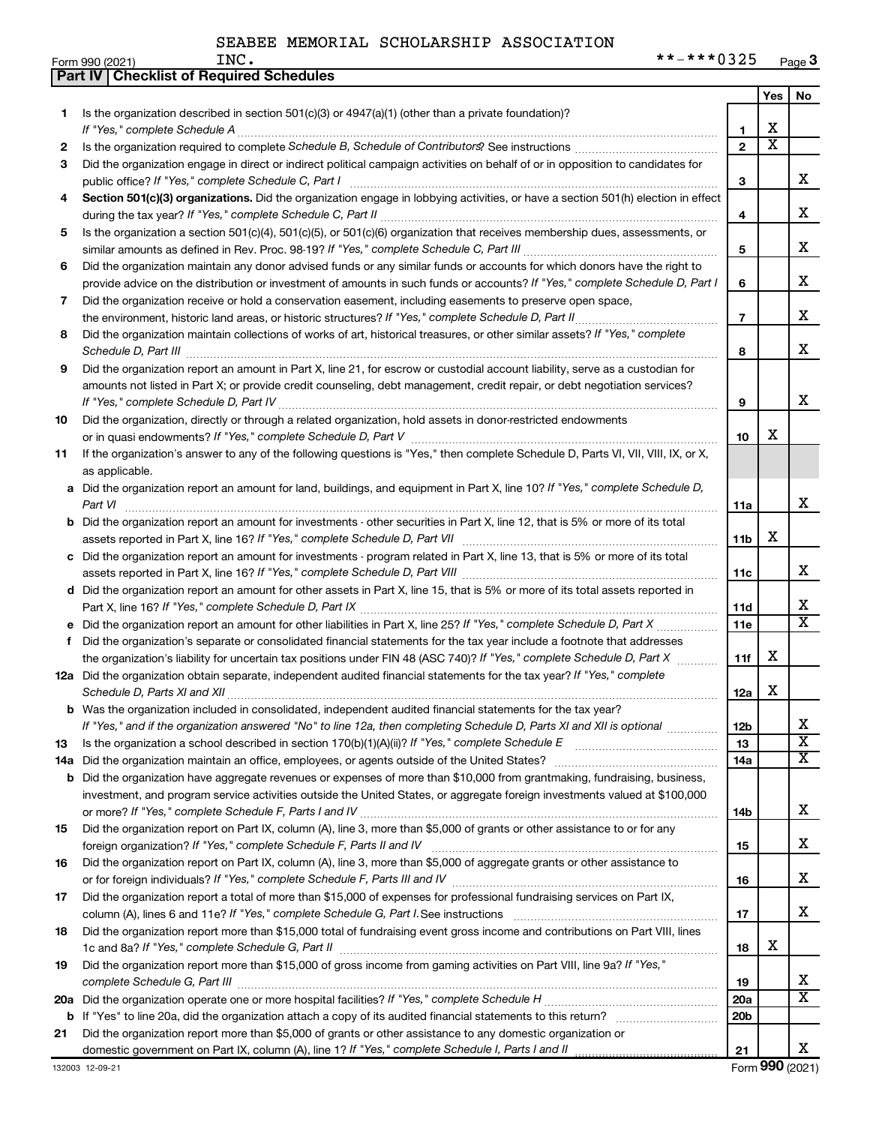|     | <b>Part IV   Checklist of Required Schedules</b>                                                                                        |                 |                         |                         |
|-----|-----------------------------------------------------------------------------------------------------------------------------------------|-----------------|-------------------------|-------------------------|
|     |                                                                                                                                         |                 | Yes                     | No                      |
| 1.  | Is the organization described in section 501(c)(3) or $4947(a)(1)$ (other than a private foundation)?                                   |                 |                         |                         |
|     | If "Yes," complete Schedule A                                                                                                           | 1               | х                       |                         |
| 2   |                                                                                                                                         | $\overline{2}$  | $\overline{\mathtt{x}}$ |                         |
| 3   | Did the organization engage in direct or indirect political campaign activities on behalf of or in opposition to candidates for         |                 |                         |                         |
|     | public office? If "Yes," complete Schedule C, Part I                                                                                    | 3               |                         | х                       |
| 4   | Section 501(c)(3) organizations. Did the organization engage in lobbying activities, or have a section 501(h) election in effect        |                 |                         |                         |
|     |                                                                                                                                         | 4               |                         | х                       |
| 5   | Is the organization a section 501(c)(4), 501(c)(5), or 501(c)(6) organization that receives membership dues, assessments, or            |                 |                         |                         |
|     |                                                                                                                                         | 5               |                         | х                       |
| 6   | Did the organization maintain any donor advised funds or any similar funds or accounts for which donors have the right to               |                 |                         |                         |
|     | provide advice on the distribution or investment of amounts in such funds or accounts? If "Yes," complete Schedule D, Part I            | 6               |                         | x                       |
| 7   | Did the organization receive or hold a conservation easement, including easements to preserve open space,                               |                 |                         |                         |
|     |                                                                                                                                         | $\overline{7}$  |                         | х                       |
| 8   | Did the organization maintain collections of works of art, historical treasures, or other similar assets? If "Yes," complete            |                 |                         |                         |
|     | Schedule D, Part III <b>Marting Communities</b> and the contract of the contract of the contract of the contract of the                 | 8               |                         | х                       |
| 9   | Did the organization report an amount in Part X, line 21, for escrow or custodial account liability, serve as a custodian for           |                 |                         |                         |
|     | amounts not listed in Part X; or provide credit counseling, debt management, credit repair, or debt negotiation services?               |                 |                         |                         |
|     |                                                                                                                                         | 9               |                         | x                       |
| 10  | Did the organization, directly or through a related organization, hold assets in donor-restricted endowments                            |                 |                         |                         |
|     |                                                                                                                                         | 10              | х                       |                         |
| 11  | If the organization's answer to any of the following questions is "Yes," then complete Schedule D, Parts VI, VII, VIII, IX, or X,       |                 |                         |                         |
|     | as applicable.                                                                                                                          |                 |                         |                         |
| а   | Did the organization report an amount for land, buildings, and equipment in Part X, line 10? If "Yes," complete Schedule D,             |                 |                         | х                       |
| b   | Part VI<br>Did the organization report an amount for investments - other securities in Part X, line 12, that is 5% or more of its total | 11a             |                         |                         |
|     |                                                                                                                                         | 11b             | х                       |                         |
| с   | Did the organization report an amount for investments - program related in Part X, line 13, that is 5% or more of its total             |                 |                         |                         |
|     |                                                                                                                                         | 11c             |                         | х                       |
|     | d Did the organization report an amount for other assets in Part X, line 15, that is 5% or more of its total assets reported in         |                 |                         |                         |
|     |                                                                                                                                         | 11d             |                         | x                       |
|     | Did the organization report an amount for other liabilities in Part X, line 25? If "Yes," complete Schedule D, Part X                   | 11e             |                         | $\overline{\texttt{x}}$ |
| f   | Did the organization's separate or consolidated financial statements for the tax year include a footnote that addresses                 |                 |                         |                         |
|     | the organization's liability for uncertain tax positions under FIN 48 (ASC 740)? If "Yes," complete Schedule D, Part X                  | 11f             | х                       |                         |
|     | 12a Did the organization obtain separate, independent audited financial statements for the tax year? If "Yes," complete                 |                 |                         |                         |
|     |                                                                                                                                         | 12a             | х                       |                         |
|     | b Was the organization included in consolidated, independent audited financial statements for the tax year?                             |                 |                         |                         |
|     | If "Yes," and if the organization answered "No" to line 12a, then completing Schedule D, Parts XI and XII is optional                   | 12 <sub>b</sub> |                         | х                       |
| 13  | Is the organization a school described in section 170(b)(1)(A)(ii)? If "Yes," complete Schedule E [[[[[[[[[[[[                          | 13              |                         | $\overline{\text{x}}$   |
| 14a | Did the organization maintain an office, employees, or agents outside of the United States?                                             | 14a             |                         | $\overline{\text{X}}$   |
|     | <b>b</b> Did the organization have aggregate revenues or expenses of more than \$10,000 from grantmaking, fundraising, business,        |                 |                         |                         |
|     | investment, and program service activities outside the United States, or aggregate foreign investments valued at \$100,000              |                 |                         |                         |
|     |                                                                                                                                         | 14b             |                         | x                       |
| 15  | Did the organization report on Part IX, column (A), line 3, more than \$5,000 of grants or other assistance to or for any               |                 |                         | x                       |
|     | Did the organization report on Part IX, column (A), line 3, more than \$5,000 of aggregate grants or other assistance to                | 15              |                         |                         |
| 16  |                                                                                                                                         | 16              |                         | x                       |
| 17  | Did the organization report a total of more than \$15,000 of expenses for professional fundraising services on Part IX,                 |                 |                         |                         |
|     |                                                                                                                                         | 17              |                         | x                       |
| 18  | Did the organization report more than \$15,000 total of fundraising event gross income and contributions on Part VIII, lines            |                 |                         |                         |
|     |                                                                                                                                         | 18              | х                       |                         |
| 19  | Did the organization report more than \$15,000 of gross income from gaming activities on Part VIII, line 9a? If "Yes,"                  |                 |                         |                         |
|     |                                                                                                                                         | 19              |                         | x                       |
| 20a |                                                                                                                                         | 20a             |                         | $\overline{\texttt{x}}$ |
| b   |                                                                                                                                         | 20 <sub>b</sub> |                         |                         |
| 21  | Did the organization report more than \$5,000 of grants or other assistance to any domestic organization or                             |                 |                         |                         |
|     |                                                                                                                                         | 21              |                         | x                       |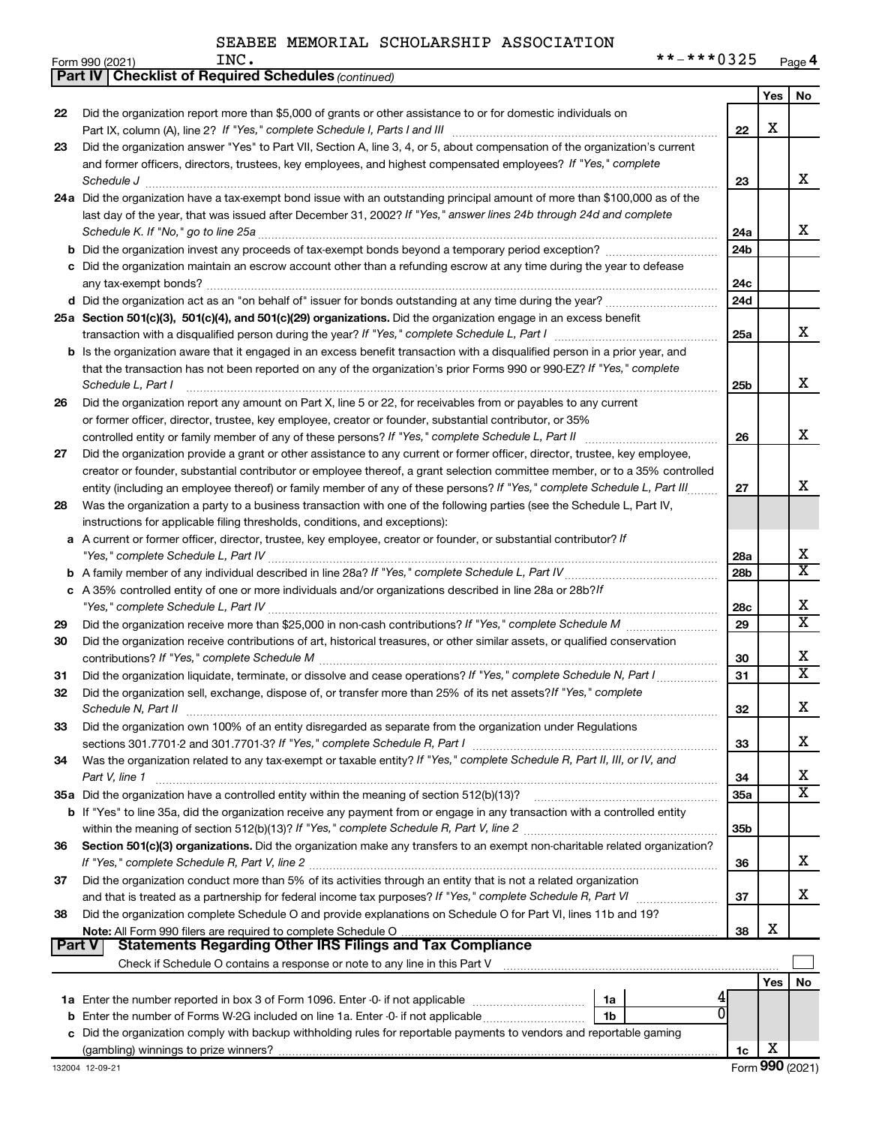|               | <b>Part IV   Checklist of Required Schedules (continued)</b>                                                                                                                           |                 |                             |                         |
|---------------|----------------------------------------------------------------------------------------------------------------------------------------------------------------------------------------|-----------------|-----------------------------|-------------------------|
|               |                                                                                                                                                                                        |                 | Yes                         | No                      |
| 22            | Did the organization report more than \$5,000 of grants or other assistance to or for domestic individuals on                                                                          |                 |                             |                         |
|               |                                                                                                                                                                                        | 22              | X                           |                         |
| 23            | Did the organization answer "Yes" to Part VII, Section A, line 3, 4, or 5, about compensation of the organization's current                                                            |                 |                             |                         |
|               | and former officers, directors, trustees, key employees, and highest compensated employees? If "Yes," complete                                                                         |                 |                             |                         |
|               |                                                                                                                                                                                        | 23              |                             | x                       |
|               | Schedule J <b>Execute Schedule J Execute Schedule J</b><br>24a Did the organization have a tax-exempt bond issue with an outstanding principal amount of more than \$100,000 as of the |                 |                             |                         |
|               |                                                                                                                                                                                        |                 |                             |                         |
|               | last day of the year, that was issued after December 31, 2002? If "Yes," answer lines 24b through 24d and complete                                                                     |                 |                             | x                       |
|               |                                                                                                                                                                                        | 24a             |                             |                         |
|               |                                                                                                                                                                                        | 24b             |                             |                         |
|               | c Did the organization maintain an escrow account other than a refunding escrow at any time during the year to defease                                                                 |                 |                             |                         |
|               |                                                                                                                                                                                        | 24c             |                             |                         |
|               |                                                                                                                                                                                        | 24d             |                             |                         |
|               | 25a Section 501(c)(3), 501(c)(4), and 501(c)(29) organizations. Did the organization engage in an excess benefit                                                                       |                 |                             |                         |
|               |                                                                                                                                                                                        | 25a             |                             | x                       |
|               | b Is the organization aware that it engaged in an excess benefit transaction with a disqualified person in a prior year, and                                                           |                 |                             |                         |
|               | that the transaction has not been reported on any of the organization's prior Forms 990 or 990-EZ? If "Yes," complete                                                                  |                 |                             |                         |
|               | Schedule L, Part I                                                                                                                                                                     | 25b             |                             | х                       |
| 26            | Did the organization report any amount on Part X, line 5 or 22, for receivables from or payables to any current                                                                        |                 |                             |                         |
|               | or former officer, director, trustee, key employee, creator or founder, substantial contributor, or 35%                                                                                |                 |                             |                         |
|               |                                                                                                                                                                                        | 26              |                             | X                       |
| 27            | Did the organization provide a grant or other assistance to any current or former officer, director, trustee, key employee,                                                            |                 |                             |                         |
|               | creator or founder, substantial contributor or employee thereof, a grant selection committee member, or to a 35% controlled                                                            |                 |                             |                         |
|               | entity (including an employee thereof) or family member of any of these persons? If "Yes," complete Schedule L, Part III.                                                              | 27              |                             | х                       |
| 28            | Was the organization a party to a business transaction with one of the following parties (see the Schedule L, Part IV,                                                                 |                 |                             |                         |
|               |                                                                                                                                                                                        |                 |                             |                         |
|               | instructions for applicable filing thresholds, conditions, and exceptions):                                                                                                            |                 |                             |                         |
| а             | A current or former officer, director, trustee, key employee, creator or founder, or substantial contributor? If                                                                       |                 |                             | X                       |
|               |                                                                                                                                                                                        | 28a             |                             | $\overline{\mathbf{x}}$ |
|               |                                                                                                                                                                                        | 28 <sub>b</sub> |                             |                         |
|               | c A 35% controlled entity of one or more individuals and/or organizations described in line 28a or 28b?!f                                                                              |                 |                             |                         |
|               |                                                                                                                                                                                        | 28c             |                             | X                       |
| 29            |                                                                                                                                                                                        | 29              |                             | $\overline{\mathbf{x}}$ |
| 30            | Did the organization receive contributions of art, historical treasures, or other similar assets, or qualified conservation                                                            |                 |                             |                         |
|               |                                                                                                                                                                                        | 30              |                             | x                       |
| 31            | Did the organization liquidate, terminate, or dissolve and cease operations? If "Yes," complete Schedule N, Part I                                                                     | 31              |                             | $\overline{\mathtt{x}}$ |
| 32            | Did the organization sell, exchange, dispose of, or transfer more than 25% of its net assets? If "Yes," complete                                                                       |                 |                             |                         |
|               | Schedule N, Part II                                                                                                                                                                    | 32              |                             | Χ                       |
| 33            | Did the organization own 100% of an entity disregarded as separate from the organization under Regulations                                                                             |                 |                             |                         |
|               |                                                                                                                                                                                        | 33              |                             | x                       |
| 34            | Was the organization related to any tax-exempt or taxable entity? If "Yes," complete Schedule R, Part II, III, or IV, and                                                              |                 |                             |                         |
|               | Part V, line 1                                                                                                                                                                         | 34              |                             | x                       |
|               | 35a Did the organization have a controlled entity within the meaning of section 512(b)(13)?                                                                                            | 35a             |                             | $\overline{\mathtt{x}}$ |
|               | b If "Yes" to line 35a, did the organization receive any payment from or engage in any transaction with a controlled entity                                                            |                 |                             |                         |
|               |                                                                                                                                                                                        | 35 <sub>b</sub> |                             |                         |
| 36            | Section 501(c)(3) organizations. Did the organization make any transfers to an exempt non-charitable related organization?                                                             |                 |                             |                         |
|               |                                                                                                                                                                                        | 36              |                             | X                       |
| 37            | Did the organization conduct more than 5% of its activities through an entity that is not a related organization                                                                       |                 |                             |                         |
|               |                                                                                                                                                                                        | 37              |                             | X                       |
| 38            | Did the organization complete Schedule O and provide explanations on Schedule O for Part VI, lines 11b and 19?                                                                         |                 |                             |                         |
|               |                                                                                                                                                                                        | 38              | х                           |                         |
| <b>Part V</b> | <b>Statements Regarding Other IRS Filings and Tax Compliance</b>                                                                                                                       |                 |                             |                         |
|               |                                                                                                                                                                                        |                 |                             |                         |
|               |                                                                                                                                                                                        |                 | Yes                         | No                      |
|               | 1a                                                                                                                                                                                     |                 |                             |                         |
|               | Enter the number of Forms W-2G included on line 1a. Enter -0- if not applicable<br>1b                                                                                                  |                 |                             |                         |
| b             | Did the organization comply with backup withholding rules for reportable payments to vendors and reportable gaming                                                                     |                 |                             |                         |
|               |                                                                                                                                                                                        |                 | X                           |                         |
|               |                                                                                                                                                                                        | 1c              | $F_{\text{sum}}$ QQQ (2021) |                         |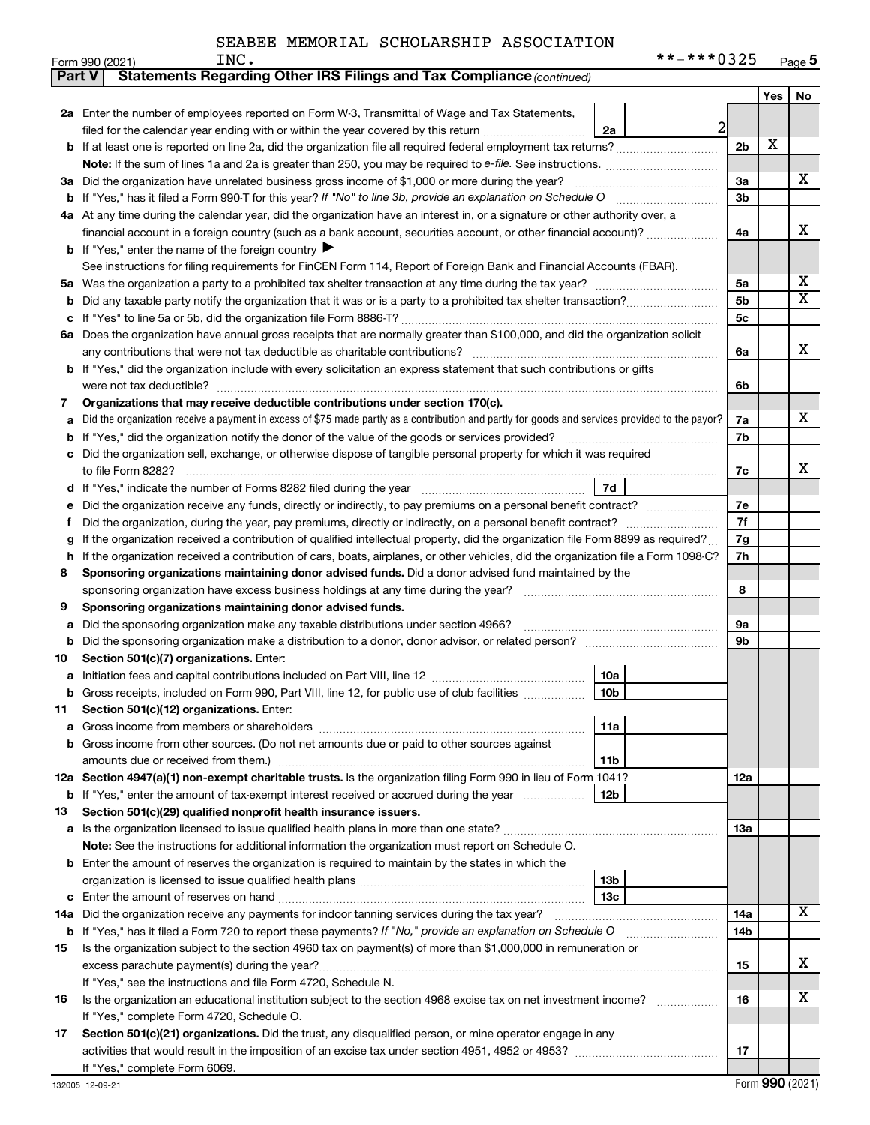| Part V | Statements Regarding Other IRS Filings and Tax Compliance (continued)                                                                           |     |     |                         |  |  |  |  |
|--------|-------------------------------------------------------------------------------------------------------------------------------------------------|-----|-----|-------------------------|--|--|--|--|
|        |                                                                                                                                                 |     | Yes | No                      |  |  |  |  |
|        | 2a Enter the number of employees reported on Form W-3, Transmittal of Wage and Tax Statements,                                                  |     |     |                         |  |  |  |  |
|        | $\overline{2}$<br>filed for the calendar year ending with or within the year covered by this return<br>2a                                       |     |     |                         |  |  |  |  |
| b      |                                                                                                                                                 | 2b  | х   |                         |  |  |  |  |
|        |                                                                                                                                                 |     |     |                         |  |  |  |  |
| За     | Did the organization have unrelated business gross income of \$1,000 or more during the year?                                                   |     |     |                         |  |  |  |  |
| b      |                                                                                                                                                 | Зb  |     |                         |  |  |  |  |
|        | 4a At any time during the calendar year, did the organization have an interest in, or a signature or other authority over, a                    |     |     |                         |  |  |  |  |
|        | financial account in a foreign country (such as a bank account, securities account, or other financial account)?                                | 4a  |     | х                       |  |  |  |  |
|        | <b>b</b> If "Yes," enter the name of the foreign country $\blacktriangleright$                                                                  |     |     |                         |  |  |  |  |
|        | See instructions for filing requirements for FinCEN Form 114, Report of Foreign Bank and Financial Accounts (FBAR).                             |     |     |                         |  |  |  |  |
| 5a     |                                                                                                                                                 | 5a  |     | х                       |  |  |  |  |
| b      |                                                                                                                                                 | 5b  |     | $\overline{\mathbf{X}}$ |  |  |  |  |
|        |                                                                                                                                                 | 5c  |     |                         |  |  |  |  |
|        | 6a Does the organization have annual gross receipts that are normally greater than \$100,000, and did the organization solicit                  |     |     |                         |  |  |  |  |
|        |                                                                                                                                                 | 6a  |     | х                       |  |  |  |  |
| b      | If "Yes," did the organization include with every solicitation an express statement that such contributions or gifts                            |     |     |                         |  |  |  |  |
|        | were not tax deductible?                                                                                                                        | 6b  |     |                         |  |  |  |  |
| 7      | Organizations that may receive deductible contributions under section 170(c).                                                                   |     |     |                         |  |  |  |  |
| a      | Did the organization receive a payment in excess of \$75 made partly as a contribution and partly for goods and services provided to the payor? | 7a  |     | х                       |  |  |  |  |
| b      |                                                                                                                                                 | 7b  |     |                         |  |  |  |  |
|        | Did the organization sell, exchange, or otherwise dispose of tangible personal property for which it was required                               |     |     |                         |  |  |  |  |
|        | to file Form 8282?                                                                                                                              | 7c  |     | x                       |  |  |  |  |
| d      | 7d                                                                                                                                              |     |     |                         |  |  |  |  |
|        | Did the organization receive any funds, directly or indirectly, to pay premiums on a personal benefit contract?                                 | 7е  |     |                         |  |  |  |  |
| f      |                                                                                                                                                 | 7f  |     |                         |  |  |  |  |
| g      | If the organization received a contribution of qualified intellectual property, did the organization file Form 8899 as required?                | 7g  |     |                         |  |  |  |  |
| h      | If the organization received a contribution of cars, boats, airplanes, or other vehicles, did the organization file a Form 1098-C?              | 7h  |     |                         |  |  |  |  |
| 8      | Sponsoring organizations maintaining donor advised funds. Did a donor advised fund maintained by the                                            |     |     |                         |  |  |  |  |
|        |                                                                                                                                                 | 8   |     |                         |  |  |  |  |
| 9      | Sponsoring organizations maintaining donor advised funds.                                                                                       |     |     |                         |  |  |  |  |
| а      | Did the sponsoring organization make any taxable distributions under section 4966?                                                              | 9а  |     |                         |  |  |  |  |
| b      |                                                                                                                                                 | 9b  |     |                         |  |  |  |  |
| 10     | Section 501(c)(7) organizations. Enter:                                                                                                         |     |     |                         |  |  |  |  |
| а      | 10a                                                                                                                                             |     |     |                         |  |  |  |  |
|        | 10 <sub>b</sub><br>Gross receipts, included on Form 990, Part VIII, line 12, for public use of club facilities                                  |     |     |                         |  |  |  |  |
| 11     | Section 501(c)(12) organizations. Enter:                                                                                                        |     |     |                         |  |  |  |  |
| а      | 11a                                                                                                                                             |     |     |                         |  |  |  |  |
| b      | Gross income from other sources. (Do not net amounts due or paid to other sources against                                                       |     |     |                         |  |  |  |  |
|        | amounts due or received from them.)<br>11b                                                                                                      |     |     |                         |  |  |  |  |
|        | 12a Section 4947(a)(1) non-exempt charitable trusts. Is the organization filing Form 990 in lieu of Form 1041?                                  | 12a |     |                         |  |  |  |  |
|        | 12 <sub>b</sub><br><b>b</b> If "Yes," enter the amount of tax-exempt interest received or accrued during the year                               |     |     |                         |  |  |  |  |
| 13     | Section 501(c)(29) qualified nonprofit health insurance issuers.                                                                                |     |     |                         |  |  |  |  |
|        | a Is the organization licensed to issue qualified health plans in more than one state?                                                          | 13a |     |                         |  |  |  |  |
|        | <b>Note:</b> See the instructions for additional information the organization must report on Schedule O.                                        |     |     |                         |  |  |  |  |
|        | <b>b</b> Enter the amount of reserves the organization is required to maintain by the states in which the                                       |     |     |                         |  |  |  |  |
|        | 13b                                                                                                                                             |     |     |                         |  |  |  |  |
| с      | 13c                                                                                                                                             |     |     |                         |  |  |  |  |
|        | 14a Did the organization receive any payments for indoor tanning services during the tax year?                                                  | 14a |     | x                       |  |  |  |  |
|        | <b>b</b> If "Yes," has it filed a Form 720 to report these payments? If "No," provide an explanation on Schedule O                              | 14b |     |                         |  |  |  |  |
| 15     | Is the organization subject to the section 4960 tax on payment(s) of more than \$1,000,000 in remuneration or                                   |     |     |                         |  |  |  |  |
|        |                                                                                                                                                 | 15  |     | х                       |  |  |  |  |
|        | If "Yes," see the instructions and file Form 4720, Schedule N.                                                                                  |     |     |                         |  |  |  |  |
| 16     | Is the organization an educational institution subject to the section 4968 excise tax on net investment income?                                 | 16  |     | x                       |  |  |  |  |
|        | If "Yes," complete Form 4720, Schedule O.                                                                                                       |     |     |                         |  |  |  |  |
| 17     | Section 501(c)(21) organizations. Did the trust, any disqualified person, or mine operator engage in any                                        |     |     |                         |  |  |  |  |
|        |                                                                                                                                                 | 17  |     |                         |  |  |  |  |
|        | If "Yes," complete Form 6069.                                                                                                                   |     |     |                         |  |  |  |  |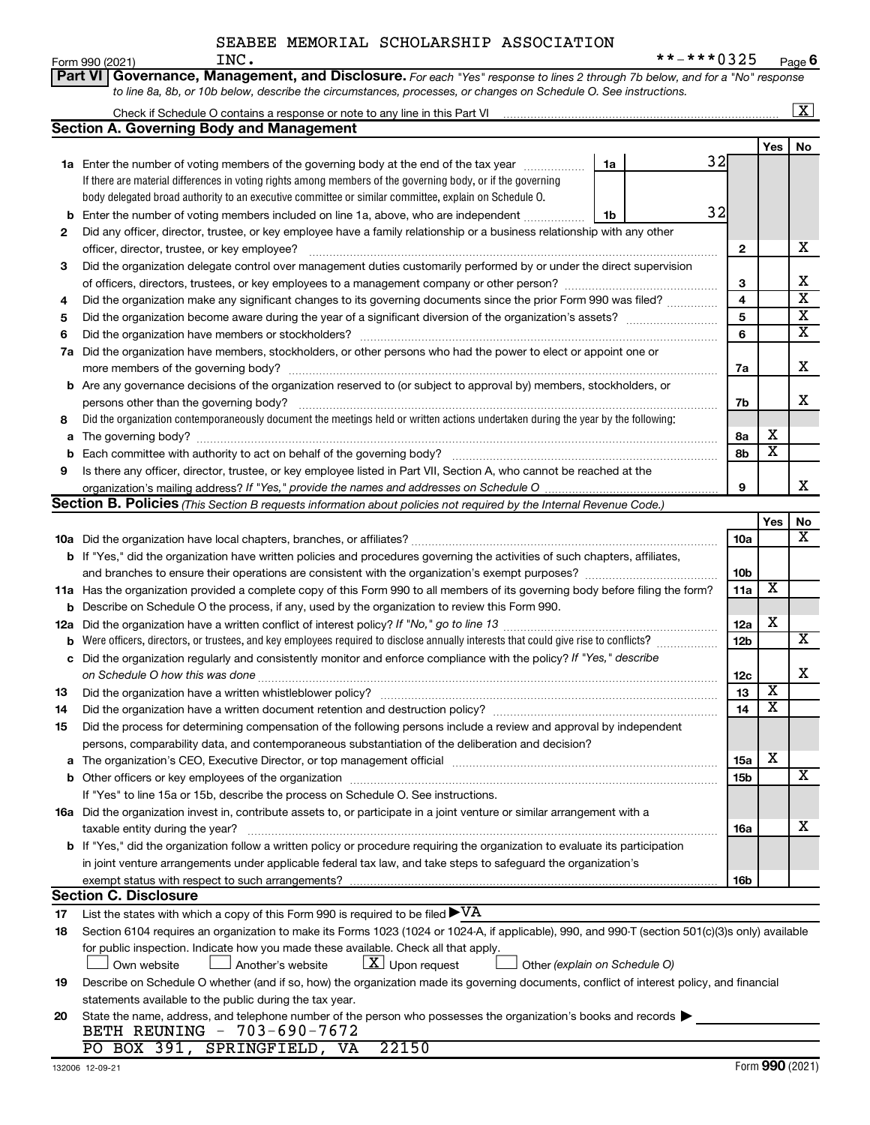|                | INC.<br>Form 990 (2021)                                                                                                                                                                                                        |    | **-***0325 |                 |                         | Page 6                  |
|----------------|--------------------------------------------------------------------------------------------------------------------------------------------------------------------------------------------------------------------------------|----|------------|-----------------|-------------------------|-------------------------|
| <b>Part VI</b> | Governance, Management, and Disclosure. For each "Yes" response to lines 2 through 7b below, and for a "No" response                                                                                                           |    |            |                 |                         |                         |
|                | to line 8a, 8b, or 10b below, describe the circumstances, processes, or changes on Schedule O. See instructions.                                                                                                               |    |            |                 |                         |                         |
|                | Check if Schedule O contains a response or note to any line in this Part VI                                                                                                                                                    |    |            |                 |                         | $\overline{\mathbf{X}}$ |
|                | <b>Section A. Governing Body and Management</b>                                                                                                                                                                                |    |            |                 |                         |                         |
|                |                                                                                                                                                                                                                                |    |            |                 | Yes                     | No                      |
|                | <b>1a</b> Enter the number of voting members of the governing body at the end of the tax year                                                                                                                                  | 1a | 32         |                 |                         |                         |
|                | If there are material differences in voting rights among members of the governing body, or if the governing                                                                                                                    |    |            |                 |                         |                         |
|                | body delegated broad authority to an executive committee or similar committee, explain on Schedule O.                                                                                                                          |    |            |                 |                         |                         |
| b              | Enter the number of voting members included on line 1a, above, who are independent                                                                                                                                             | 1b | 32         |                 |                         |                         |
| 2              | Did any officer, director, trustee, or key employee have a family relationship or a business relationship with any other                                                                                                       |    |            |                 |                         |                         |
|                | officer, director, trustee, or key employee?                                                                                                                                                                                   |    |            | 2               |                         | х                       |
| 3              | Did the organization delegate control over management duties customarily performed by or under the direct supervision                                                                                                          |    |            |                 |                         |                         |
|                |                                                                                                                                                                                                                                |    |            | 3               |                         | х                       |
| 4              | Did the organization make any significant changes to its governing documents since the prior Form 990 was filed?                                                                                                               |    |            | 4               |                         | $\overline{\textbf{x}}$ |
| 5              |                                                                                                                                                                                                                                |    |            | 5               |                         | $\overline{\textbf{x}}$ |
| 6              | Did the organization have members or stockholders?                                                                                                                                                                             |    |            | 6               |                         | $\overline{\textbf{x}}$ |
| 7a             | Did the organization have members, stockholders, or other persons who had the power to elect or appoint one or                                                                                                                 |    |            |                 |                         |                         |
|                | more members of the governing body?                                                                                                                                                                                            |    |            | 7a              |                         | х                       |
|                | <b>b</b> Are any governance decisions of the organization reserved to (or subject to approval by) members, stockholders, or                                                                                                    |    |            |                 |                         |                         |
|                | persons other than the governing body?                                                                                                                                                                                         |    |            | 7b              |                         | x                       |
| 8              | Did the organization contemporaneously document the meetings held or written actions undertaken during the year by the following:                                                                                              |    |            |                 |                         |                         |
| а              | The governing body?                                                                                                                                                                                                            |    |            | 8а              | х                       |                         |
| b              |                                                                                                                                                                                                                                |    |            | 8b              | $\overline{\mathbf{x}}$ |                         |
| 9              | Is there any officer, director, trustee, or key employee listed in Part VII, Section A, who cannot be reached at the                                                                                                           |    |            |                 |                         |                         |
|                |                                                                                                                                                                                                                                |    |            | 9               |                         | X                       |
|                | Section B. Policies (This Section B requests information about policies not required by the Internal Revenue Code.)                                                                                                            |    |            |                 |                         |                         |
|                |                                                                                                                                                                                                                                |    |            |                 | Yes                     | No                      |
|                |                                                                                                                                                                                                                                |    |            | 10a             |                         | х                       |
|                | <b>b</b> If "Yes," did the organization have written policies and procedures governing the activities of such chapters, affiliates,                                                                                            |    |            |                 |                         |                         |
|                | and branches to ensure their operations are consistent with the organization's exempt purposes? www.www.www.www.                                                                                                               |    |            | 10b             |                         |                         |
|                | 11a Has the organization provided a complete copy of this Form 990 to all members of its governing body before filing the form?                                                                                                |    |            | 11a             | X                       |                         |
|                | <b>b</b> Describe on Schedule O the process, if any, used by the organization to review this Form 990.                                                                                                                         |    |            |                 |                         |                         |
| 12a            |                                                                                                                                                                                                                                |    |            | 12a             | X                       |                         |
| b              | Were officers, directors, or trustees, and key employees required to disclose annually interests that could give rise to conflicts?                                                                                            |    |            | 12 <sub>b</sub> |                         | X                       |
| c              | Did the organization regularly and consistently monitor and enforce compliance with the policy? If "Yes," describe                                                                                                             |    |            |                 |                         |                         |
|                |                                                                                                                                                                                                                                |    |            | 12c             |                         | X                       |
|                | Did the organization have a written whistleblower policy?                                                                                                                                                                      |    |            | 13              | $\overline{\mathbf{x}}$ |                         |
| 13             |                                                                                                                                                                                                                                |    |            | 14              | $\overline{\textbf{x}}$ |                         |
| 14             | Did the organization have a written document retention and destruction policy? [11] manufaction manufaction in                                                                                                                 |    |            |                 |                         |                         |
| 15             | Did the process for determining compensation of the following persons include a review and approval by independent                                                                                                             |    |            |                 |                         |                         |
|                | persons, comparability data, and contemporaneous substantiation of the deliberation and decision?                                                                                                                              |    |            |                 | X                       |                         |
| а              | The organization's CEO, Executive Director, or top management official manufactured content content of the organization's CEO, Executive Director, or top management official manufactured content of the original manufacture |    |            | 15a             |                         | X                       |
| b              | If "Yes" to line 15a or 15b, describe the process on Schedule O. See instructions.                                                                                                                                             |    |            | <b>15b</b>      |                         |                         |
|                |                                                                                                                                                                                                                                |    |            |                 |                         |                         |
|                | 16a Did the organization invest in, contribute assets to, or participate in a joint venture or similar arrangement with a                                                                                                      |    |            |                 |                         | х                       |
|                | taxable entity during the year?                                                                                                                                                                                                |    |            | 16a             |                         |                         |
|                | b If "Yes," did the organization follow a written policy or procedure requiring the organization to evaluate its participation                                                                                                 |    |            |                 |                         |                         |
|                | in joint venture arrangements under applicable federal tax law, and take steps to safeguard the organization's                                                                                                                 |    |            |                 |                         |                         |
|                | exempt status with respect to such arrangements?                                                                                                                                                                               |    |            | 16b             |                         |                         |
|                | <b>Section C. Disclosure</b>                                                                                                                                                                                                   |    |            |                 |                         |                         |
| 17             | List the states with which a copy of this Form 990 is required to be filed $\blacktriangleright\text{VA}$                                                                                                                      |    |            |                 |                         |                         |
| 18             | Section 6104 requires an organization to make its Forms 1023 (1024 or 1024-A, if applicable), 990, and 990-T (section 501(c)(3)s only) available                                                                               |    |            |                 |                         |                         |
|                | for public inspection. Indicate how you made these available. Check all that apply.                                                                                                                                            |    |            |                 |                         |                         |
|                | $\lfloor x \rfloor$ Upon request<br>Another's website<br>Other (explain on Schedule O)<br>Own website                                                                                                                          |    |            |                 |                         |                         |
| 19             | Describe on Schedule O whether (and if so, how) the organization made its governing documents, conflict of interest policy, and financial                                                                                      |    |            |                 |                         |                         |
|                | statements available to the public during the tax year.                                                                                                                                                                        |    |            |                 |                         |                         |
| 20             | State the name, address, and telephone number of the person who possesses the organization's books and records                                                                                                                 |    |            |                 |                         |                         |
|                | BETH REUNING - 703-690-7672                                                                                                                                                                                                    |    |            |                 |                         |                         |
|                | PO BOX 391, SPRINGFIELD, VA<br>22150                                                                                                                                                                                           |    |            |                 |                         |                         |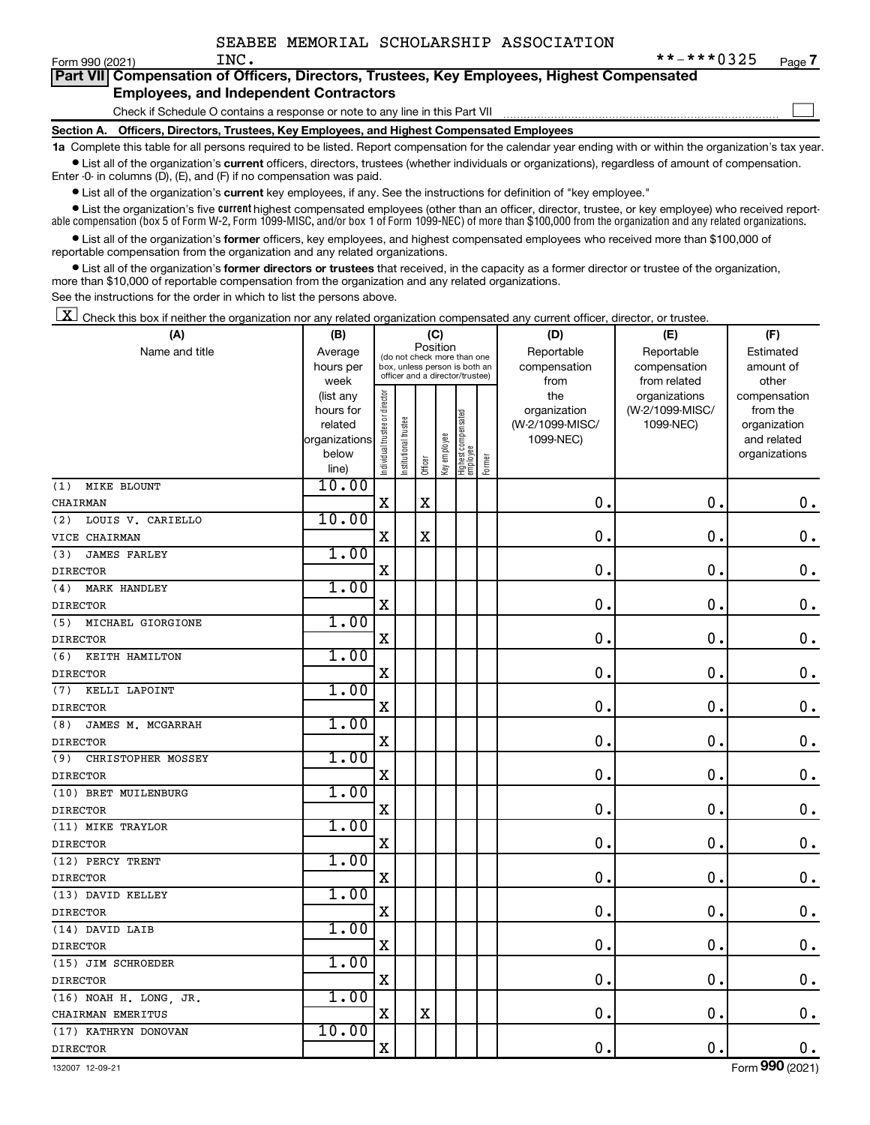$\Box$ 

|  |                                               |  | Part VII Compensation of Officers, Directors, Trustees, Key Employees, Highest Compensated |  |
|--|-----------------------------------------------|--|--------------------------------------------------------------------------------------------|--|
|  | <b>Employees, and Independent Contractors</b> |  |                                                                                            |  |

Check if Schedule O contains a response or note to any line in this Part VII

**Section A. Officers, Directors, Trustees, Key Employees, and Highest Compensated Employees**

**1a**  Complete this table for all persons required to be listed. Report compensation for the calendar year ending with or within the organization's tax year.  $\bullet$  List all of the organization's current officers, directors, trustees (whether individuals or organizations), regardless of amount of compensation.

Enter -0- in columns (D), (E), and (F) if no compensation was paid.

**•** List all of the organization's **current** key employees, if any. See the instructions for definition of "key employee."

**•** List the organization's five *current* highest compensated employees (other than an officer, director, trustee, or key employee) who received reportable compensation (box 5 of Form W-2, Form 1099-MISC, and/or box 1 of Form 1099-NEC) of more than \$100,000 from the organization and any related organizations.

 $\bullet$  List all of the organization's former officers, key employees, and highest compensated employees who received more than \$100,000 of reportable compensation from the organization and any related organizations.

**•** List all of the organization's former directors or trustees that received, in the capacity as a former director or trustee of the organization, more than \$10,000 of reportable compensation from the organization and any related organizations.

See the instructions for the order in which to list the persons above.

 $\boxed{\textbf{X}}$  Check this box if neither the organization nor any related organization compensated any current officer, director, or trustee.

| (A)                        | (C)<br>(B)        |                                         |                                                                  |             |              |                                 |        | (D)             | (E)                           | (F)                   |
|----------------------------|-------------------|-----------------------------------------|------------------------------------------------------------------|-------------|--------------|---------------------------------|--------|-----------------|-------------------------------|-----------------------|
| Name and title             | Average           | Position<br>(do not check more than one |                                                                  |             |              |                                 |        | Reportable      | Reportable                    | Estimated             |
|                            | hours per         |                                         | box, unless person is both an<br>officer and a director/trustee) |             |              |                                 |        | compensation    | compensation                  | amount of             |
|                            | week<br>(list any |                                         |                                                                  |             |              |                                 |        | from<br>the     | from related<br>organizations | other<br>compensation |
|                            | hours for         |                                         |                                                                  |             |              |                                 |        | organization    | (W-2/1099-MISC/               | from the              |
|                            | related           |                                         |                                                                  |             |              |                                 |        | (W-2/1099-MISC/ | 1099-NEC)                     | organization          |
|                            | organizations     |                                         |                                                                  |             |              |                                 |        | 1099-NEC)       |                               | and related           |
|                            | below             | Individual trustee or director          | Institutional trustee                                            |             | Key employee | Highest compensated<br>employee |        |                 |                               | organizations         |
|                            | line)             |                                         |                                                                  | Officer     |              |                                 | Former |                 |                               |                       |
| MIKE BLOUNT<br>(1)         | 10.00             |                                         |                                                                  |             |              |                                 |        |                 |                               |                       |
| <b>CHAIRMAN</b>            |                   | $\mathbf X$                             |                                                                  | $\mathbf x$ |              |                                 |        | 0.              | $\mathbf 0$ .                 | $\mathbf 0$ .         |
| LOUIS V. CARIELLO<br>(2)   | 10.00             |                                         |                                                                  |             |              |                                 |        |                 |                               |                       |
| VICE CHAIRMAN              |                   | $\mathbf X$                             |                                                                  | $\mathbf X$ |              |                                 |        | $\mathbf 0$     | $\mathbf 0$ .                 | $\mathbf 0$ .         |
| <b>JAMES FARLEY</b><br>(3) | 1.00              |                                         |                                                                  |             |              |                                 |        |                 |                               |                       |
| <b>DIRECTOR</b>            |                   | $\mathbf X$                             |                                                                  |             |              |                                 |        | 0               | 0.                            | $\mathbf 0$ .         |
| MARK HANDLEY<br>(4)        | 1.00              |                                         |                                                                  |             |              |                                 |        |                 |                               |                       |
| <b>DIRECTOR</b>            |                   | $\mathbf X$                             |                                                                  |             |              |                                 |        | 0.              | $\mathbf 0$ .                 | $\mathbf 0$ .         |
| (5) MICHAEL GIORGIONE      | 1.00              |                                         |                                                                  |             |              |                                 |        |                 |                               |                       |
| <b>DIRECTOR</b>            |                   | $\mathbf X$                             |                                                                  |             |              |                                 |        | $\mathbf 0$     | $\mathbf 0$ .                 | $\mathbf 0$ .         |
| KEITH HAMILTON<br>(6)      | 1.00              |                                         |                                                                  |             |              |                                 |        |                 |                               |                       |
| <b>DIRECTOR</b>            |                   | $\rm X$                                 |                                                                  |             |              |                                 |        | $\mathbf 0$     | $\mathbf 0$ .                 | $\boldsymbol{0}$ .    |
| KELLI LAPOINT<br>(7)       | 1.00              |                                         |                                                                  |             |              |                                 |        |                 |                               |                       |
| <b>DIRECTOR</b>            |                   | X                                       |                                                                  |             |              |                                 |        | $\mathbf 0$     | 0.                            | $\mathbf 0$ .         |
| JAMES M. MCGARRAH<br>(8)   | 1.00              |                                         |                                                                  |             |              |                                 |        |                 |                               |                       |
| <b>DIRECTOR</b>            |                   | $\mathbf X$                             |                                                                  |             |              |                                 |        | $\mathbf 0$     | 0.                            | $\mathbf 0$ .         |
| (9)<br>CHRISTOPHER MOSSEY  | 1.00              |                                         |                                                                  |             |              |                                 |        |                 |                               |                       |
| <b>DIRECTOR</b>            |                   | $\mathbf X$                             |                                                                  |             |              |                                 |        | $\mathbf 0$     | $\mathbf 0$ .                 | $\mathbf 0$ .         |
| (10) BRET MUILENBURG       | 1.00              |                                         |                                                                  |             |              |                                 |        |                 |                               |                       |
| <b>DIRECTOR</b>            |                   | $\mathbf X$                             |                                                                  |             |              |                                 |        | $\mathbf 0$     | 0.                            | $\mathbf 0$ .         |
| (11) MIKE TRAYLOR          | 1.00              |                                         |                                                                  |             |              |                                 |        |                 |                               |                       |
| <b>DIRECTOR</b>            |                   | $\mathbf X$                             |                                                                  |             |              |                                 |        | 0               | 0.                            | $0$ .                 |
| (12) PERCY TRENT           | 1.00              |                                         |                                                                  |             |              |                                 |        |                 |                               |                       |
| <b>DIRECTOR</b>            |                   | $\mathbf X$                             |                                                                  |             |              |                                 |        | $\mathbf 0$     | 0.                            | $\mathbf 0$ .         |
| (13) DAVID KELLEY          | 1.00              |                                         |                                                                  |             |              |                                 |        |                 |                               |                       |
| <b>DIRECTOR</b>            |                   | $\mathbf X$                             |                                                                  |             |              |                                 |        | $\mathbf 0$     | $\mathbf 0$ .                 | $0$ .                 |
| (14) DAVID LAIB            | 1.00              |                                         |                                                                  |             |              |                                 |        |                 |                               |                       |
| <b>DIRECTOR</b>            |                   | $\mathbf X$                             |                                                                  |             |              |                                 |        | $\mathbf 0$     | $\mathbf 0$ .                 | 0.                    |
| (15) JIM SCHROEDER         | 1.00              |                                         |                                                                  |             |              |                                 |        |                 |                               |                       |
| <b>DIRECTOR</b>            |                   | $\rm X$                                 |                                                                  |             |              |                                 |        | $\mathbf 0$     | $\mathbf 0$ .                 | $0$ .                 |
| $(16)$ NOAH H. LONG, JR.   | 1.00              |                                         |                                                                  |             |              |                                 |        |                 |                               |                       |
| CHAIRMAN EMERITUS          |                   | $\rm X$                                 |                                                                  | $\mathbf x$ |              |                                 |        | $\mathbf 0$     | $\mathbf 0$ .                 | $\mathbf 0$ .         |
| (17) KATHRYN DONOVAN       | 10.00             |                                         |                                                                  |             |              |                                 |        |                 |                               |                       |
| <b>DIRECTOR</b>            |                   | $\mathbf X$                             |                                                                  |             |              |                                 |        | $\mathbf 0$     | $\mathbf 0$ .                 | $\mathbf 0$ .         |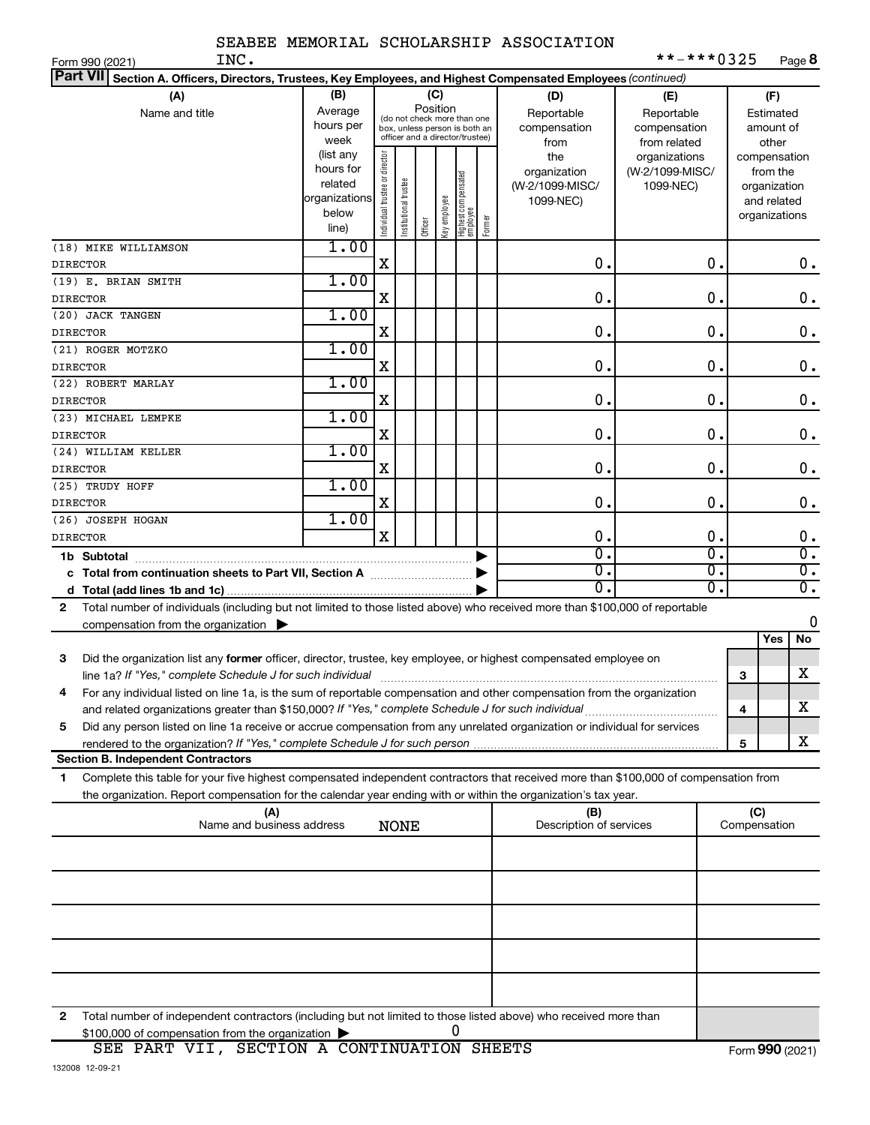| IN( |  |  |
|-----|--|--|
|     |  |  |

Form 990 (2021) Page **8** INC. \*\*-\*\*\*0325

| Part VII Section A. Officers, Directors, Trustees, Key Employees, and Highest Compensated Employees (continued)                              |                        |                                |                       |          |              |                                  |        |                                 |                              |   |                             |
|----------------------------------------------------------------------------------------------------------------------------------------------|------------------------|--------------------------------|-----------------------|----------|--------------|----------------------------------|--------|---------------------------------|------------------------------|---|-----------------------------|
| (A)                                                                                                                                          | (B)                    |                                |                       |          | (C)          |                                  |        | (D)                             | (E)                          |   | (F)                         |
| Name and title                                                                                                                               | Average                |                                |                       | Position |              | (do not check more than one      |        | Reportable                      | Reportable                   |   | Estimated                   |
|                                                                                                                                              | hours per              |                                |                       |          |              | box, unless person is both an    |        | compensation                    | compensation                 |   | amount of                   |
|                                                                                                                                              | week                   |                                |                       |          |              | officer and a director/trustee)  |        | from                            | from related                 |   | other                       |
|                                                                                                                                              | (list any<br>hours for |                                |                       |          |              |                                  |        | the                             | organizations                |   | compensation                |
|                                                                                                                                              | related                |                                |                       |          |              |                                  |        | organization<br>(W-2/1099-MISC/ | (W-2/1099-MISC/<br>1099-NEC) |   | from the<br>organization    |
|                                                                                                                                              | organizations          |                                |                       |          |              |                                  |        | 1099-NEC)                       |                              |   | and related                 |
|                                                                                                                                              | below                  | Individual trustee or director | Institutional trustee |          | Key employee |                                  |        |                                 |                              |   | organizations               |
|                                                                                                                                              | line)                  |                                |                       | Officer  |              | Highest compensated<br> employee | Former |                                 |                              |   |                             |
| (18) MIKE WILLIAMSON                                                                                                                         | 1.00                   |                                |                       |          |              |                                  |        |                                 |                              |   |                             |
| <b>DIRECTOR</b>                                                                                                                              |                        | $\mathbf X$                    |                       |          |              |                                  |        | О.                              | 0.                           |   | 0.                          |
| (19) E. BRIAN SMITH                                                                                                                          | 1.00                   |                                |                       |          |              |                                  |        |                                 |                              |   |                             |
| <b>DIRECTOR</b>                                                                                                                              |                        | X                              |                       |          |              |                                  |        | О.                              | О.                           |   | $\mathbf 0$ .               |
| (20) JACK TANGEN                                                                                                                             | 1.00                   |                                |                       |          |              |                                  |        |                                 |                              |   |                             |
| <b>DIRECTOR</b>                                                                                                                              |                        | $\mathbf X$                    |                       |          |              |                                  |        | О.                              | О.                           |   | $\boldsymbol{0}$ .          |
| (21) ROGER MOTZKO                                                                                                                            | 1.00                   |                                |                       |          |              |                                  |        |                                 |                              |   |                             |
| <b>DIRECTOR</b>                                                                                                                              |                        | $\mathbf X$                    |                       |          |              |                                  |        | О.                              | О.                           |   | $\boldsymbol{0}$ .          |
| (22) ROBERT MARLAY                                                                                                                           | 1.00                   |                                |                       |          |              |                                  |        |                                 |                              |   |                             |
| <b>DIRECTOR</b>                                                                                                                              |                        | $\mathbf X$                    |                       |          |              |                                  |        | О.                              | О.                           |   | $\mathbf 0$ .               |
| (23) MICHAEL LEMPKE                                                                                                                          | 1.00                   |                                |                       |          |              |                                  |        |                                 |                              |   |                             |
| <b>DIRECTOR</b>                                                                                                                              |                        | X                              |                       |          |              |                                  |        | О.                              | О.                           |   | $\mathbf 0$ .               |
| (24) WILLIAM KELLER                                                                                                                          | 1.00                   |                                |                       |          |              |                                  |        |                                 |                              |   |                             |
| <b>DIRECTOR</b>                                                                                                                              |                        | X                              |                       |          |              |                                  |        | О.                              | О.                           |   | $0$ .                       |
| (25) TRUDY HOFF                                                                                                                              | 1.00                   |                                |                       |          |              |                                  |        |                                 |                              |   |                             |
| <b>DIRECTOR</b>                                                                                                                              |                        | $\mathbf X$                    |                       |          |              |                                  |        | О.                              | О.                           |   | 0.                          |
| (26) JOSEPH HOGAN                                                                                                                            | 1.00                   |                                |                       |          |              |                                  |        |                                 |                              |   |                             |
| <b>DIRECTOR</b>                                                                                                                              |                        | $\mathbf x$                    |                       |          |              |                                  |        | 0.                              | О.                           |   | $\mathbf 0$ .               |
|                                                                                                                                              |                        |                                |                       |          |              |                                  |        | σ.                              | σ.                           |   | $\overline{0}$ .            |
|                                                                                                                                              |                        |                                |                       |          |              |                                  |        | σ.                              | σ.                           |   | $\overline{0}$ .            |
|                                                                                                                                              |                        |                                |                       |          |              |                                  |        | $\overline{0}$ .                | σ.                           |   | $\overline{\mathfrak{o}}$ . |
| Total number of individuals (including but not limited to those listed above) who received more than \$100,000 of reportable<br>$\mathbf{2}$ |                        |                                |                       |          |              |                                  |        |                                 |                              |   |                             |
| compensation from the organization $\blacktriangleright$                                                                                     |                        |                                |                       |          |              |                                  |        |                                 |                              |   | 0                           |
|                                                                                                                                              |                        |                                |                       |          |              |                                  |        |                                 |                              |   | Yes<br>No                   |
| 3<br>Did the organization list any former officer, director, trustee, key employee, or highest compensated employee on                       |                        |                                |                       |          |              |                                  |        |                                 |                              |   |                             |
| line 1a? If "Yes," complete Schedule J for such individual                                                                                   |                        |                                |                       |          |              |                                  |        |                                 |                              | 3 | х                           |
| For any individual listed on line 1a, is the sum of reportable compensation and other compensation from the organization<br>4                |                        |                                |                       |          |              |                                  |        |                                 |                              |   |                             |
|                                                                                                                                              |                        |                                |                       |          |              |                                  |        |                                 |                              | 4 | $\mathbf X$                 |
| Did any person listed on line 1a receive or accrue compensation from any unrelated organization or individual for services<br>5              |                        |                                |                       |          |              |                                  |        |                                 |                              |   |                             |
| rendered to the organization? If "Yes," complete Schedule J for such person.                                                                 |                        |                                |                       |          |              |                                  |        |                                 |                              | 5 | x                           |
| <b>Section B. Independent Contractors</b>                                                                                                    |                        |                                |                       |          |              |                                  |        |                                 |                              |   |                             |
| Complete this table for your five highest compensated independent contractors that received more than \$100,000 of compensation from<br>1    |                        |                                |                       |          |              |                                  |        |                                 |                              |   |                             |
| the organization. Report compensation for the calendar year ending with or within the organization's tax year.                               |                        |                                |                       |          |              |                                  |        |                                 |                              |   |                             |
| (A)                                                                                                                                          |                        |                                |                       |          |              |                                  |        | (B)                             |                              |   | (C)                         |
| Name and business address                                                                                                                    |                        |                                | <b>NONE</b>           |          |              |                                  |        | Description of services         |                              |   | Compensation                |
|                                                                                                                                              |                        |                                |                       |          |              |                                  |        |                                 |                              |   |                             |
|                                                                                                                                              |                        |                                |                       |          |              |                                  |        |                                 |                              |   |                             |
|                                                                                                                                              |                        |                                |                       |          |              |                                  |        |                                 |                              |   |                             |
|                                                                                                                                              |                        |                                |                       |          |              |                                  |        |                                 |                              |   |                             |
|                                                                                                                                              |                        |                                |                       |          |              |                                  |        |                                 |                              |   |                             |
|                                                                                                                                              |                        |                                |                       |          |              |                                  |        |                                 |                              |   |                             |
|                                                                                                                                              |                        |                                |                       |          |              |                                  |        |                                 |                              |   |                             |
|                                                                                                                                              |                        |                                |                       |          |              |                                  |        |                                 |                              |   |                             |
|                                                                                                                                              |                        |                                |                       |          |              |                                  |        |                                 |                              |   |                             |
|                                                                                                                                              |                        |                                |                       |          |              |                                  |        |                                 |                              |   |                             |
| Total number of independent contractors (including but not limited to those listed above) who received more than<br>$\mathbf{2}$             |                        |                                |                       |          |              |                                  |        |                                 |                              |   |                             |

\$100,000 of compensation from the organization | 0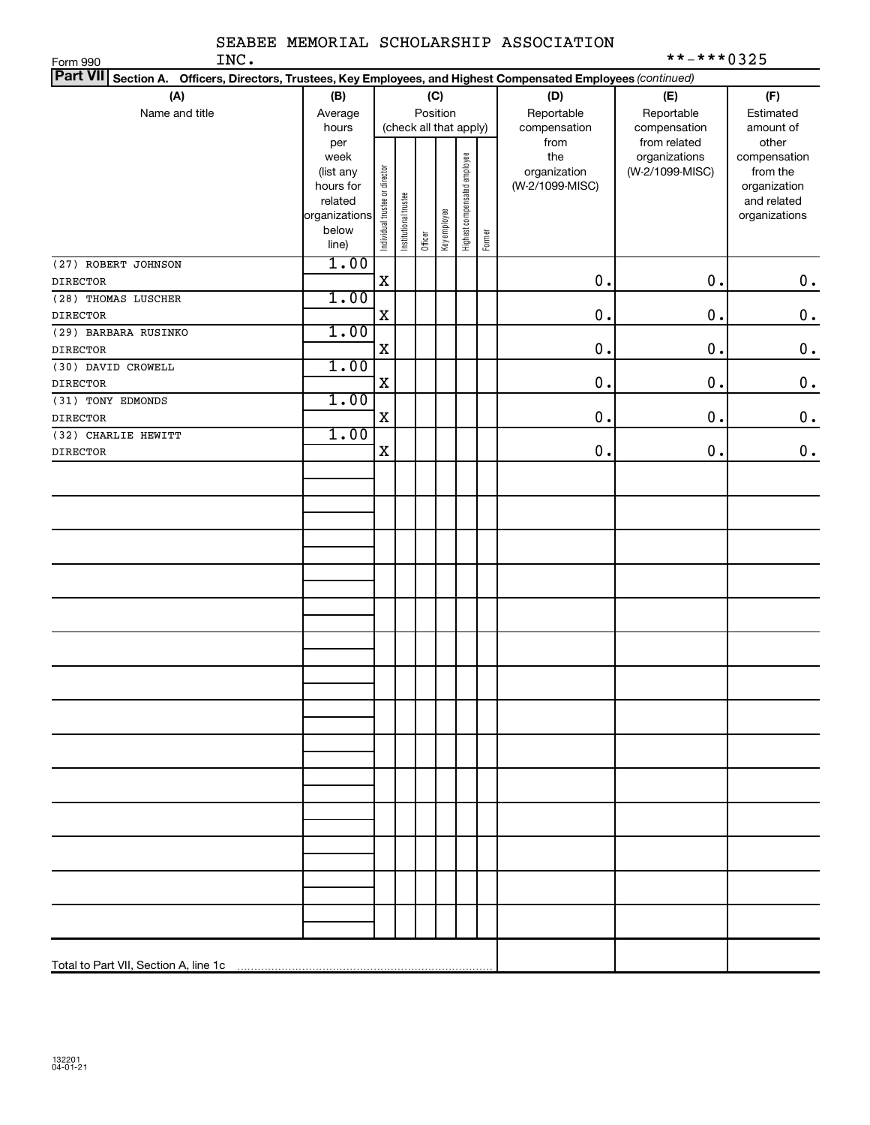#### SEABEE MEMORIAL SCHOLARSHIP ASSOCIATION  $\frac{1}{100}$ . \*\*-\*\*\*0325

Form 990

| Part VII Section A. Officers, Directors, Trustees, Key Employees, and Highest Compensated Employees (continued) |                   |                                |                       |         |                        |                              |        |                     |                                  |                          |
|-----------------------------------------------------------------------------------------------------------------|-------------------|--------------------------------|-----------------------|---------|------------------------|------------------------------|--------|---------------------|----------------------------------|--------------------------|
| (A)                                                                                                             | (B)               |                                |                       |         | (C)                    |                              |        | (D)                 | (E)                              | (F)                      |
| Name and title                                                                                                  | Average           |                                |                       |         | Position               |                              |        | Reportable          | Reportable                       | Estimated                |
|                                                                                                                 | hours             |                                |                       |         | (check all that apply) |                              |        | compensation        | compensation                     | amount of                |
|                                                                                                                 | per               |                                |                       |         |                        |                              |        | from                | from related                     | other                    |
|                                                                                                                 | week<br>(list any |                                |                       |         |                        |                              |        | the<br>organization | organizations<br>(W-2/1099-MISC) | compensation<br>from the |
|                                                                                                                 | hours for         |                                |                       |         |                        |                              |        | (W-2/1099-MISC)     |                                  | organization             |
|                                                                                                                 | related           |                                |                       |         |                        |                              |        |                     |                                  | and related              |
|                                                                                                                 | organizations     |                                |                       |         |                        |                              |        |                     |                                  | organizations            |
|                                                                                                                 | below             | Individual trustee or director | Institutional trustee | Officer | Key employee           | Highest compensated employee | Former |                     |                                  |                          |
|                                                                                                                 | line)             |                                |                       |         |                        |                              |        |                     |                                  |                          |
| (27) ROBERT JOHNSON                                                                                             | 1.00              |                                |                       |         |                        |                              |        |                     |                                  |                          |
| <b>DIRECTOR</b>                                                                                                 |                   | X                              |                       |         |                        |                              |        | 0.                  | 0.                               | $\mathbf 0$ .            |
| (28) THOMAS LUSCHER                                                                                             | 1.00              |                                |                       |         |                        |                              |        |                     |                                  |                          |
| <b>DIRECTOR</b>                                                                                                 |                   | X                              |                       |         |                        |                              |        | 0.                  | 0.                               | $\mathbf 0$ .            |
| (29) BARBARA RUSINKO                                                                                            | 1.00              |                                |                       |         |                        |                              |        |                     |                                  |                          |
| <b>DIRECTOR</b>                                                                                                 |                   | X                              |                       |         |                        |                              |        | 0.                  | 0.                               | $\mathbf 0$ .            |
| (30) DAVID CROWELL                                                                                              | 1.00              |                                |                       |         |                        |                              |        |                     |                                  |                          |
| <b>DIRECTOR</b>                                                                                                 |                   | X                              |                       |         |                        |                              |        | 0.                  | 0.                               | $\mathbf 0$ .            |
| (31) TONY EDMONDS                                                                                               | 1.00              |                                |                       |         |                        |                              |        |                     |                                  |                          |
| <b>DIRECTOR</b>                                                                                                 |                   | X                              |                       |         |                        |                              |        | 0.                  | 0.                               | $\mathbf 0$ .            |
| (32) CHARLIE HEWITT                                                                                             | 1.00              |                                |                       |         |                        |                              |        |                     |                                  |                          |
| <b>DIRECTOR</b>                                                                                                 |                   | X                              |                       |         |                        |                              |        | 0.                  | 0.                               | $\mathbf 0$ .            |
|                                                                                                                 |                   |                                |                       |         |                        |                              |        |                     |                                  |                          |
|                                                                                                                 |                   |                                |                       |         |                        |                              |        |                     |                                  |                          |
|                                                                                                                 |                   |                                |                       |         |                        |                              |        |                     |                                  |                          |
|                                                                                                                 |                   |                                |                       |         |                        |                              |        |                     |                                  |                          |
|                                                                                                                 |                   |                                |                       |         |                        |                              |        |                     |                                  |                          |
|                                                                                                                 |                   |                                |                       |         |                        |                              |        |                     |                                  |                          |
|                                                                                                                 |                   |                                |                       |         |                        |                              |        |                     |                                  |                          |
|                                                                                                                 |                   |                                |                       |         |                        |                              |        |                     |                                  |                          |
|                                                                                                                 |                   |                                |                       |         |                        |                              |        |                     |                                  |                          |
|                                                                                                                 |                   |                                |                       |         |                        |                              |        |                     |                                  |                          |
|                                                                                                                 |                   |                                |                       |         |                        |                              |        |                     |                                  |                          |
|                                                                                                                 |                   |                                |                       |         |                        |                              |        |                     |                                  |                          |
|                                                                                                                 |                   |                                |                       |         |                        |                              |        |                     |                                  |                          |
|                                                                                                                 |                   |                                |                       |         |                        |                              |        |                     |                                  |                          |
|                                                                                                                 |                   |                                |                       |         |                        |                              |        |                     |                                  |                          |
|                                                                                                                 |                   |                                |                       |         |                        |                              |        |                     |                                  |                          |
|                                                                                                                 |                   |                                |                       |         |                        |                              |        |                     |                                  |                          |
|                                                                                                                 |                   |                                |                       |         |                        |                              |        |                     |                                  |                          |
|                                                                                                                 |                   |                                |                       |         |                        |                              |        |                     |                                  |                          |
|                                                                                                                 |                   |                                |                       |         |                        |                              |        |                     |                                  |                          |
|                                                                                                                 |                   |                                |                       |         |                        |                              |        |                     |                                  |                          |
|                                                                                                                 |                   |                                |                       |         |                        |                              |        |                     |                                  |                          |
|                                                                                                                 |                   |                                |                       |         |                        |                              |        |                     |                                  |                          |
|                                                                                                                 |                   |                                |                       |         |                        |                              |        |                     |                                  |                          |
|                                                                                                                 |                   |                                |                       |         |                        |                              |        |                     |                                  |                          |
|                                                                                                                 |                   |                                |                       |         |                        |                              |        |                     |                                  |                          |
|                                                                                                                 |                   |                                |                       |         |                        |                              |        |                     |                                  |                          |
|                                                                                                                 |                   |                                |                       |         |                        |                              |        |                     |                                  |                          |
|                                                                                                                 |                   |                                |                       |         |                        |                              |        |                     |                                  |                          |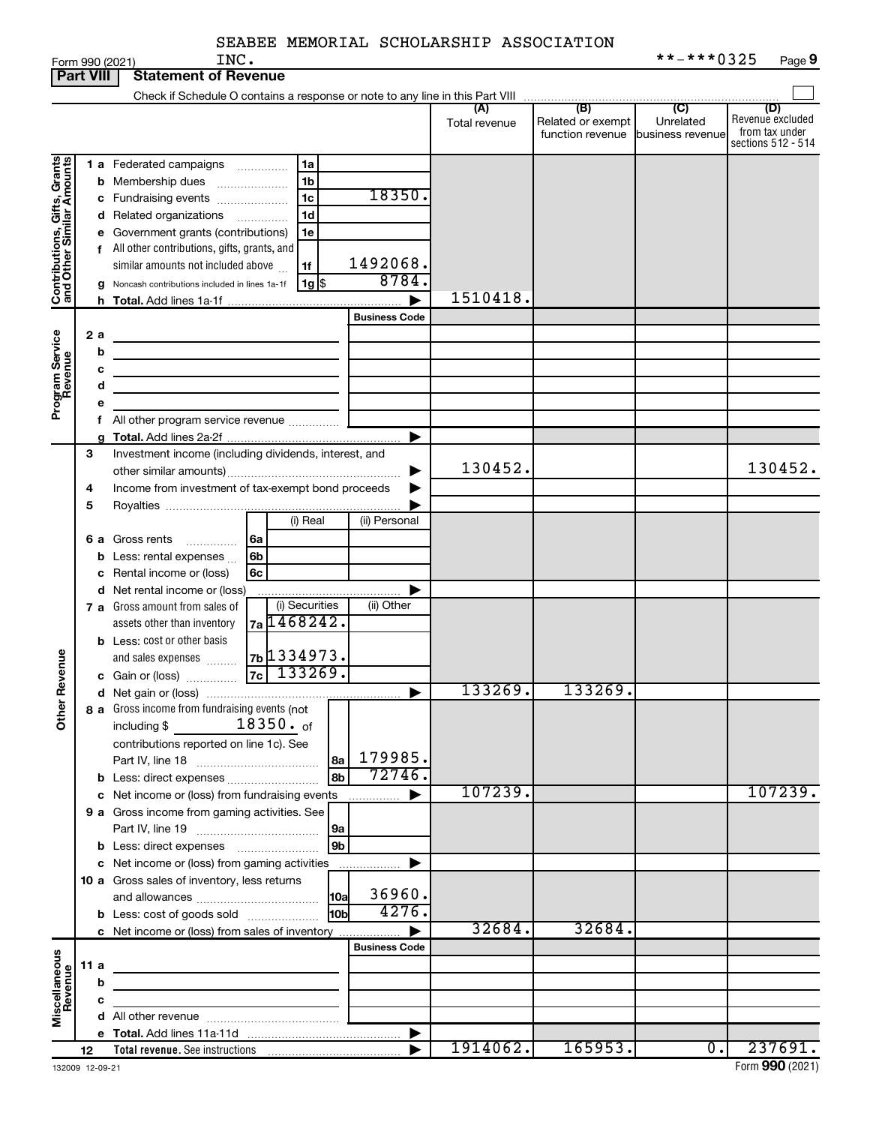| Related or exempt<br>Total revenue<br>function revenue business revenue<br>Contributions, Gifts, Grants<br>and Other Similar Amounts<br>1 a Federated campaigns<br>1a<br>1 <sub>b</sub><br><b>b</b> Membership dues<br>18350.<br>1 <sub>c</sub><br>c Fundraising events<br>1d<br>d Related organizations<br>.<br>e Government grants (contributions)<br>1e<br>f All other contributions, gifts, grants, and<br>1492068.<br>similar amounts not included above<br>1f<br>8784.<br>$1g$ $\frac{1}{3}$<br>Noncash contributions included in lines 1a-1f<br>1510418.<br><b>Business Code</b><br>Program Service<br>Revenue<br>2 a<br>b<br>the control of the control of the control of the control of the control of<br>c<br>the control of the control of the control of the control of the control of<br>d<br>the contract of the contract of the contract of the contract of<br>е<br>▶<br>3<br>Investment income (including dividends, interest, and<br>130452.<br>Income from investment of tax-exempt bond proceeds<br>4<br>5<br>(i) Real<br>(ii) Personal<br>6 a Gross rents<br>l6a<br>6b<br><b>b</b> Less: rental expenses $\ldots$<br>c Rental income or (loss)<br>6c<br>d Net rental income or (loss)<br>(i) Securities<br>(ii) Other<br>7 a Gross amount from sales of<br>7a 1468242.<br>assets other than inventory<br><b>b</b> Less: cost or other basis<br>Revenue<br>7b 1334973.<br>and sales expenses<br>$7c$ 133269.<br>c Gain or (loss)<br>133269.<br>133269.<br>▶<br>8 a Gross income from fundraising events (not | (D)<br>Revenue excluded<br>Unrelated<br>from tax under<br>sections 512 - 514 |
|---------------------------------------------------------------------------------------------------------------------------------------------------------------------------------------------------------------------------------------------------------------------------------------------------------------------------------------------------------------------------------------------------------------------------------------------------------------------------------------------------------------------------------------------------------------------------------------------------------------------------------------------------------------------------------------------------------------------------------------------------------------------------------------------------------------------------------------------------------------------------------------------------------------------------------------------------------------------------------------------------------------------------------------------------------------------------------------------------------------------------------------------------------------------------------------------------------------------------------------------------------------------------------------------------------------------------------------------------------------------------------------------------------------------------------------------------------------------------------------------------------------------------------|------------------------------------------------------------------------------|
|                                                                                                                                                                                                                                                                                                                                                                                                                                                                                                                                                                                                                                                                                                                                                                                                                                                                                                                                                                                                                                                                                                                                                                                                                                                                                                                                                                                                                                                                                                                                 |                                                                              |
|                                                                                                                                                                                                                                                                                                                                                                                                                                                                                                                                                                                                                                                                                                                                                                                                                                                                                                                                                                                                                                                                                                                                                                                                                                                                                                                                                                                                                                                                                                                                 |                                                                              |
|                                                                                                                                                                                                                                                                                                                                                                                                                                                                                                                                                                                                                                                                                                                                                                                                                                                                                                                                                                                                                                                                                                                                                                                                                                                                                                                                                                                                                                                                                                                                 |                                                                              |
|                                                                                                                                                                                                                                                                                                                                                                                                                                                                                                                                                                                                                                                                                                                                                                                                                                                                                                                                                                                                                                                                                                                                                                                                                                                                                                                                                                                                                                                                                                                                 |                                                                              |
|                                                                                                                                                                                                                                                                                                                                                                                                                                                                                                                                                                                                                                                                                                                                                                                                                                                                                                                                                                                                                                                                                                                                                                                                                                                                                                                                                                                                                                                                                                                                 |                                                                              |
|                                                                                                                                                                                                                                                                                                                                                                                                                                                                                                                                                                                                                                                                                                                                                                                                                                                                                                                                                                                                                                                                                                                                                                                                                                                                                                                                                                                                                                                                                                                                 |                                                                              |
|                                                                                                                                                                                                                                                                                                                                                                                                                                                                                                                                                                                                                                                                                                                                                                                                                                                                                                                                                                                                                                                                                                                                                                                                                                                                                                                                                                                                                                                                                                                                 |                                                                              |
|                                                                                                                                                                                                                                                                                                                                                                                                                                                                                                                                                                                                                                                                                                                                                                                                                                                                                                                                                                                                                                                                                                                                                                                                                                                                                                                                                                                                                                                                                                                                 | 130452.                                                                      |
|                                                                                                                                                                                                                                                                                                                                                                                                                                                                                                                                                                                                                                                                                                                                                                                                                                                                                                                                                                                                                                                                                                                                                                                                                                                                                                                                                                                                                                                                                                                                 |                                                                              |
|                                                                                                                                                                                                                                                                                                                                                                                                                                                                                                                                                                                                                                                                                                                                                                                                                                                                                                                                                                                                                                                                                                                                                                                                                                                                                                                                                                                                                                                                                                                                 |                                                                              |
|                                                                                                                                                                                                                                                                                                                                                                                                                                                                                                                                                                                                                                                                                                                                                                                                                                                                                                                                                                                                                                                                                                                                                                                                                                                                                                                                                                                                                                                                                                                                 |                                                                              |
|                                                                                                                                                                                                                                                                                                                                                                                                                                                                                                                                                                                                                                                                                                                                                                                                                                                                                                                                                                                                                                                                                                                                                                                                                                                                                                                                                                                                                                                                                                                                 |                                                                              |
|                                                                                                                                                                                                                                                                                                                                                                                                                                                                                                                                                                                                                                                                                                                                                                                                                                                                                                                                                                                                                                                                                                                                                                                                                                                                                                                                                                                                                                                                                                                                 |                                                                              |
|                                                                                                                                                                                                                                                                                                                                                                                                                                                                                                                                                                                                                                                                                                                                                                                                                                                                                                                                                                                                                                                                                                                                                                                                                                                                                                                                                                                                                                                                                                                                 |                                                                              |
| $\check{\bar{\sigma}}$<br>18350. of<br>including $$$<br>contributions reported on line 1c). See<br>179985.<br>l 8a<br>72746.<br>8 <sub>b</sub><br><b>b</b> Less: direct expenses                                                                                                                                                                                                                                                                                                                                                                                                                                                                                                                                                                                                                                                                                                                                                                                                                                                                                                                                                                                                                                                                                                                                                                                                                                                                                                                                                |                                                                              |
| 107239.<br>c Net income or (loss) from fundraising events<br>.                                                                                                                                                                                                                                                                                                                                                                                                                                                                                                                                                                                                                                                                                                                                                                                                                                                                                                                                                                                                                                                                                                                                                                                                                                                                                                                                                                                                                                                                  | 107239.                                                                      |
| 9 a Gross income from gaming activities. See                                                                                                                                                                                                                                                                                                                                                                                                                                                                                                                                                                                                                                                                                                                                                                                                                                                                                                                                                                                                                                                                                                                                                                                                                                                                                                                                                                                                                                                                                    |                                                                              |
| 9a<br>9 <sub>b</sub>                                                                                                                                                                                                                                                                                                                                                                                                                                                                                                                                                                                                                                                                                                                                                                                                                                                                                                                                                                                                                                                                                                                                                                                                                                                                                                                                                                                                                                                                                                            |                                                                              |
| c Net income or (loss) from gaming activities<br>▶                                                                                                                                                                                                                                                                                                                                                                                                                                                                                                                                                                                                                                                                                                                                                                                                                                                                                                                                                                                                                                                                                                                                                                                                                                                                                                                                                                                                                                                                              |                                                                              |
| 10 a Gross sales of inventory, less returns<br>36960.<br> 10a <br>4276.<br>10bl<br><b>b</b> Less: cost of goods sold                                                                                                                                                                                                                                                                                                                                                                                                                                                                                                                                                                                                                                                                                                                                                                                                                                                                                                                                                                                                                                                                                                                                                                                                                                                                                                                                                                                                            |                                                                              |
| 32684.<br>32684.<br>c Net income or (loss) from sales of inventory                                                                                                                                                                                                                                                                                                                                                                                                                                                                                                                                                                                                                                                                                                                                                                                                                                                                                                                                                                                                                                                                                                                                                                                                                                                                                                                                                                                                                                                              |                                                                              |
| <b>Business Code</b>                                                                                                                                                                                                                                                                                                                                                                                                                                                                                                                                                                                                                                                                                                                                                                                                                                                                                                                                                                                                                                                                                                                                                                                                                                                                                                                                                                                                                                                                                                            |                                                                              |
| Miscellaneous<br>Revenue<br>11 a<br>the contract of the contract of the contract of the contract of                                                                                                                                                                                                                                                                                                                                                                                                                                                                                                                                                                                                                                                                                                                                                                                                                                                                                                                                                                                                                                                                                                                                                                                                                                                                                                                                                                                                                             |                                                                              |
| b                                                                                                                                                                                                                                                                                                                                                                                                                                                                                                                                                                                                                                                                                                                                                                                                                                                                                                                                                                                                                                                                                                                                                                                                                                                                                                                                                                                                                                                                                                                               |                                                                              |
| c<br>the control of the control of the control of the control of                                                                                                                                                                                                                                                                                                                                                                                                                                                                                                                                                                                                                                                                                                                                                                                                                                                                                                                                                                                                                                                                                                                                                                                                                                                                                                                                                                                                                                                                |                                                                              |
|                                                                                                                                                                                                                                                                                                                                                                                                                                                                                                                                                                                                                                                                                                                                                                                                                                                                                                                                                                                                                                                                                                                                                                                                                                                                                                                                                                                                                                                                                                                                 |                                                                              |
| 1914062.<br>165953.<br>12                                                                                                                                                                                                                                                                                                                                                                                                                                                                                                                                                                                                                                                                                                                                                                                                                                                                                                                                                                                                                                                                                                                                                                                                                                                                                                                                                                                                                                                                                                       | 237691.<br>$\overline{0}$ .                                                  |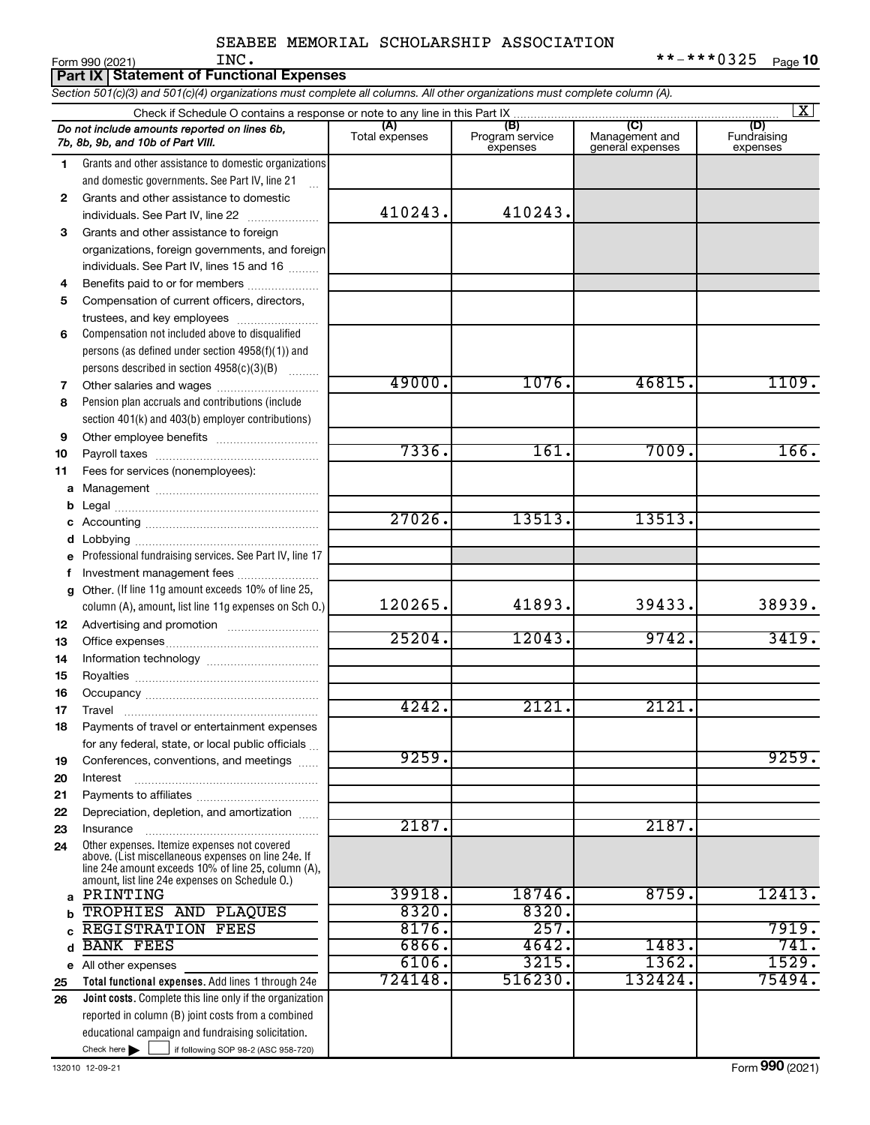# COULOI ADCUITO ACCOCTAMIONI

|    | INC.<br>Form 990 (2021)                                                                                                    |                | SEABEE MEMORIAL SCHOLARSHIP ASSOCIATION |                  | **-***0325<br>Page 10          |
|----|----------------------------------------------------------------------------------------------------------------------------|----------------|-----------------------------------------|------------------|--------------------------------|
|    | <b>Part IX Statement of Functional Expenses</b>                                                                            |                |                                         |                  |                                |
|    | Section 501(c)(3) and 501(c)(4) organizations must complete all columns. All other organizations must complete column (A). |                |                                         |                  |                                |
|    |                                                                                                                            |                |                                         |                  | $\overline{\mathbf{x}}$<br>(D) |
|    | Do not include amounts reported on lines 6b,<br>7b, 8b, 9b, and 10b of Part VIII.                                          | Total expenses | Program service                         | Management and   | Fundraising                    |
| 1  | Grants and other assistance to domestic organizations                                                                      |                | expenses                                | general expenses | expenses                       |
|    | and domestic governments. See Part IV, line 21                                                                             |                |                                         |                  |                                |
| 2  | Grants and other assistance to domestic                                                                                    |                |                                         |                  |                                |
|    | individuals. See Part IV, line 22                                                                                          | 410243.        | 410243.                                 |                  |                                |
| 3  | Grants and other assistance to foreign                                                                                     |                |                                         |                  |                                |
|    | organizations, foreign governments, and foreign                                                                            |                |                                         |                  |                                |
|    | individuals. See Part IV, lines 15 and 16                                                                                  |                |                                         |                  |                                |
| 4  | Benefits paid to or for members                                                                                            |                |                                         |                  |                                |
| 5  | Compensation of current officers, directors,                                                                               |                |                                         |                  |                                |
|    | trustees, and key employees                                                                                                |                |                                         |                  |                                |
| 6  | Compensation not included above to disqualified                                                                            |                |                                         |                  |                                |
|    | persons (as defined under section 4958(f)(1)) and                                                                          |                |                                         |                  |                                |
|    | persons described in section 4958(c)(3)(B)                                                                                 |                |                                         |                  |                                |
| 7  |                                                                                                                            | 49000.         | 1076.                                   | 46815.           | 1109.                          |
| 8  | Pension plan accruals and contributions (include                                                                           |                |                                         |                  |                                |
|    | section 401(k) and 403(b) employer contributions)                                                                          |                |                                         |                  |                                |
| 9  |                                                                                                                            |                |                                         |                  |                                |
| 10 |                                                                                                                            | 7336.          | 161.                                    | 7009.            | 166.                           |
| 11 | Fees for services (nonemployees):                                                                                          |                |                                         |                  |                                |
| а  |                                                                                                                            |                |                                         |                  |                                |
| b  |                                                                                                                            |                |                                         |                  |                                |
|    |                                                                                                                            | 27026.         | 13513.                                  | 13513.           |                                |
|    |                                                                                                                            |                |                                         |                  |                                |
|    | e Professional fundraising services. See Part IV, line 17                                                                  |                |                                         |                  |                                |
| f  | Investment management fees                                                                                                 |                |                                         |                  |                                |
|    | g Other. (If line 11g amount exceeds 10% of line 25,                                                                       |                |                                         |                  |                                |
|    | column (A), amount, list line 11g expenses on Sch O.)                                                                      | 120265.        | 41893.                                  | 39433.           | 38939.                         |
| 12 | Advertising and promotion                                                                                                  |                |                                         |                  |                                |
| 13 |                                                                                                                            | 25204.         | 12043.                                  | 9742.            | 3419.                          |
| 14 |                                                                                                                            |                |                                         |                  |                                |
| 15 | Royalties                                                                                                                  |                |                                         |                  |                                |
| 16 |                                                                                                                            |                |                                         |                  |                                |
| 17 | Travel                                                                                                                     | 4242.          | 2121.                                   | 2121             |                                |
| 18 | Payments of travel or entertainment expenses                                                                               |                |                                         |                  |                                |
|    | for any federal, state, or local public officials                                                                          |                |                                         |                  |                                |
| 19 | Conferences, conventions, and meetings                                                                                     | 9259.          |                                         |                  | 9259.                          |
| 20 | Interest                                                                                                                   |                |                                         |                  |                                |
| 21 |                                                                                                                            |                |                                         |                  |                                |
| 22 | Depreciation, depletion, and amortization                                                                                  |                |                                         |                  |                                |
| 23 | Insurance                                                                                                                  | 2187.          |                                         | 2187.            |                                |
| 24 | Other expenses. Itemize expenses not covered<br>above. (List miscellaneous expenses on line 24e. If                        |                |                                         |                  |                                |
|    | line 24e amount exceeds 10% of line 25, column (A),                                                                        |                |                                         |                  |                                |
|    | amount, list line 24e expenses on Schedule O.)<br>PRINTING                                                                 | 39918.         | 18746.                                  | 8759.            | 12413.                         |
| a  | TROPHIES AND PLAQUES                                                                                                       | 8320.          | 8320.                                   |                  |                                |
|    | <b>REGISTRATION FEES</b>                                                                                                   | 8176.          | 257.                                    |                  | 7919.                          |
| d  | <b>BANK FEES</b>                                                                                                           | 6866.          | 4642.                                   | 1483.            | 741.                           |
|    | e All other expenses                                                                                                       | 6106.          | 3215.                                   | 1362.            | 1529.                          |
| 25 | Total functional expenses. Add lines 1 through 24e                                                                         | 724148.        | 516230.                                 | 132424.          | 75494.                         |
| 26 | Joint costs. Complete this line only if the organization                                                                   |                |                                         |                  |                                |
|    | reported in column (B) joint costs from a combined                                                                         |                |                                         |                  |                                |

Check here  $\blacktriangleright$ 

Check here  $\begin{array}{c} \begin{array}{|c} \hline \end{array} \end{array}$  if following SOP 98-2 (ASC 958-720)

educational campaign and fundraising solicitation.

Form (2021) **990**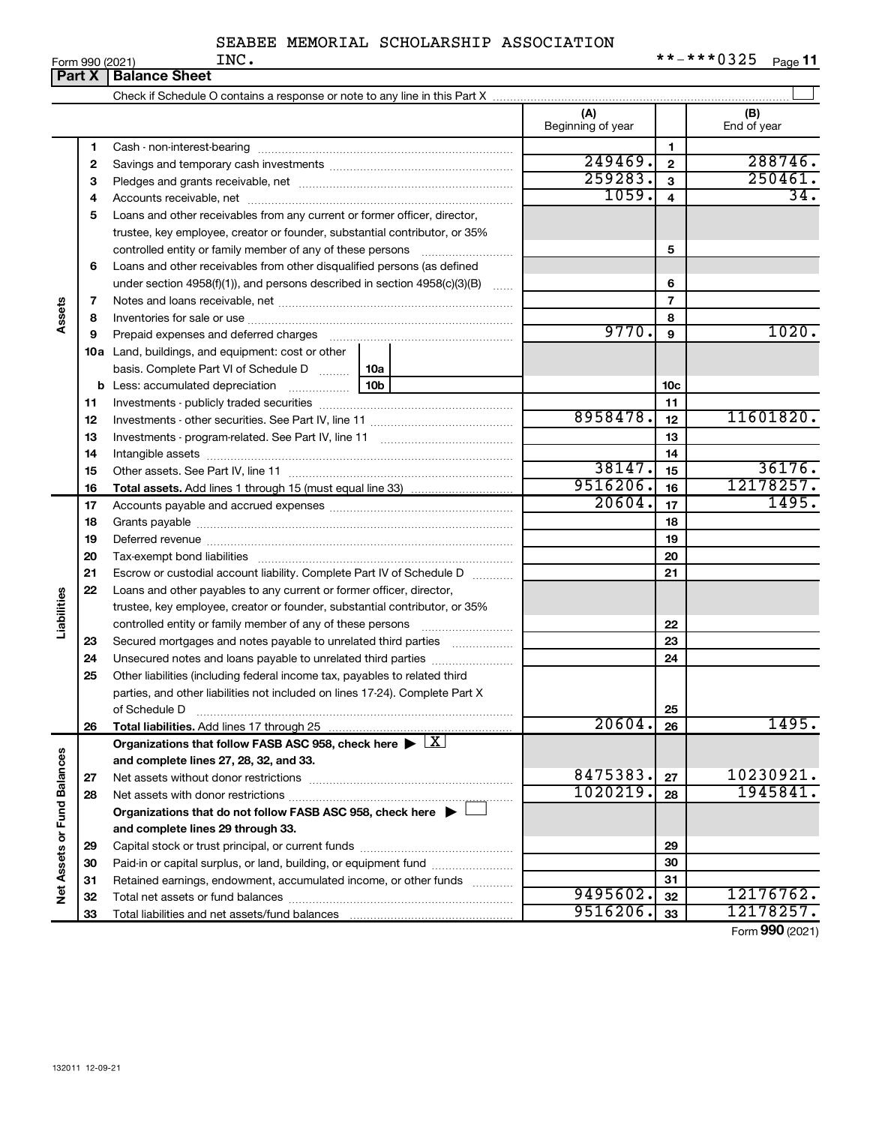**Form 990 (2021)**<br>**Part X Balance** 

|                             | нап х | <b>Balance Sheet</b>                                                                                                                                                                                                           |                          |                         |                    |
|-----------------------------|-------|--------------------------------------------------------------------------------------------------------------------------------------------------------------------------------------------------------------------------------|--------------------------|-------------------------|--------------------|
|                             |       |                                                                                                                                                                                                                                |                          |                         |                    |
|                             |       |                                                                                                                                                                                                                                | (A)<br>Beginning of year |                         | (B)<br>End of year |
|                             | 1     |                                                                                                                                                                                                                                |                          | 1                       |                    |
|                             | 2     |                                                                                                                                                                                                                                | 249469.                  | $\mathbf{2}$            | 288746.            |
|                             | З     |                                                                                                                                                                                                                                | 259283.                  | 3                       | 250461.            |
|                             | 4     |                                                                                                                                                                                                                                | 1059.                    | $\overline{\mathbf{4}}$ | 34.                |
|                             | 5     | Loans and other receivables from any current or former officer, director,                                                                                                                                                      |                          |                         |                    |
|                             |       | trustee, key employee, creator or founder, substantial contributor, or 35%                                                                                                                                                     |                          |                         |                    |
|                             |       |                                                                                                                                                                                                                                |                          | 5                       |                    |
|                             | 6     | Loans and other receivables from other disqualified persons (as defined                                                                                                                                                        |                          |                         |                    |
|                             |       | under section 4958(f)(1)), and persons described in section 4958(c)(3)(B)                                                                                                                                                      |                          | 6                       |                    |
|                             | 7     |                                                                                                                                                                                                                                |                          | $\overline{7}$          |                    |
| Assets                      | 8     |                                                                                                                                                                                                                                |                          | 8                       |                    |
|                             | 9     | Prepaid expenses and deferred charges [11] matter continuum matter and referred charges [11] matter continuum matter continuum matter and continuum matter continuum matter and continuum matter continuum matter continuum ma | 9770.                    | 9                       | 1020.              |
|                             |       | 10a Land, buildings, and equipment: cost or other                                                                                                                                                                              |                          |                         |                    |
|                             |       | basis. Complete Part VI of Schedule D<br>10a                                                                                                                                                                                   |                          |                         |                    |
|                             |       | 10b                                                                                                                                                                                                                            |                          | 10c                     |                    |
|                             | 11    |                                                                                                                                                                                                                                |                          | 11                      |                    |
|                             | 12    |                                                                                                                                                                                                                                | 8958478.                 | 12                      | 11601820.          |
|                             | 13    |                                                                                                                                                                                                                                |                          | 13                      |                    |
|                             | 14    | Intangible assets with an annumination of the assets with an annumination of the state of the state of the state of the state of the state of the state of the state of the state of the state of the state of the state of th |                          | 14                      |                    |
|                             | 15    |                                                                                                                                                                                                                                | 38147.                   | 15                      | 36176.             |
|                             | 16    |                                                                                                                                                                                                                                | 9516206.                 | 16                      | 12178257.          |
|                             | 17    |                                                                                                                                                                                                                                | 20604.                   | 17                      | 1495.              |
|                             | 18    |                                                                                                                                                                                                                                |                          | 18                      |                    |
|                             | 19    |                                                                                                                                                                                                                                |                          | 19                      |                    |
|                             | 20    |                                                                                                                                                                                                                                |                          | 20                      |                    |
|                             | 21    | Escrow or custodial account liability. Complete Part IV of Schedule D                                                                                                                                                          |                          | 21                      |                    |
|                             | 22    | Loans and other payables to any current or former officer, director,                                                                                                                                                           |                          |                         |                    |
| Liabilities                 |       | trustee, key employee, creator or founder, substantial contributor, or 35%                                                                                                                                                     |                          |                         |                    |
|                             |       | controlled entity or family member of any of these persons                                                                                                                                                                     |                          | 22                      |                    |
|                             | 23    | Secured mortgages and notes payable to unrelated third parties                                                                                                                                                                 |                          | 23                      |                    |
|                             | 24    |                                                                                                                                                                                                                                |                          | 24                      |                    |
|                             | 25    | Other liabilities (including federal income tax, payables to related third                                                                                                                                                     |                          |                         |                    |
|                             |       | parties, and other liabilities not included on lines 17-24). Complete Part X                                                                                                                                                   |                          |                         |                    |
|                             |       | of Schedule D                                                                                                                                                                                                                  |                          | 25                      |                    |
|                             | 26    |                                                                                                                                                                                                                                | 20604.                   | 26                      | 1495.              |
|                             |       | Organizations that follow FASB ASC 958, check here $\blacktriangleright \lfloor X \rfloor$                                                                                                                                     |                          |                         |                    |
|                             |       | and complete lines 27, 28, 32, and 33.                                                                                                                                                                                         |                          |                         |                    |
|                             | 27    |                                                                                                                                                                                                                                | 8475383.                 | 27                      | 10230921.          |
|                             | 28    |                                                                                                                                                                                                                                | 1020219.                 | 28                      | 1945841.           |
|                             |       | Organizations that do not follow FASB ASC 958, check here $\blacktriangleright \Box$                                                                                                                                           |                          |                         |                    |
|                             |       | and complete lines 29 through 33.                                                                                                                                                                                              |                          |                         |                    |
| Net Assets or Fund Balances | 29    |                                                                                                                                                                                                                                |                          | 29                      |                    |
|                             | 30    | Paid-in or capital surplus, or land, building, or equipment fund                                                                                                                                                               |                          | 30                      |                    |
|                             | 31    | Retained earnings, endowment, accumulated income, or other funds                                                                                                                                                               |                          | 31                      |                    |
|                             | 32    |                                                                                                                                                                                                                                | 9495602.                 | 32                      | 12176762.          |
|                             | 33    |                                                                                                                                                                                                                                | 9516206.                 | 33                      | 12178257.          |

Form (2021) **990**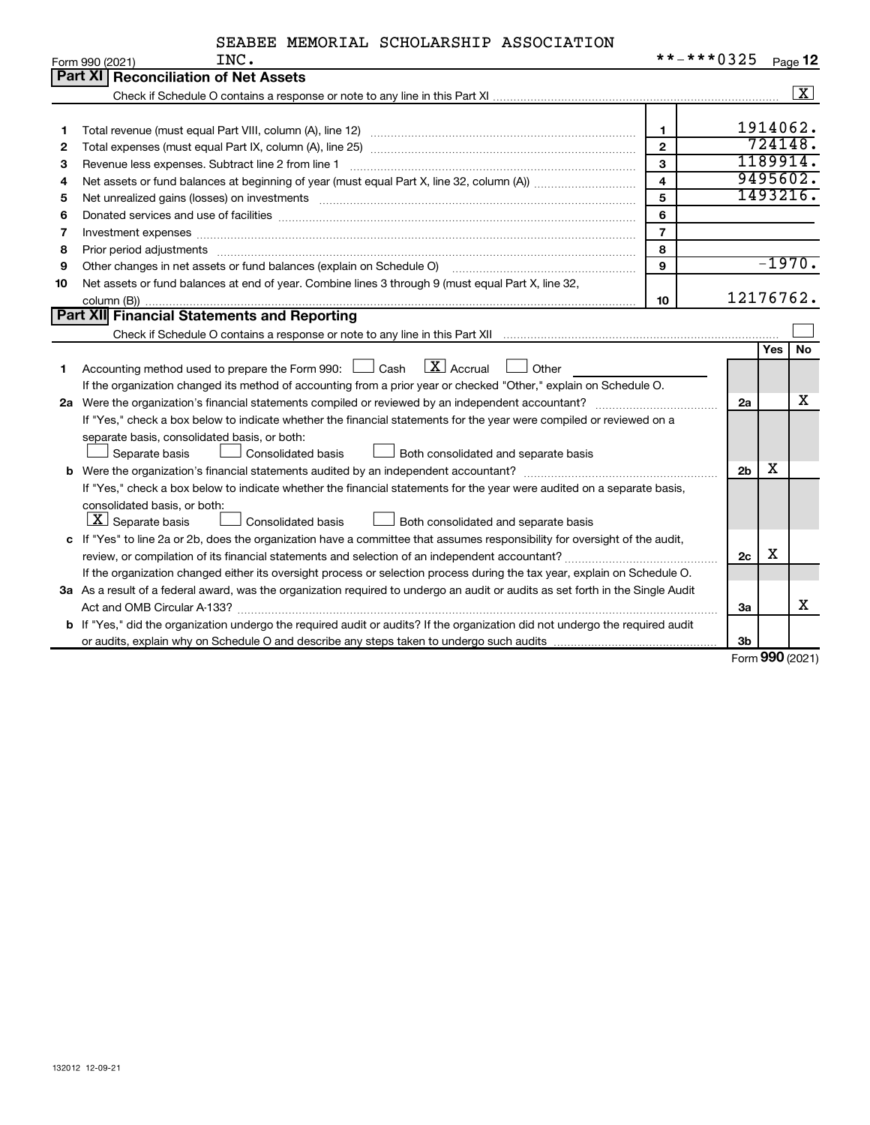| SEABEE MEMORIAL SCHOLARSHIP ASSOCIATION |  |  |  |  |
|-----------------------------------------|--|--|--|--|
|-----------------------------------------|--|--|--|--|

|    | INC.<br>Form 990 (2021)                                                                                                                                     | **-***0325                                                                                                                                                                                                                                                                                                                                                    |                |            | Page 12    |
|----|-------------------------------------------------------------------------------------------------------------------------------------------------------------|---------------------------------------------------------------------------------------------------------------------------------------------------------------------------------------------------------------------------------------------------------------------------------------------------------------------------------------------------------------|----------------|------------|------------|
|    | Part XI Reconciliation of Net Assets                                                                                                                        |                                                                                                                                                                                                                                                                                                                                                               |                |            |            |
|    |                                                                                                                                                             |                                                                                                                                                                                                                                                                                                                                                               |                |            | $\sqrt{X}$ |
|    |                                                                                                                                                             |                                                                                                                                                                                                                                                                                                                                                               |                |            |            |
| 1  |                                                                                                                                                             | $\mathbf{1}$                                                                                                                                                                                                                                                                                                                                                  |                |            | 1914062.   |
| 2  |                                                                                                                                                             | $\mathbf{2}$                                                                                                                                                                                                                                                                                                                                                  |                |            | 724148.    |
| 3  | Revenue less expenses. Subtract line 2 from line 1                                                                                                          | 3                                                                                                                                                                                                                                                                                                                                                             |                |            | 1189914.   |
| 4  |                                                                                                                                                             | $\overline{\mathbf{4}}$                                                                                                                                                                                                                                                                                                                                       |                |            | 9495602.   |
| 5  |                                                                                                                                                             | 5                                                                                                                                                                                                                                                                                                                                                             |                |            | 1493216.   |
| 6  |                                                                                                                                                             | 6                                                                                                                                                                                                                                                                                                                                                             |                |            |            |
| 7  | Investment expenses www.communication.com/www.communication.com/www.communication.com/www.com                                                               | $\overline{7}$                                                                                                                                                                                                                                                                                                                                                |                |            |            |
| 8  |                                                                                                                                                             | 8                                                                                                                                                                                                                                                                                                                                                             |                |            |            |
| 9  | Other changes in net assets or fund balances (explain on Schedule O) manufactured controller changes in net assets or fund balances (explain on Schedule O) | $\mathbf{Q}$                                                                                                                                                                                                                                                                                                                                                  |                |            | $-1970.$   |
| 10 | Net assets or fund balances at end of year. Combine lines 3 through 9 (must equal Part X, line 32,                                                          |                                                                                                                                                                                                                                                                                                                                                               |                |            |            |
|    |                                                                                                                                                             | 10                                                                                                                                                                                                                                                                                                                                                            | 12176762.      |            |            |
|    | Part XII Financial Statements and Reporting                                                                                                                 |                                                                                                                                                                                                                                                                                                                                                               |                |            |            |
|    |                                                                                                                                                             |                                                                                                                                                                                                                                                                                                                                                               |                |            |            |
|    |                                                                                                                                                             |                                                                                                                                                                                                                                                                                                                                                               |                | <b>Yes</b> | No         |
| 1  | Accounting method used to prepare the Form 990: $\Box$ Cash $\Box X$ Accrual<br>Other                                                                       |                                                                                                                                                                                                                                                                                                                                                               |                |            |            |
|    | If the organization changed its method of accounting from a prior year or checked "Other," explain on Schedule O.                                           |                                                                                                                                                                                                                                                                                                                                                               |                |            |            |
|    | 2a Were the organization's financial statements compiled or reviewed by an independent accountant?                                                          | $\mathcal{L} = \{1, 2, \ldots, 2, \ldots, 2, \ldots, 2, \ldots, 2, \ldots, 2, \ldots, 2, \ldots, 2, \ldots, 2, \ldots, 2, \ldots, 2, \ldots, 2, \ldots, 2, \ldots, 2, \ldots, 2, \ldots, 2, \ldots, 2, \ldots, 2, \ldots, 2, \ldots, 2, \ldots, 2, \ldots, 2, \ldots, 2, \ldots, 2, \ldots, 2, \ldots, 2, \ldots, 2, \ldots, 2, \ldots, 2, \ldots, 2, \ldots$ | 2a             |            | x          |
|    | If "Yes," check a box below to indicate whether the financial statements for the year were compiled or reviewed on a                                        |                                                                                                                                                                                                                                                                                                                                                               |                |            |            |
|    | separate basis, consolidated basis, or both:                                                                                                                |                                                                                                                                                                                                                                                                                                                                                               |                |            |            |
|    | Separate basis<br>Consolidated basis<br>Both consolidated and separate basis                                                                                |                                                                                                                                                                                                                                                                                                                                                               |                |            |            |
|    |                                                                                                                                                             |                                                                                                                                                                                                                                                                                                                                                               | 2 <sub>b</sub> | х          |            |
|    | If "Yes," check a box below to indicate whether the financial statements for the year were audited on a separate basis,                                     |                                                                                                                                                                                                                                                                                                                                                               |                |            |            |
|    | consolidated basis, or both:                                                                                                                                |                                                                                                                                                                                                                                                                                                                                                               |                |            |            |
|    | $\lfloor x \rfloor$ Separate basis<br>Consolidated basis<br>Both consolidated and separate basis                                                            |                                                                                                                                                                                                                                                                                                                                                               |                |            |            |
|    | c If "Yes" to line 2a or 2b, does the organization have a committee that assumes responsibility for oversight of the audit,                                 |                                                                                                                                                                                                                                                                                                                                                               |                |            |            |
|    | review, or compilation of its financial statements and selection of an independent accountant?                                                              |                                                                                                                                                                                                                                                                                                                                                               | 2c             | X          |            |
|    | If the organization changed either its oversight process or selection process during the tax year, explain on Schedule O.                                   |                                                                                                                                                                                                                                                                                                                                                               |                |            |            |
|    | 3a As a result of a federal award, was the organization required to undergo an audit or audits as set forth in the Single Audit                             |                                                                                                                                                                                                                                                                                                                                                               |                |            |            |
|    |                                                                                                                                                             |                                                                                                                                                                                                                                                                                                                                                               | За             |            | X          |
|    | <b>b</b> If "Yes," did the organization undergo the required audit or audits? If the organization did not undergo the required audit                        |                                                                                                                                                                                                                                                                                                                                                               |                |            |            |
|    |                                                                                                                                                             |                                                                                                                                                                                                                                                                                                                                                               | 3b             |            |            |

Form (2021) **990**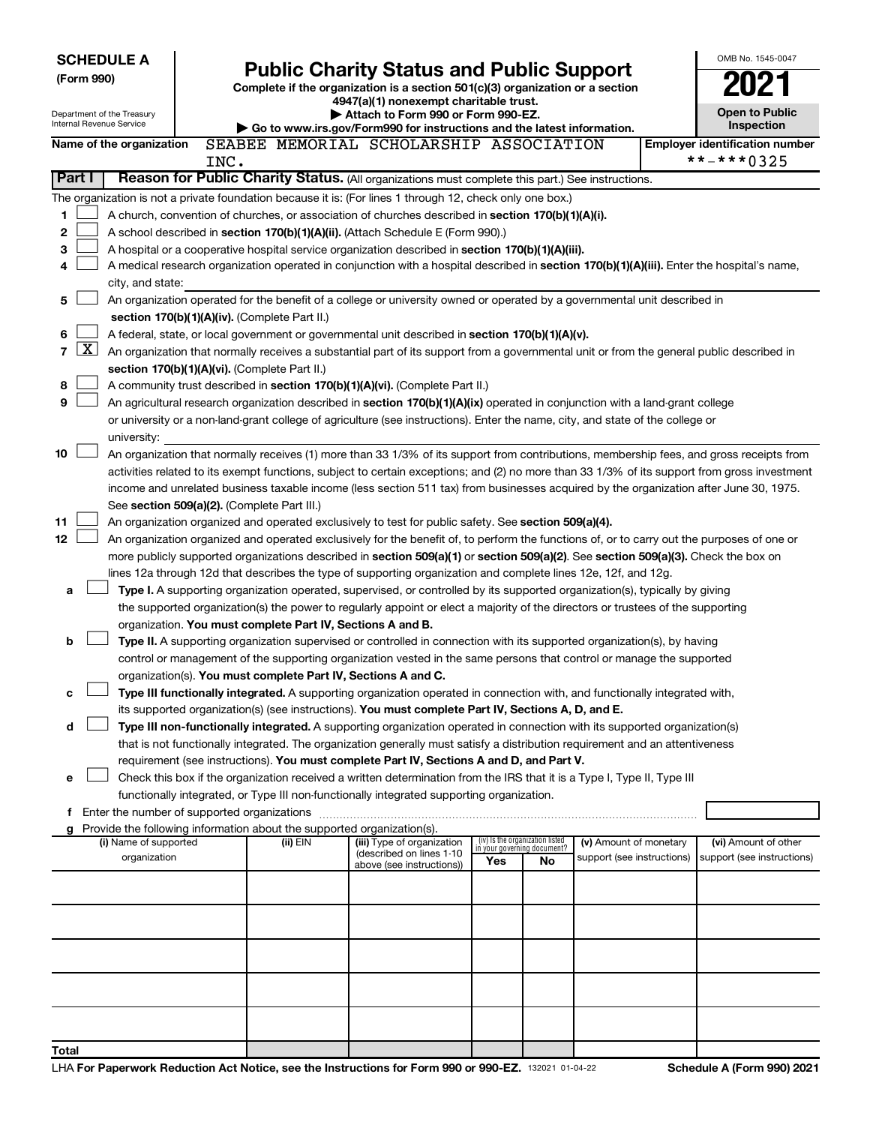|                                                                                                              |                         | <b>SCHEDULE A</b>                           |      |                                                                                      |                                                                                                                                              |                                    |                                 |                            |  | OMB No. 1545-0047          |
|--------------------------------------------------------------------------------------------------------------|-------------------------|---------------------------------------------|------|--------------------------------------------------------------------------------------|----------------------------------------------------------------------------------------------------------------------------------------------|------------------------------------|---------------------------------|----------------------------|--|----------------------------|
|                                                                                                              | (Form 990)              |                                             |      |                                                                                      | <b>Public Charity Status and Public Support</b>                                                                                              |                                    |                                 |                            |  |                            |
|                                                                                                              |                         |                                             |      |                                                                                      | Complete if the organization is a section 501(c)(3) organization or a section                                                                |                                    |                                 |                            |  |                            |
|                                                                                                              |                         | Department of the Treasury                  |      |                                                                                      | 4947(a)(1) nonexempt charitable trust.<br>Attach to Form 990 or Form 990-EZ.                                                                 |                                    |                                 |                            |  | <b>Open to Public</b>      |
| Internal Revenue Service<br>Go to www.irs.gov/Form990 for instructions and the latest information.           |                         |                                             |      |                                                                                      |                                                                                                                                              | <b>Inspection</b>                  |                                 |                            |  |                            |
| SEABEE MEMORIAL SCHOLARSHIP ASSOCIATION<br><b>Employer identification number</b><br>Name of the organization |                         |                                             |      |                                                                                      |                                                                                                                                              |                                    |                                 |                            |  |                            |
|                                                                                                              |                         |                                             | INC. |                                                                                      |                                                                                                                                              |                                    |                                 |                            |  | **-***0325                 |
|                                                                                                              | Part I                  |                                             |      |                                                                                      | Reason for Public Charity Status. (All organizations must complete this part.) See instructions.                                             |                                    |                                 |                            |  |                            |
|                                                                                                              |                         |                                             |      |                                                                                      | The organization is not a private foundation because it is: (For lines 1 through 12, check only one box.)                                    |                                    |                                 |                            |  |                            |
| 1                                                                                                            |                         |                                             |      |                                                                                      | A church, convention of churches, or association of churches described in section 170(b)(1)(A)(i).                                           |                                    |                                 |                            |  |                            |
| 2                                                                                                            |                         |                                             |      |                                                                                      | A school described in section 170(b)(1)(A)(ii). (Attach Schedule E (Form 990).)                                                              |                                    |                                 |                            |  |                            |
| 3                                                                                                            |                         |                                             |      |                                                                                      | A hospital or a cooperative hospital service organization described in section 170(b)(1)(A)(iii).                                            |                                    |                                 |                            |  |                            |
| 4                                                                                                            |                         |                                             |      |                                                                                      | A medical research organization operated in conjunction with a hospital described in section 170(b)(1)(A)(iii). Enter the hospital's name,   |                                    |                                 |                            |  |                            |
|                                                                                                              |                         | city, and state:                            |      |                                                                                      |                                                                                                                                              |                                    |                                 |                            |  |                            |
| 5                                                                                                            |                         |                                             |      |                                                                                      | An organization operated for the benefit of a college or university owned or operated by a governmental unit described in                    |                                    |                                 |                            |  |                            |
|                                                                                                              |                         |                                             |      | section 170(b)(1)(A)(iv). (Complete Part II.)                                        |                                                                                                                                              |                                    |                                 |                            |  |                            |
| 6                                                                                                            | $\overline{\mathbf{X}}$ |                                             |      |                                                                                      | A federal, state, or local government or governmental unit described in section 170(b)(1)(A)(v).                                             |                                    |                                 |                            |  |                            |
| 7                                                                                                            |                         |                                             |      |                                                                                      | An organization that normally receives a substantial part of its support from a governmental unit or from the general public described in    |                                    |                                 |                            |  |                            |
|                                                                                                              |                         |                                             |      | section 170(b)(1)(A)(vi). (Complete Part II.)                                        |                                                                                                                                              |                                    |                                 |                            |  |                            |
| 8<br>9                                                                                                       |                         |                                             |      |                                                                                      | A community trust described in section 170(b)(1)(A)(vi). (Complete Part II.)                                                                 |                                    |                                 |                            |  |                            |
|                                                                                                              |                         |                                             |      |                                                                                      | An agricultural research organization described in section 170(b)(1)(A)(ix) operated in conjunction with a land-grant college                |                                    |                                 |                            |  |                            |
|                                                                                                              |                         | university:                                 |      |                                                                                      | or university or a non-land-grant college of agriculture (see instructions). Enter the name, city, and state of the college or               |                                    |                                 |                            |  |                            |
| 10                                                                                                           |                         |                                             |      |                                                                                      | An organization that normally receives (1) more than 33 1/3% of its support from contributions, membership fees, and gross receipts from     |                                    |                                 |                            |  |                            |
|                                                                                                              |                         |                                             |      |                                                                                      | activities related to its exempt functions, subject to certain exceptions; and (2) no more than 33 1/3% of its support from gross investment |                                    |                                 |                            |  |                            |
|                                                                                                              |                         |                                             |      |                                                                                      | income and unrelated business taxable income (less section 511 tax) from businesses acquired by the organization after June 30, 1975.        |                                    |                                 |                            |  |                            |
|                                                                                                              |                         |                                             |      | See section 509(a)(2). (Complete Part III.)                                          |                                                                                                                                              |                                    |                                 |                            |  |                            |
| 11                                                                                                           |                         |                                             |      |                                                                                      | An organization organized and operated exclusively to test for public safety. See section 509(a)(4).                                         |                                    |                                 |                            |  |                            |
| 12                                                                                                           |                         |                                             |      |                                                                                      | An organization organized and operated exclusively for the benefit of, to perform the functions of, or to carry out the purposes of one or   |                                    |                                 |                            |  |                            |
|                                                                                                              |                         |                                             |      |                                                                                      | more publicly supported organizations described in section 509(a)(1) or section 509(a)(2). See section 509(a)(3). Check the box on           |                                    |                                 |                            |  |                            |
|                                                                                                              |                         |                                             |      |                                                                                      | lines 12a through 12d that describes the type of supporting organization and complete lines 12e, 12f, and 12g.                               |                                    |                                 |                            |  |                            |
| а                                                                                                            |                         |                                             |      |                                                                                      | Type I. A supporting organization operated, supervised, or controlled by its supported organization(s), typically by giving                  |                                    |                                 |                            |  |                            |
|                                                                                                              |                         |                                             |      |                                                                                      | the supported organization(s) the power to regularly appoint or elect a majority of the directors or trustees of the supporting              |                                    |                                 |                            |  |                            |
|                                                                                                              |                         |                                             |      | organization. You must complete Part IV, Sections A and B.                           |                                                                                                                                              |                                    |                                 |                            |  |                            |
| b                                                                                                            |                         |                                             |      |                                                                                      | Type II. A supporting organization supervised or controlled in connection with its supported organization(s), by having                      |                                    |                                 |                            |  |                            |
|                                                                                                              |                         |                                             |      |                                                                                      | control or management of the supporting organization vested in the same persons that control or manage the supported                         |                                    |                                 |                            |  |                            |
|                                                                                                              |                         |                                             |      | organization(s). You must complete Part IV, Sections A and C.                        |                                                                                                                                              |                                    |                                 |                            |  |                            |
| с                                                                                                            |                         |                                             |      |                                                                                      | Type III functionally integrated. A supporting organization operated in connection with, and functionally integrated with,                   |                                    |                                 |                            |  |                            |
|                                                                                                              |                         |                                             |      |                                                                                      | its supported organization(s) (see instructions). You must complete Part IV, Sections A, D, and E.                                           |                                    |                                 |                            |  |                            |
| d                                                                                                            |                         |                                             |      |                                                                                      | Type III non-functionally integrated. A supporting organization operated in connection with its supported organization(s)                    |                                    |                                 |                            |  |                            |
|                                                                                                              |                         |                                             |      |                                                                                      | that is not functionally integrated. The organization generally must satisfy a distribution requirement and an attentiveness                 |                                    |                                 |                            |  |                            |
|                                                                                                              |                         |                                             |      |                                                                                      | requirement (see instructions). You must complete Part IV, Sections A and D, and Part V.                                                     |                                    |                                 |                            |  |                            |
| е                                                                                                            |                         |                                             |      |                                                                                      | Check this box if the organization received a written determination from the IRS that it is a Type I, Type II, Type III                      |                                    |                                 |                            |  |                            |
|                                                                                                              |                         |                                             |      |                                                                                      | functionally integrated, or Type III non-functionally integrated supporting organization.                                                    |                                    |                                 |                            |  |                            |
| f.                                                                                                           |                         | Enter the number of supported organizations |      |                                                                                      |                                                                                                                                              |                                    |                                 |                            |  |                            |
|                                                                                                              |                         | (i) Name of supported                       |      | g Provide the following information about the supported organization(s).<br>(ii) EIN | (iii) Type of organization                                                                                                                   |                                    | (iv) Is the organization listed | (v) Amount of monetary     |  | (vi) Amount of other       |
|                                                                                                              |                         | organization                                |      |                                                                                      | (described on lines 1-10                                                                                                                     | in your governing document?<br>Yes | No                              | support (see instructions) |  | support (see instructions) |
|                                                                                                              |                         |                                             |      |                                                                                      | above (see instructions))                                                                                                                    |                                    |                                 |                            |  |                            |
|                                                                                                              |                         |                                             |      |                                                                                      |                                                                                                                                              |                                    |                                 |                            |  |                            |
|                                                                                                              |                         |                                             |      |                                                                                      |                                                                                                                                              |                                    |                                 |                            |  |                            |
|                                                                                                              |                         |                                             |      |                                                                                      |                                                                                                                                              |                                    |                                 |                            |  |                            |
|                                                                                                              |                         |                                             |      |                                                                                      |                                                                                                                                              |                                    |                                 |                            |  |                            |
|                                                                                                              |                         |                                             |      |                                                                                      |                                                                                                                                              |                                    |                                 |                            |  |                            |
|                                                                                                              |                         |                                             |      |                                                                                      |                                                                                                                                              |                                    |                                 |                            |  |                            |
|                                                                                                              |                         |                                             |      |                                                                                      |                                                                                                                                              |                                    |                                 |                            |  |                            |
|                                                                                                              |                         |                                             |      |                                                                                      |                                                                                                                                              |                                    |                                 |                            |  |                            |
| Total                                                                                                        |                         |                                             |      |                                                                                      |                                                                                                                                              |                                    |                                 |                            |  |                            |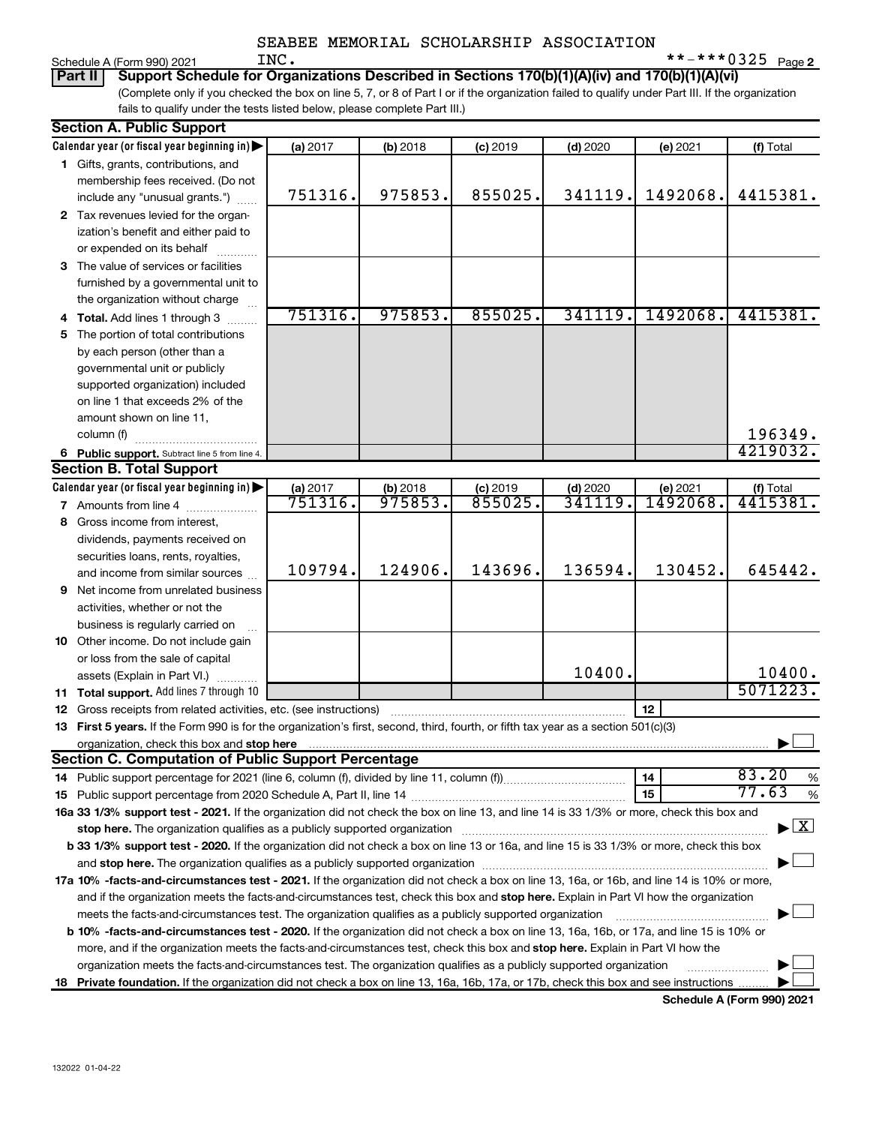Schedule A (Form 990) 2021 Page Processes of the USA of the USA of the USA of the USA of the Processes of the P

 $***$   $***$  0325 Page 2 INC. \*\*-\*\*\*0325

| Part II Support Schedule for Organizations Described in Sections 170(b)(1)(A)(iv) and 170(b)(1)(A)(vi)                                          |
|-------------------------------------------------------------------------------------------------------------------------------------------------|
| (Complete only if you checked the box on line 5, 7, or 8 of Part I or if the organization failed to qualify under Part III. If the organization |
| fails to qualify under the tests listed below, please complete Part III.)                                                                       |

|    | <b>Section A. Public Support</b>                                                                                                                                                                                               |                     |                     |                       |                       |                      |                                          |
|----|--------------------------------------------------------------------------------------------------------------------------------------------------------------------------------------------------------------------------------|---------------------|---------------------|-----------------------|-----------------------|----------------------|------------------------------------------|
|    | Calendar year (or fiscal year beginning in)                                                                                                                                                                                    | (a) 2017            | $(b)$ 2018          | $(c)$ 2019            | $(d)$ 2020            | (e) 2021             | (f) Total                                |
|    | 1 Gifts, grants, contributions, and                                                                                                                                                                                            |                     |                     |                       |                       |                      |                                          |
|    | membership fees received. (Do not                                                                                                                                                                                              |                     |                     |                       |                       |                      |                                          |
|    | include any "unusual grants.")                                                                                                                                                                                                 | 751316.             | 975853.             | 855025.               | 341119.               | 1492068.             | 4415381.                                 |
|    | 2 Tax revenues levied for the organ-                                                                                                                                                                                           |                     |                     |                       |                       |                      |                                          |
|    | ization's benefit and either paid to                                                                                                                                                                                           |                     |                     |                       |                       |                      |                                          |
|    | or expended on its behalf                                                                                                                                                                                                      |                     |                     |                       |                       |                      |                                          |
|    | 3 The value of services or facilities                                                                                                                                                                                          |                     |                     |                       |                       |                      |                                          |
|    | furnished by a governmental unit to                                                                                                                                                                                            |                     |                     |                       |                       |                      |                                          |
|    | the organization without charge                                                                                                                                                                                                |                     |                     |                       |                       |                      |                                          |
|    | 4 Total. Add lines 1 through 3                                                                                                                                                                                                 | 751316.             | 975853.             | 855025.               | 341119.               | 1492068.             | 4415381.                                 |
| 5. | The portion of total contributions                                                                                                                                                                                             |                     |                     |                       |                       |                      |                                          |
|    | by each person (other than a                                                                                                                                                                                                   |                     |                     |                       |                       |                      |                                          |
|    | governmental unit or publicly                                                                                                                                                                                                  |                     |                     |                       |                       |                      |                                          |
|    | supported organization) included                                                                                                                                                                                               |                     |                     |                       |                       |                      |                                          |
|    | on line 1 that exceeds 2% of the                                                                                                                                                                                               |                     |                     |                       |                       |                      |                                          |
|    | amount shown on line 11,                                                                                                                                                                                                       |                     |                     |                       |                       |                      |                                          |
|    | column (f)                                                                                                                                                                                                                     |                     |                     |                       |                       |                      | 196349.                                  |
|    |                                                                                                                                                                                                                                |                     |                     |                       |                       |                      | 4219032.                                 |
|    | 6 Public support. Subtract line 5 from line 4.<br><b>Section B. Total Support</b>                                                                                                                                              |                     |                     |                       |                       |                      |                                          |
|    | Calendar year (or fiscal year beginning in)                                                                                                                                                                                    |                     |                     |                       |                       |                      |                                          |
|    |                                                                                                                                                                                                                                | (a) 2017<br>751316. | (b) 2018<br>975853. | $(c)$ 2019<br>855025. | $(d)$ 2020<br>341119. | (e) 2021<br>1492068. | (f) Total<br>4415381.                    |
|    | <b>7</b> Amounts from line 4                                                                                                                                                                                                   |                     |                     |                       |                       |                      |                                          |
| 8  | Gross income from interest,                                                                                                                                                                                                    |                     |                     |                       |                       |                      |                                          |
|    | dividends, payments received on                                                                                                                                                                                                |                     |                     |                       |                       |                      |                                          |
|    | securities loans, rents, royalties,                                                                                                                                                                                            |                     |                     |                       |                       |                      |                                          |
|    | and income from similar sources                                                                                                                                                                                                | 109794.             | 124906.             | 143696.               | 136594.               | 130452.              | 645442.                                  |
|    | 9 Net income from unrelated business                                                                                                                                                                                           |                     |                     |                       |                       |                      |                                          |
|    | activities, whether or not the                                                                                                                                                                                                 |                     |                     |                       |                       |                      |                                          |
|    | business is regularly carried on                                                                                                                                                                                               |                     |                     |                       |                       |                      |                                          |
|    | 10 Other income. Do not include gain                                                                                                                                                                                           |                     |                     |                       |                       |                      |                                          |
|    | or loss from the sale of capital                                                                                                                                                                                               |                     |                     |                       |                       |                      |                                          |
|    | assets (Explain in Part VI.)                                                                                                                                                                                                   |                     |                     |                       | 10400.                |                      | 10400.                                   |
|    | 11 Total support. Add lines 7 through 10                                                                                                                                                                                       |                     |                     |                       |                       |                      | 5071223.                                 |
|    | <b>12</b> Gross receipts from related activities, etc. (see instructions)                                                                                                                                                      |                     |                     |                       |                       | 12                   |                                          |
|    | 13 First 5 years. If the Form 990 is for the organization's first, second, third, fourth, or fifth tax year as a section 501(c)(3)                                                                                             |                     |                     |                       |                       |                      |                                          |
|    |                                                                                                                                                                                                                                |                     |                     |                       |                       |                      |                                          |
|    | <b>Section C. Computation of Public Support Percentage</b>                                                                                                                                                                     |                     |                     |                       |                       |                      |                                          |
|    |                                                                                                                                                                                                                                |                     |                     |                       |                       | 14                   | 83.20<br>%                               |
|    |                                                                                                                                                                                                                                |                     |                     |                       |                       | 15                   | 77.63<br>$\%$                            |
|    | 16a 33 1/3% support test - 2021. If the organization did not check the box on line 13, and line 14 is 33 1/3% or more, check this box and                                                                                      |                     |                     |                       |                       |                      |                                          |
|    | stop here. The organization qualifies as a publicly supported organization manufaction manufacture or manufacture or the organization manufacture or the organization of the state of the state of the state of the state of t |                     |                     |                       |                       |                      | $\blacktriangleright$ $\boxed{\text{X}}$ |
|    | b 33 1/3% support test - 2020. If the organization did not check a box on line 13 or 16a, and line 15 is 33 1/3% or more, check this box                                                                                       |                     |                     |                       |                       |                      |                                          |
|    |                                                                                                                                                                                                                                |                     |                     |                       |                       |                      |                                          |
|    | 17a 10% -facts-and-circumstances test - 2021. If the organization did not check a box on line 13, 16a, or 16b, and line 14 is 10% or more,                                                                                     |                     |                     |                       |                       |                      |                                          |
|    | and if the organization meets the facts-and-circumstances test, check this box and stop here. Explain in Part VI how the organization                                                                                          |                     |                     |                       |                       |                      |                                          |
|    | meets the facts-and-circumstances test. The organization qualifies as a publicly supported organization                                                                                                                        |                     |                     |                       |                       |                      |                                          |
|    | b 10% -facts-and-circumstances test - 2020. If the organization did not check a box on line 13, 16a, 16b, or 17a, and line 15 is 10% or                                                                                        |                     |                     |                       |                       |                      |                                          |
|    | more, and if the organization meets the facts-and-circumstances test, check this box and stop here. Explain in Part VI how the                                                                                                 |                     |                     |                       |                       |                      |                                          |
|    | organization meets the facts-and-circumstances test. The organization qualifies as a publicly supported organization                                                                                                           |                     |                     |                       |                       |                      |                                          |
|    | 18 Private foundation. If the organization did not check a box on line 13, 16a, 16b, 17a, or 17b, check this box and see instructions                                                                                          |                     |                     |                       |                       |                      |                                          |
|    |                                                                                                                                                                                                                                |                     |                     |                       |                       |                      |                                          |

**Schedule A (Form 990) 2021**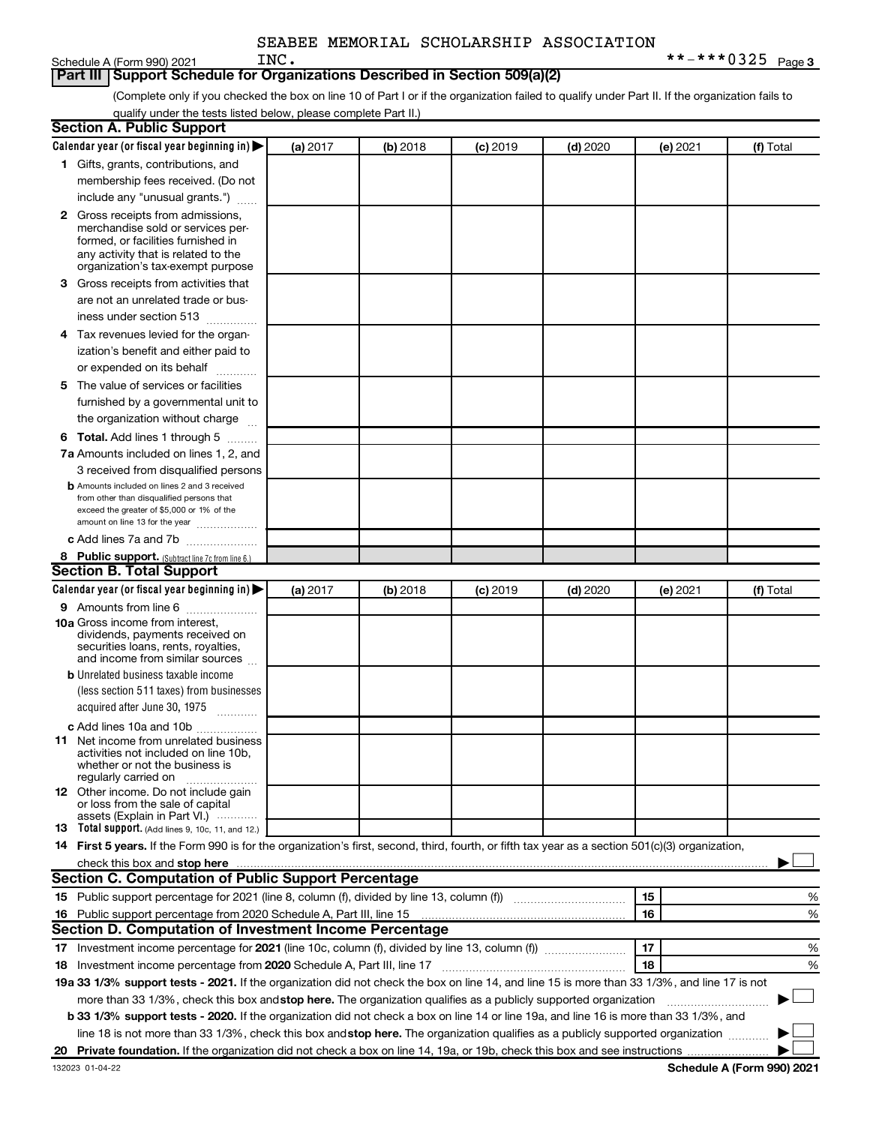Schedule A (Form 990) 2021  $N$ 

#### **Part III Support Schedule for Organizations Described in Section 509(a)(2)**

(Complete only if you checked the box on line 10 of Part I or if the organization failed to qualify under Part II. If the organization fails to qualify under the tests listed below, please complete Part II.)

| <b>Section A. Public Support</b>                                                                                                                 |          |          |                 |            |          |           |
|--------------------------------------------------------------------------------------------------------------------------------------------------|----------|----------|-----------------|------------|----------|-----------|
| Calendar year (or fiscal year beginning in)                                                                                                      | (a) 2017 | (b) 2018 | <b>(c)</b> 2019 | $(d)$ 2020 | (e) 2021 | (f) Total |
| 1 Gifts, grants, contributions, and                                                                                                              |          |          |                 |            |          |           |
| membership fees received. (Do not                                                                                                                |          |          |                 |            |          |           |
| include any "unusual grants.")                                                                                                                   |          |          |                 |            |          |           |
| 2 Gross receipts from admissions,                                                                                                                |          |          |                 |            |          |           |
| merchandise sold or services per-                                                                                                                |          |          |                 |            |          |           |
| formed, or facilities furnished in                                                                                                               |          |          |                 |            |          |           |
| any activity that is related to the<br>organization's tax-exempt purpose                                                                         |          |          |                 |            |          |           |
| 3 Gross receipts from activities that                                                                                                            |          |          |                 |            |          |           |
| are not an unrelated trade or bus-                                                                                                               |          |          |                 |            |          |           |
| iness under section 513                                                                                                                          |          |          |                 |            |          |           |
| 4 Tax revenues levied for the organ-                                                                                                             |          |          |                 |            |          |           |
| ization's benefit and either paid to                                                                                                             |          |          |                 |            |          |           |
| or expended on its behalf                                                                                                                        |          |          |                 |            |          |           |
| 5 The value of services or facilities                                                                                                            |          |          |                 |            |          |           |
|                                                                                                                                                  |          |          |                 |            |          |           |
| furnished by a governmental unit to                                                                                                              |          |          |                 |            |          |           |
| the organization without charge                                                                                                                  |          |          |                 |            |          |           |
| <b>6 Total.</b> Add lines 1 through 5                                                                                                            |          |          |                 |            |          |           |
| 7a Amounts included on lines 1, 2, and                                                                                                           |          |          |                 |            |          |           |
| 3 received from disqualified persons                                                                                                             |          |          |                 |            |          |           |
| <b>b</b> Amounts included on lines 2 and 3 received<br>from other than disqualified persons that                                                 |          |          |                 |            |          |           |
| exceed the greater of \$5,000 or 1% of the                                                                                                       |          |          |                 |            |          |           |
| amount on line 13 for the year                                                                                                                   |          |          |                 |            |          |           |
| c Add lines 7a and 7b                                                                                                                            |          |          |                 |            |          |           |
| 8 Public support. (Subtract line 7c from line 6.)                                                                                                |          |          |                 |            |          |           |
| <b>Section B. Total Support</b>                                                                                                                  |          |          |                 |            |          |           |
| Calendar year (or fiscal year beginning in)                                                                                                      | (a) 2017 | (b) 2018 | <b>(c)</b> 2019 | $(d)$ 2020 | (e) 2021 | (f) Total |
| 9 Amounts from line 6                                                                                                                            |          |          |                 |            |          |           |
| <b>10a</b> Gross income from interest,                                                                                                           |          |          |                 |            |          |           |
| dividends, payments received on<br>securities loans, rents, royalties,                                                                           |          |          |                 |            |          |           |
| and income from similar sources                                                                                                                  |          |          |                 |            |          |           |
| <b>b</b> Unrelated business taxable income                                                                                                       |          |          |                 |            |          |           |
| (less section 511 taxes) from businesses                                                                                                         |          |          |                 |            |          |           |
| acquired after June 30, 1975<br>$\frac{1}{2}$                                                                                                    |          |          |                 |            |          |           |
| c Add lines 10a and 10b                                                                                                                          |          |          |                 |            |          |           |
| 11 Net income from unrelated business                                                                                                            |          |          |                 |            |          |           |
| activities not included on line 10b,                                                                                                             |          |          |                 |            |          |           |
| whether or not the business is<br>regularly carried on                                                                                           |          |          |                 |            |          |           |
| <b>12</b> Other income. Do not include gain                                                                                                      |          |          |                 |            |          |           |
| or loss from the sale of capital                                                                                                                 |          |          |                 |            |          |           |
| assets (Explain in Part VI.)                                                                                                                     |          |          |                 |            |          |           |
| <b>13</b> Total support. (Add lines 9, 10c, 11, and 12.)                                                                                         |          |          |                 |            |          |           |
| 14 First 5 years. If the Form 990 is for the organization's first, second, third, fourth, or fifth tax year as a section 501(c)(3) organization, |          |          |                 |            |          |           |
| Section C. Computation of Public Support Percentage                                                                                              |          |          |                 |            |          |           |
|                                                                                                                                                  |          |          |                 |            | 15       |           |
|                                                                                                                                                  |          |          |                 |            |          | %         |
| 16 Public support percentage from 2020 Schedule A, Part III, line 15                                                                             |          |          |                 |            | 16       | %         |
| Section D. Computation of Investment Income Percentage                                                                                           |          |          |                 |            |          |           |
|                                                                                                                                                  |          |          |                 |            | 17       | %         |
| 18 Investment income percentage from 2020 Schedule A, Part III, line 17                                                                          |          |          |                 |            | 18       | %         |
| 19a 33 1/3% support tests - 2021. If the organization did not check the box on line 14, and line 15 is more than 33 1/3%, and line 17 is not     |          |          |                 |            |          |           |
| more than 33 1/3%, check this box and stop here. The organization qualifies as a publicly supported organization                                 |          |          |                 |            |          |           |
| b 33 1/3% support tests - 2020. If the organization did not check a box on line 14 or line 19a, and line 16 is more than 33 1/3%, and            |          |          |                 |            |          |           |
| line 18 is not more than 33 1/3%, check this box and stop here. The organization qualifies as a publicly supported organization                  |          |          |                 |            |          |           |
|                                                                                                                                                  |          |          |                 |            |          |           |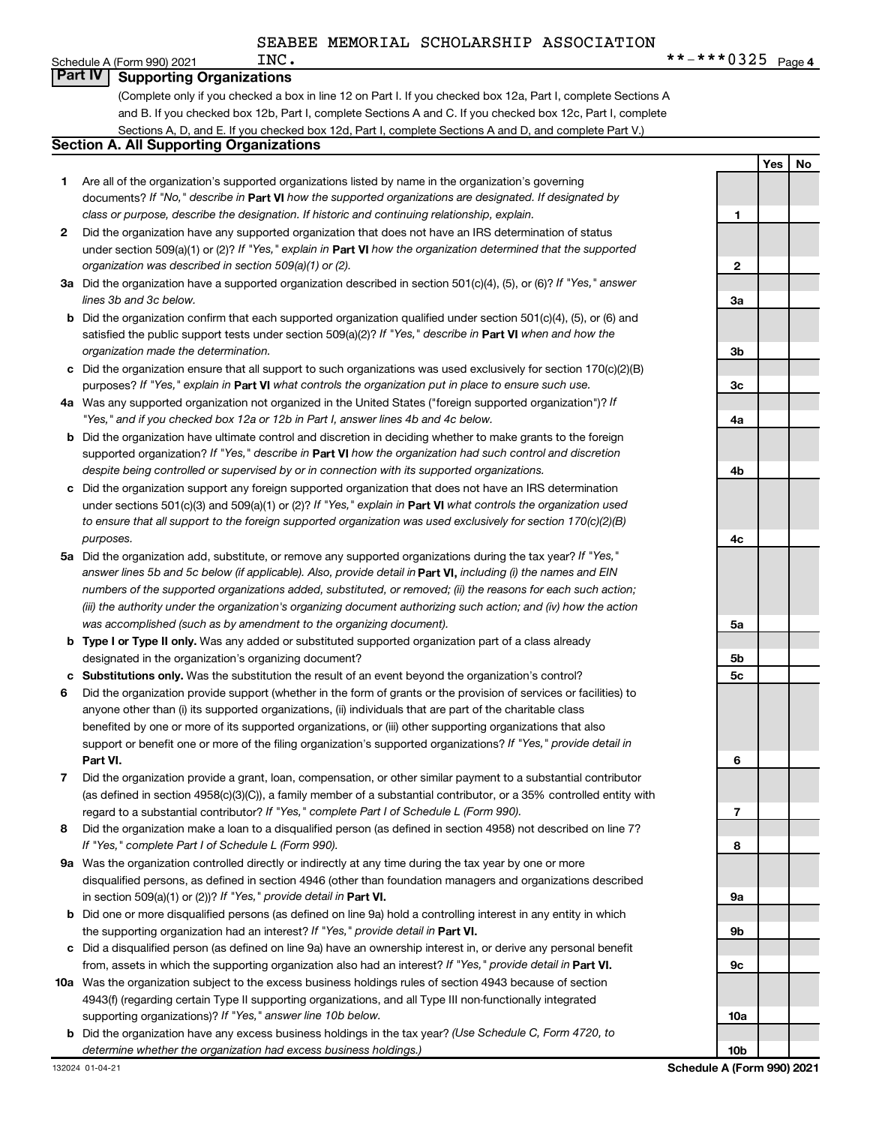Schedule A (Form 990) 2021  $I$ 

**INC.** \*\*-\*\*\*0325  $_{\text{Page 4}}$ 

**1**

**2**

**3a**

**3b**

**3c**

**4a**

**4b**

**4c**

**5a**

**5b 5c**

**6**

**7**

**8**

**9a**

**9b**

**9c**

**10a**

**Yes No**

### **Part IV Supporting Organizations**

(Complete only if you checked a box in line 12 on Part I. If you checked box 12a, Part I, complete Sections A and B. If you checked box 12b, Part I, complete Sections A and C. If you checked box 12c, Part I, complete Sections A, D, and E. If you checked box 12d, Part I, complete Sections A and D, and complete Part V.)

#### **Section A. All Supporting Organizations**

- **1** Are all of the organization's supported organizations listed by name in the organization's governing documents? If "No," describe in Part VI how the supported organizations are designated. If designated by *class or purpose, describe the designation. If historic and continuing relationship, explain.*
- **2** Did the organization have any supported organization that does not have an IRS determination of status under section 509(a)(1) or (2)? If "Yes," explain in Part **VI** how the organization determined that the supported *organization was described in section 509(a)(1) or (2).*
- **3a** Did the organization have a supported organization described in section 501(c)(4), (5), or (6)? If "Yes," answer *lines 3b and 3c below.*
- **b** Did the organization confirm that each supported organization qualified under section 501(c)(4), (5), or (6) and satisfied the public support tests under section 509(a)(2)? If "Yes," describe in Part VI when and how the *organization made the determination.*
- **c** Did the organization ensure that all support to such organizations was used exclusively for section 170(c)(2)(B) purposes? If "Yes," explain in Part VI what controls the organization put in place to ensure such use.
- **4 a** *If* Was any supported organization not organized in the United States ("foreign supported organization")? *"Yes," and if you checked box 12a or 12b in Part I, answer lines 4b and 4c below.*
- **b** Did the organization have ultimate control and discretion in deciding whether to make grants to the foreign supported organization? If "Yes," describe in Part VI how the organization had such control and discretion *despite being controlled or supervised by or in connection with its supported organizations.*
- **c** Did the organization support any foreign supported organization that does not have an IRS determination under sections 501(c)(3) and 509(a)(1) or (2)? If "Yes," explain in Part VI what controls the organization used *to ensure that all support to the foreign supported organization was used exclusively for section 170(c)(2)(B) purposes.*
- **5a** Did the organization add, substitute, or remove any supported organizations during the tax year? If "Yes," answer lines 5b and 5c below (if applicable). Also, provide detail in **Part VI,** including (i) the names and EIN *numbers of the supported organizations added, substituted, or removed; (ii) the reasons for each such action; (iii) the authority under the organization's organizing document authorizing such action; and (iv) how the action was accomplished (such as by amendment to the organizing document).*
- **b Type I or Type II only.** Was any added or substituted supported organization part of a class already designated in the organization's organizing document?
- **c Substitutions only.**  Was the substitution the result of an event beyond the organization's control?
- **6** Did the organization provide support (whether in the form of grants or the provision of services or facilities) to **Part VI.** support or benefit one or more of the filing organization's supported organizations? If "Yes," provide detail in anyone other than (i) its supported organizations, (ii) individuals that are part of the charitable class benefited by one or more of its supported organizations, or (iii) other supporting organizations that also
- **7** Did the organization provide a grant, loan, compensation, or other similar payment to a substantial contributor regard to a substantial contributor? If "Yes," complete Part I of Schedule L (Form 990). (as defined in section 4958(c)(3)(C)), a family member of a substantial contributor, or a 35% controlled entity with
- **8** Did the organization make a loan to a disqualified person (as defined in section 4958) not described on line 7? *If "Yes," complete Part I of Schedule L (Form 990).*
- **9 a** Was the organization controlled directly or indirectly at any time during the tax year by one or more in section 509(a)(1) or (2))? If "Yes," provide detail in **Part VI.** disqualified persons, as defined in section 4946 (other than foundation managers and organizations described
- **b** Did one or more disqualified persons (as defined on line 9a) hold a controlling interest in any entity in which the supporting organization had an interest? If "Yes," provide detail in Part VI.
- **c** Did a disqualified person (as defined on line 9a) have an ownership interest in, or derive any personal benefit from, assets in which the supporting organization also had an interest? If "Yes," provide detail in Part VI.
- **10 a** Was the organization subject to the excess business holdings rules of section 4943 because of section supporting organizations)? If "Yes," answer line 10b below. 4943(f) (regarding certain Type II supporting organizations, and all Type III non-functionally integrated
	- **b** Did the organization have any excess business holdings in the tax year? (Use Schedule C, Form 4720, to *determine whether the organization had excess business holdings.)*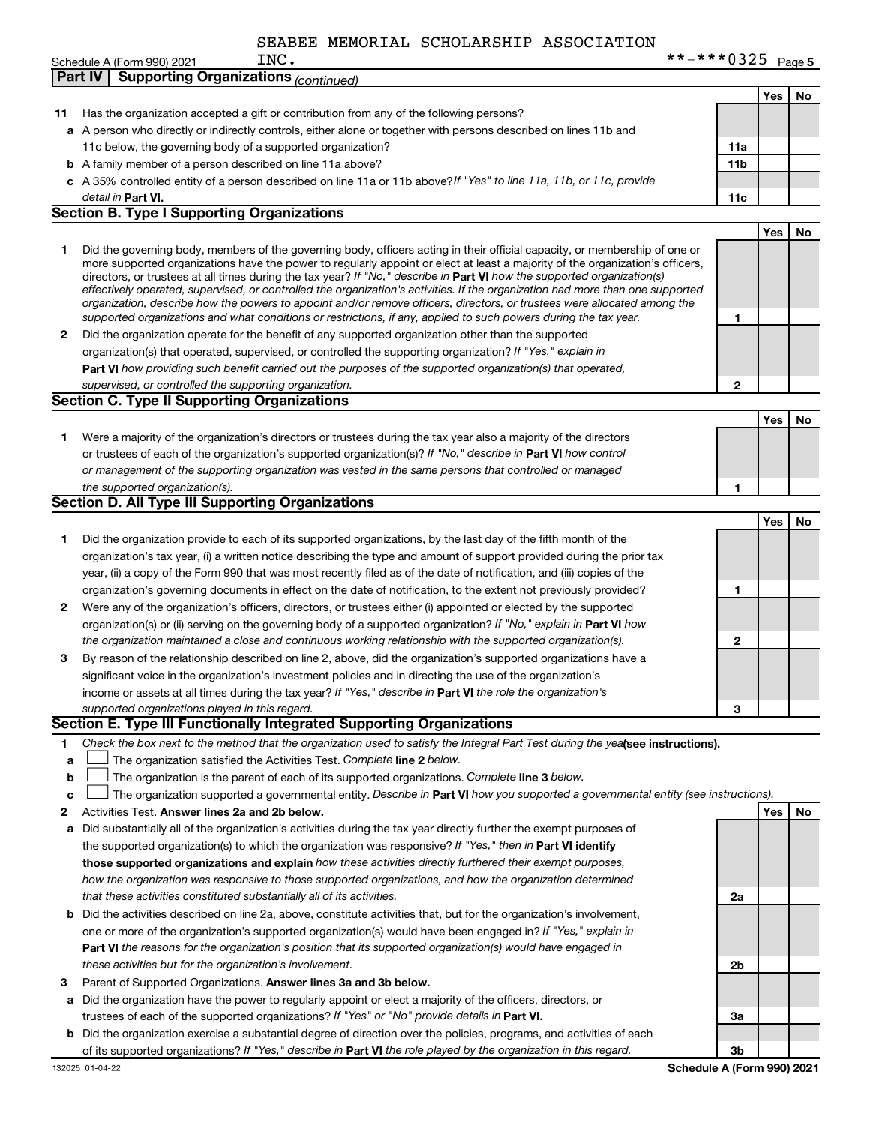| **-***0325 $_{\text{Paqe}}$ 5 |  |  |  |  |  |
|-------------------------------|--|--|--|--|--|
|-------------------------------|--|--|--|--|--|

|    | INC.<br>Schedule A (Form 990) 2021                                                                                                                                                                                                                                                                                                                                                                                                                                                                                                                                                                                                                                                                                                                                       |                 |     |    |
|----|--------------------------------------------------------------------------------------------------------------------------------------------------------------------------------------------------------------------------------------------------------------------------------------------------------------------------------------------------------------------------------------------------------------------------------------------------------------------------------------------------------------------------------------------------------------------------------------------------------------------------------------------------------------------------------------------------------------------------------------------------------------------------|-----------------|-----|----|
|    | <b>Supporting Organizations (continued)</b><br>Part IV                                                                                                                                                                                                                                                                                                                                                                                                                                                                                                                                                                                                                                                                                                                   |                 |     |    |
|    |                                                                                                                                                                                                                                                                                                                                                                                                                                                                                                                                                                                                                                                                                                                                                                          |                 | Yes | No |
| 11 | Has the organization accepted a gift or contribution from any of the following persons?                                                                                                                                                                                                                                                                                                                                                                                                                                                                                                                                                                                                                                                                                  |                 |     |    |
|    | a A person who directly or indirectly controls, either alone or together with persons described on lines 11b and                                                                                                                                                                                                                                                                                                                                                                                                                                                                                                                                                                                                                                                         |                 |     |    |
|    | 11c below, the governing body of a supported organization?                                                                                                                                                                                                                                                                                                                                                                                                                                                                                                                                                                                                                                                                                                               | 11a             |     |    |
|    | <b>b</b> A family member of a person described on line 11a above?                                                                                                                                                                                                                                                                                                                                                                                                                                                                                                                                                                                                                                                                                                        | 11 <sub>b</sub> |     |    |
|    | c A 35% controlled entity of a person described on line 11a or 11b above?If "Yes" to line 11a, 11b, or 11c, provide                                                                                                                                                                                                                                                                                                                                                                                                                                                                                                                                                                                                                                                      |                 |     |    |
|    | detail in Part VI.                                                                                                                                                                                                                                                                                                                                                                                                                                                                                                                                                                                                                                                                                                                                                       | 11c             |     |    |
|    | <b>Section B. Type I Supporting Organizations</b>                                                                                                                                                                                                                                                                                                                                                                                                                                                                                                                                                                                                                                                                                                                        |                 |     |    |
|    |                                                                                                                                                                                                                                                                                                                                                                                                                                                                                                                                                                                                                                                                                                                                                                          |                 | Yes | No |
| 1  | Did the governing body, members of the governing body, officers acting in their official capacity, or membership of one or<br>more supported organizations have the power to regularly appoint or elect at least a majority of the organization's officers,<br>directors, or trustees at all times during the tax year? If "No," describe in Part VI how the supported organization(s)<br>effectively operated, supervised, or controlled the organization's activities. If the organization had more than one supported<br>organization, describe how the powers to appoint and/or remove officers, directors, or trustees were allocated among the<br>supported organizations and what conditions or restrictions, if any, applied to such powers during the tax year. | 1               |     |    |
| 2  | Did the organization operate for the benefit of any supported organization other than the supported                                                                                                                                                                                                                                                                                                                                                                                                                                                                                                                                                                                                                                                                      |                 |     |    |
|    | organization(s) that operated, supervised, or controlled the supporting organization? If "Yes," explain in                                                                                                                                                                                                                                                                                                                                                                                                                                                                                                                                                                                                                                                               |                 |     |    |
|    | Part VI how providing such benefit carried out the purposes of the supported organization(s) that operated,                                                                                                                                                                                                                                                                                                                                                                                                                                                                                                                                                                                                                                                              |                 |     |    |
|    | supervised, or controlled the supporting organization.                                                                                                                                                                                                                                                                                                                                                                                                                                                                                                                                                                                                                                                                                                                   | $\mathbf{2}$    |     |    |
|    | <b>Section C. Type II Supporting Organizations</b>                                                                                                                                                                                                                                                                                                                                                                                                                                                                                                                                                                                                                                                                                                                       |                 |     |    |
|    |                                                                                                                                                                                                                                                                                                                                                                                                                                                                                                                                                                                                                                                                                                                                                                          |                 | Yes | No |
| 1  | Were a majority of the organization's directors or trustees during the tax year also a majority of the directors                                                                                                                                                                                                                                                                                                                                                                                                                                                                                                                                                                                                                                                         |                 |     |    |
|    | or trustees of each of the organization's supported organization(s)? If "No," describe in Part VI how control                                                                                                                                                                                                                                                                                                                                                                                                                                                                                                                                                                                                                                                            |                 |     |    |
|    | or management of the supporting organization was vested in the same persons that controlled or managed                                                                                                                                                                                                                                                                                                                                                                                                                                                                                                                                                                                                                                                                   |                 |     |    |
|    | the supported organization(s).                                                                                                                                                                                                                                                                                                                                                                                                                                                                                                                                                                                                                                                                                                                                           | 1               |     |    |
|    | <b>Section D. All Type III Supporting Organizations</b>                                                                                                                                                                                                                                                                                                                                                                                                                                                                                                                                                                                                                                                                                                                  |                 |     |    |
|    |                                                                                                                                                                                                                                                                                                                                                                                                                                                                                                                                                                                                                                                                                                                                                                          |                 | Yes | No |
| 1  | Did the organization provide to each of its supported organizations, by the last day of the fifth month of the                                                                                                                                                                                                                                                                                                                                                                                                                                                                                                                                                                                                                                                           |                 |     |    |
|    | organization's tax year, (i) a written notice describing the type and amount of support provided during the prior tax                                                                                                                                                                                                                                                                                                                                                                                                                                                                                                                                                                                                                                                    |                 |     |    |
|    | year, (ii) a copy of the Form 990 that was most recently filed as of the date of notification, and (iii) copies of the                                                                                                                                                                                                                                                                                                                                                                                                                                                                                                                                                                                                                                                   |                 |     |    |
|    | organization's governing documents in effect on the date of notification, to the extent not previously provided?                                                                                                                                                                                                                                                                                                                                                                                                                                                                                                                                                                                                                                                         | 1               |     |    |
| 2  | Were any of the organization's officers, directors, or trustees either (i) appointed or elected by the supported                                                                                                                                                                                                                                                                                                                                                                                                                                                                                                                                                                                                                                                         |                 |     |    |
|    | organization(s) or (ii) serving on the governing body of a supported organization? If "No," explain in Part VI how                                                                                                                                                                                                                                                                                                                                                                                                                                                                                                                                                                                                                                                       |                 |     |    |
|    | the organization maintained a close and continuous working relationship with the supported organization(s).                                                                                                                                                                                                                                                                                                                                                                                                                                                                                                                                                                                                                                                              | 2               |     |    |
| З  | By reason of the relationship described on line 2, above, did the organization's supported organizations have a                                                                                                                                                                                                                                                                                                                                                                                                                                                                                                                                                                                                                                                          |                 |     |    |
|    | significant voice in the organization's investment policies and in directing the use of the organization's                                                                                                                                                                                                                                                                                                                                                                                                                                                                                                                                                                                                                                                               |                 |     |    |
|    | income or assets at all times during the tax year? If "Yes," describe in Part VI the role the organization's                                                                                                                                                                                                                                                                                                                                                                                                                                                                                                                                                                                                                                                             |                 |     |    |
|    | supported organizations played in this regard.                                                                                                                                                                                                                                                                                                                                                                                                                                                                                                                                                                                                                                                                                                                           | 3               |     |    |
|    | Section E. Type III Functionally Integrated Supporting Organizations                                                                                                                                                                                                                                                                                                                                                                                                                                                                                                                                                                                                                                                                                                     |                 |     |    |
| 1  | Check the box next to the method that the organization used to satisfy the Integral Part Test during the yealsee instructions).                                                                                                                                                                                                                                                                                                                                                                                                                                                                                                                                                                                                                                          |                 |     |    |
| a  | The organization satisfied the Activities Test. Complete line 2 below.                                                                                                                                                                                                                                                                                                                                                                                                                                                                                                                                                                                                                                                                                                   |                 |     |    |
| b  | The organization is the parent of each of its supported organizations. Complete line 3 below.                                                                                                                                                                                                                                                                                                                                                                                                                                                                                                                                                                                                                                                                            |                 |     |    |
| c  | The organization supported a governmental entity. Describe in Part VI how you supported a governmental entity (see instructions).                                                                                                                                                                                                                                                                                                                                                                                                                                                                                                                                                                                                                                        |                 |     |    |
| 2  | Activities Test. Answer lines 2a and 2b below.                                                                                                                                                                                                                                                                                                                                                                                                                                                                                                                                                                                                                                                                                                                           |                 | Yes | No |
| а  | Did substantially all of the organization's activities during the tax year directly further the exempt purposes of                                                                                                                                                                                                                                                                                                                                                                                                                                                                                                                                                                                                                                                       |                 |     |    |
|    | the supported organization(s) to which the organization was responsive? If "Yes," then in Part VI identify                                                                                                                                                                                                                                                                                                                                                                                                                                                                                                                                                                                                                                                               |                 |     |    |
|    | those supported organizations and explain how these activities directly furthered their exempt purposes,                                                                                                                                                                                                                                                                                                                                                                                                                                                                                                                                                                                                                                                                 |                 |     |    |
|    | how the organization was responsive to those supported organizations, and how the organization determined                                                                                                                                                                                                                                                                                                                                                                                                                                                                                                                                                                                                                                                                |                 |     |    |
|    | that these activities constituted substantially all of its activities.                                                                                                                                                                                                                                                                                                                                                                                                                                                                                                                                                                                                                                                                                                   | 2a              |     |    |
|    | <b>b</b> Did the activities described on line 2a, above, constitute activities that, but for the organization's involvement,                                                                                                                                                                                                                                                                                                                                                                                                                                                                                                                                                                                                                                             |                 |     |    |
|    | one or more of the organization's supported organization(s) would have been engaged in? If "Yes," explain in                                                                                                                                                                                                                                                                                                                                                                                                                                                                                                                                                                                                                                                             |                 |     |    |
|    | Part VI the reasons for the organization's position that its supported organization(s) would have engaged in                                                                                                                                                                                                                                                                                                                                                                                                                                                                                                                                                                                                                                                             |                 |     |    |
|    | these activities but for the organization's involvement.                                                                                                                                                                                                                                                                                                                                                                                                                                                                                                                                                                                                                                                                                                                 | 2b              |     |    |
| з  | Parent of Supported Organizations. Answer lines 3a and 3b below.                                                                                                                                                                                                                                                                                                                                                                                                                                                                                                                                                                                                                                                                                                         |                 |     |    |
| a  | Did the organization have the power to regularly appoint or elect a majority of the officers, directors, or                                                                                                                                                                                                                                                                                                                                                                                                                                                                                                                                                                                                                                                              |                 |     |    |
|    | trustees of each of the supported organizations? If "Yes" or "No" provide details in Part VI.                                                                                                                                                                                                                                                                                                                                                                                                                                                                                                                                                                                                                                                                            | За              |     |    |

**b** Did the organization exercise a substantial degree of direction over the policies, programs, and activities of each of its supported organizations? If "Yes," describe in Part VI the role played by the organization in this regard.

**3b Schedule A (Form 990) 2021**

132025 01-04-22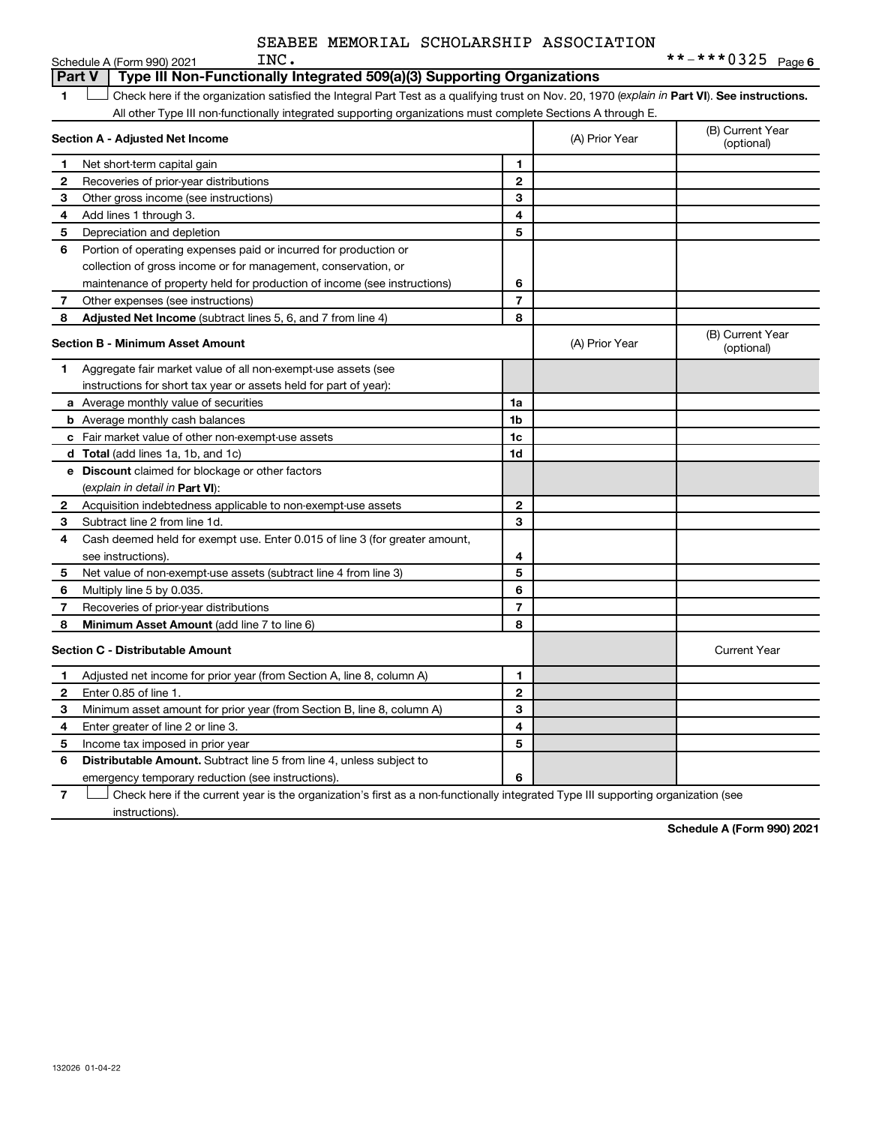| SEABEE MEMORIAL SCHOLARSHIP ASSOCIATION |  |  |  |  |  |  |
|-----------------------------------------|--|--|--|--|--|--|
|-----------------------------------------|--|--|--|--|--|--|

|    | INC.<br>Schedule A (Form 990) 2021                                                                                                             |                |                                | **-***0325 Page6               |
|----|------------------------------------------------------------------------------------------------------------------------------------------------|----------------|--------------------------------|--------------------------------|
|    | <b>Part V</b><br>Type III Non-Functionally Integrated 509(a)(3) Supporting Organizations                                                       |                |                                |                                |
| 1  | Check here if the organization satisfied the Integral Part Test as a qualifying trust on Nov. 20, 1970 (explain in Part VI). See instructions. |                |                                |                                |
|    | All other Type III non-functionally integrated supporting organizations must complete Sections A through E.                                    |                |                                |                                |
|    | Section A - Adjusted Net Income                                                                                                                | (A) Prior Year | (B) Current Year<br>(optional) |                                |
| 1  | Net short-term capital gain                                                                                                                    | 1              |                                |                                |
| 2  | Recoveries of prior-year distributions                                                                                                         | 2              |                                |                                |
| З  | Other gross income (see instructions)                                                                                                          | 3              |                                |                                |
| 4  | Add lines 1 through 3.                                                                                                                         | 4              |                                |                                |
| 5  | Depreciation and depletion                                                                                                                     | 5              |                                |                                |
| 6  | Portion of operating expenses paid or incurred for production or                                                                               |                |                                |                                |
|    | collection of gross income or for management, conservation, or                                                                                 |                |                                |                                |
|    | maintenance of property held for production of income (see instructions)                                                                       | 6              |                                |                                |
| 7  | Other expenses (see instructions)                                                                                                              | $\overline{7}$ |                                |                                |
| 8  | <b>Adjusted Net Income</b> (subtract lines 5, 6, and 7 from line 4)                                                                            | 8              |                                |                                |
|    | Section B - Minimum Asset Amount                                                                                                               |                | (A) Prior Year                 | (B) Current Year<br>(optional) |
| 1  | Aggregate fair market value of all non-exempt-use assets (see                                                                                  |                |                                |                                |
|    | instructions for short tax year or assets held for part of year):                                                                              |                |                                |                                |
|    | <b>a</b> Average monthly value of securities                                                                                                   | 1a             |                                |                                |
|    | <b>b</b> Average monthly cash balances                                                                                                         | 1b             |                                |                                |
|    | <b>c</b> Fair market value of other non-exempt-use assets                                                                                      | 1c             |                                |                                |
|    | d Total (add lines 1a, 1b, and 1c)                                                                                                             | 1d             |                                |                                |
|    | <b>e</b> Discount claimed for blockage or other factors                                                                                        |                |                                |                                |
|    | (explain in detail in Part VI):                                                                                                                |                |                                |                                |
| 2  | Acquisition indebtedness applicable to non-exempt-use assets                                                                                   | 2              |                                |                                |
| З  | Subtract line 2 from line 1d.                                                                                                                  | 3              |                                |                                |
| 4  | Cash deemed held for exempt use. Enter 0.015 of line 3 (for greater amount,                                                                    |                |                                |                                |
|    | see instructions).                                                                                                                             | 4              |                                |                                |
| 5  | Net value of non-exempt-use assets (subtract line 4 from line 3)                                                                               | 5              |                                |                                |
| 6  | Multiply line 5 by 0.035.                                                                                                                      | 6              |                                |                                |
| 7  | Recoveries of prior-year distributions                                                                                                         | 7              |                                |                                |
| 8  | Minimum Asset Amount (add line 7 to line 6)                                                                                                    | 8              |                                |                                |
|    | <b>Section C - Distributable Amount</b>                                                                                                        |                |                                | <b>Current Year</b>            |
| 1. | Adjusted net income for prior year (from Section A, line 8, column A)                                                                          | 1              |                                |                                |
| 2  | Enter 0.85 of line 1.                                                                                                                          | $\mathbf{2}$   |                                |                                |
| 3  | Minimum asset amount for prior year (from Section B, line 8, column A)                                                                         | 3              |                                |                                |
| 4  | Enter greater of line 2 or line 3.                                                                                                             | 4              |                                |                                |
| 5  | Income tax imposed in prior year                                                                                                               | 5              |                                |                                |
| 6  | <b>Distributable Amount.</b> Subtract line 5 from line 4, unless subject to                                                                    |                |                                |                                |
|    | emergency temporary reduction (see instructions)                                                                                               | 6              |                                |                                |

**7** Check here if the current year is the organization's first as a non-functionally integrated Type III supporting organization (see instructions).

**Schedule A (Form 990) 2021**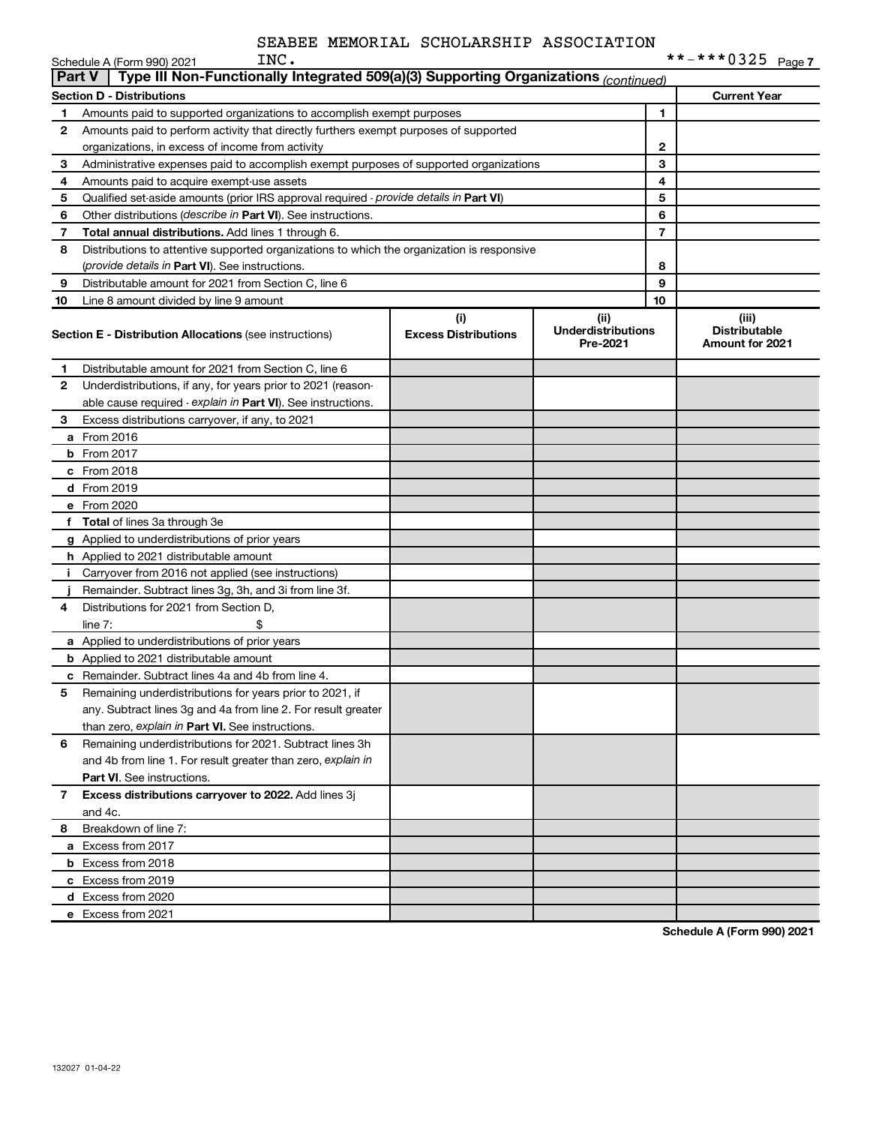| **-***0325 Page7<br>INC.<br>Schedule A (Form 990) 2021 |                                                                                            |                                    |                                               |    |                                                         |
|--------------------------------------------------------|--------------------------------------------------------------------------------------------|------------------------------------|-----------------------------------------------|----|---------------------------------------------------------|
| <b>Part V</b>                                          | Type III Non-Functionally Integrated 509(a)(3) Supporting Organizations (continued)        |                                    |                                               |    |                                                         |
|                                                        | <b>Section D - Distributions</b>                                                           |                                    |                                               |    | <b>Current Year</b>                                     |
| 1                                                      | Amounts paid to supported organizations to accomplish exempt purposes                      |                                    |                                               | 1  |                                                         |
| 2                                                      | Amounts paid to perform activity that directly furthers exempt purposes of supported       |                                    |                                               |    |                                                         |
|                                                        | organizations, in excess of income from activity                                           |                                    | 2                                             |    |                                                         |
| 3                                                      | Administrative expenses paid to accomplish exempt purposes of supported organizations      |                                    |                                               | 3  |                                                         |
| 4                                                      | Amounts paid to acquire exempt-use assets                                                  |                                    |                                               | 4  |                                                         |
| 5                                                      | Qualified set-aside amounts (prior IRS approval required - provide details in Part VI)     |                                    |                                               | 5  |                                                         |
| 6                                                      | Other distributions (describe in Part VI). See instructions.                               |                                    |                                               | 6  |                                                         |
| 7                                                      | Total annual distributions. Add lines 1 through 6.                                         |                                    |                                               | 7  |                                                         |
| 8                                                      | Distributions to attentive supported organizations to which the organization is responsive |                                    |                                               |    |                                                         |
|                                                        | (provide details in Part VI). See instructions.                                            |                                    |                                               | 8  |                                                         |
| 9                                                      | Distributable amount for 2021 from Section C, line 6                                       |                                    |                                               | 9  |                                                         |
| 10                                                     | Line 8 amount divided by line 9 amount                                                     |                                    |                                               | 10 |                                                         |
|                                                        | <b>Section E - Distribution Allocations (see instructions)</b>                             | (i)<br><b>Excess Distributions</b> | (ii)<br><b>Underdistributions</b><br>Pre-2021 |    | (iii)<br><b>Distributable</b><br><b>Amount for 2021</b> |
| 1                                                      | Distributable amount for 2021 from Section C, line 6                                       |                                    |                                               |    |                                                         |
| 2                                                      | Underdistributions, if any, for years prior to 2021 (reason-                               |                                    |                                               |    |                                                         |
|                                                        | able cause required - explain in Part VI). See instructions.                               |                                    |                                               |    |                                                         |
| 3                                                      | Excess distributions carryover, if any, to 2021                                            |                                    |                                               |    |                                                         |
|                                                        | a From 2016                                                                                |                                    |                                               |    |                                                         |
|                                                        | <b>b</b> From 2017                                                                         |                                    |                                               |    |                                                         |
|                                                        | c From 2018                                                                                |                                    |                                               |    |                                                         |
|                                                        | d From 2019                                                                                |                                    |                                               |    |                                                         |
|                                                        | e From 2020                                                                                |                                    |                                               |    |                                                         |
|                                                        | f Total of lines 3a through 3e                                                             |                                    |                                               |    |                                                         |
|                                                        | g Applied to underdistributions of prior years                                             |                                    |                                               |    |                                                         |
|                                                        | <b>h</b> Applied to 2021 distributable amount                                              |                                    |                                               |    |                                                         |
| Ť.                                                     | Carryover from 2016 not applied (see instructions)                                         |                                    |                                               |    |                                                         |
|                                                        | Remainder. Subtract lines 3g, 3h, and 3i from line 3f.                                     |                                    |                                               |    |                                                         |
| 4                                                      | Distributions for 2021 from Section D,                                                     |                                    |                                               |    |                                                         |
|                                                        | line $7:$                                                                                  |                                    |                                               |    |                                                         |
|                                                        | a Applied to underdistributions of prior years                                             |                                    |                                               |    |                                                         |
|                                                        | <b>b</b> Applied to 2021 distributable amount                                              |                                    |                                               |    |                                                         |
|                                                        | c Remainder. Subtract lines 4a and 4b from line 4.                                         |                                    |                                               |    |                                                         |
|                                                        | 5 Remaining underdistributions for years prior to 2021, if                                 |                                    |                                               |    |                                                         |
|                                                        | any. Subtract lines 3g and 4a from line 2. For result greater                              |                                    |                                               |    |                                                         |
|                                                        | than zero, explain in Part VI. See instructions.                                           |                                    |                                               |    |                                                         |
| 6                                                      | Remaining underdistributions for 2021. Subtract lines 3h                                   |                                    |                                               |    |                                                         |
|                                                        | and 4b from line 1. For result greater than zero, explain in                               |                                    |                                               |    |                                                         |
|                                                        | <b>Part VI.</b> See instructions.                                                          |                                    |                                               |    |                                                         |
| 7                                                      | Excess distributions carryover to 2022. Add lines 3j                                       |                                    |                                               |    |                                                         |
|                                                        | and 4c.                                                                                    |                                    |                                               |    |                                                         |
| 8                                                      | Breakdown of line 7:                                                                       |                                    |                                               |    |                                                         |
|                                                        | a Excess from 2017                                                                         |                                    |                                               |    |                                                         |
|                                                        | <b>b</b> Excess from 2018                                                                  |                                    |                                               |    |                                                         |
|                                                        | c Excess from 2019                                                                         |                                    |                                               |    |                                                         |
|                                                        | d Excess from 2020                                                                         |                                    |                                               |    |                                                         |
|                                                        | e Excess from 2021                                                                         |                                    |                                               |    |                                                         |

**Schedule A (Form 990) 2021**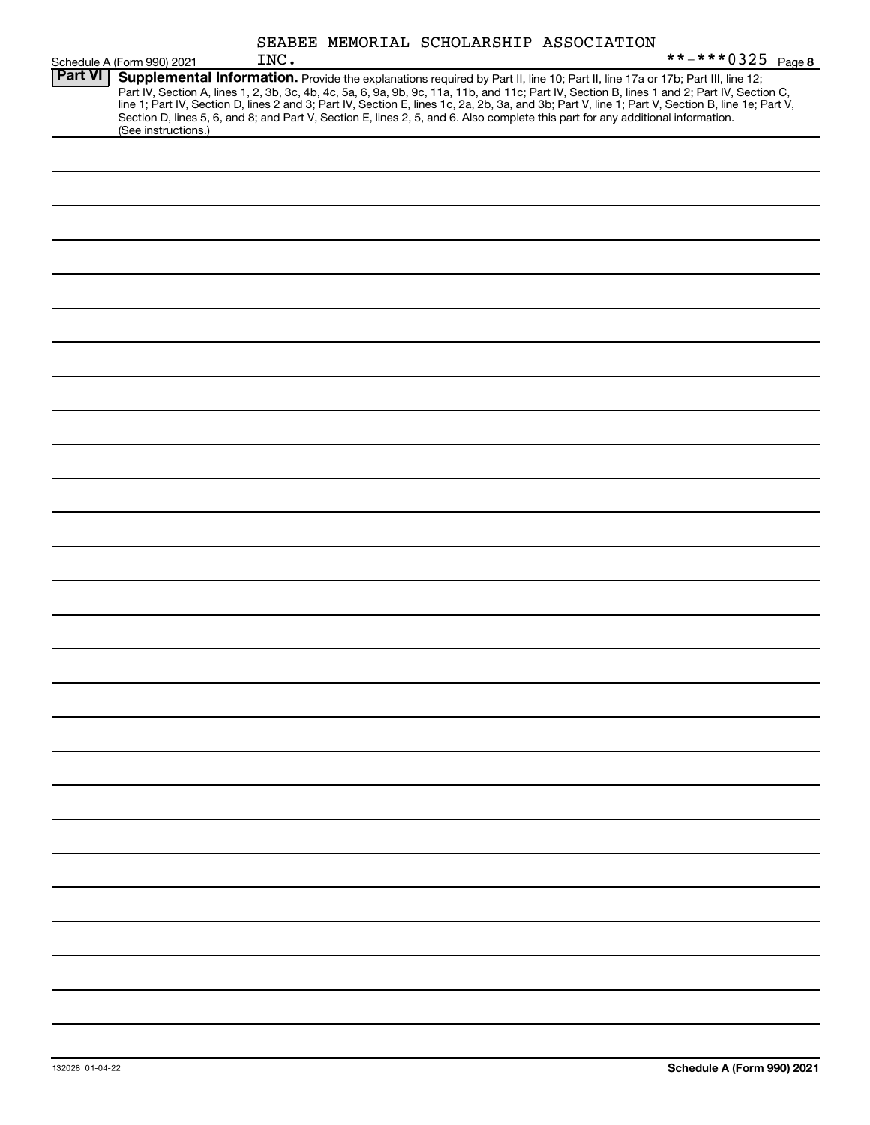|                |                                                                                                                                                                                                                                                                                                                                                                                                                                         |      |  | SEABEE MEMORIAL SCHOLARSHIP ASSOCIATION |                                                                                                                                                  |
|----------------|-----------------------------------------------------------------------------------------------------------------------------------------------------------------------------------------------------------------------------------------------------------------------------------------------------------------------------------------------------------------------------------------------------------------------------------------|------|--|-----------------------------------------|--------------------------------------------------------------------------------------------------------------------------------------------------|
|                | Schedule A (Form 990) 2021                                                                                                                                                                                                                                                                                                                                                                                                              | INC. |  |                                         | **-***0325 Page 8                                                                                                                                |
| <b>Part VI</b> | Supplemental Information. Provide the explanations required by Part II, line 10; Part II, line 17a or 17b; Part III, line 12;<br>Part IV, Section A, lines 1, 2, 3b, 3c, 4b, 4c, 5a, 6, 9a, 9b, 9c, 11a, 11b, and 11c; Part IV, Section B, lines 1 and 2; Part IV, Section C,<br>Section D, lines 5, 6, and 8; and Part V, Section E, lines 2, 5, and 6. Also complete this part for any additional information.<br>(See instructions.) |      |  |                                         | line 1; Part IV, Section D, lines 2 and 3; Part IV, Section E, lines 1c, 2a, 2b, 3a, and 3b; Part V, line 1; Part V, Section B, line 1e; Part V, |
|                |                                                                                                                                                                                                                                                                                                                                                                                                                                         |      |  |                                         |                                                                                                                                                  |
|                |                                                                                                                                                                                                                                                                                                                                                                                                                                         |      |  |                                         |                                                                                                                                                  |
|                |                                                                                                                                                                                                                                                                                                                                                                                                                                         |      |  |                                         |                                                                                                                                                  |
|                |                                                                                                                                                                                                                                                                                                                                                                                                                                         |      |  |                                         |                                                                                                                                                  |
|                |                                                                                                                                                                                                                                                                                                                                                                                                                                         |      |  |                                         |                                                                                                                                                  |
|                |                                                                                                                                                                                                                                                                                                                                                                                                                                         |      |  |                                         |                                                                                                                                                  |
|                |                                                                                                                                                                                                                                                                                                                                                                                                                                         |      |  |                                         |                                                                                                                                                  |
|                |                                                                                                                                                                                                                                                                                                                                                                                                                                         |      |  |                                         |                                                                                                                                                  |
|                |                                                                                                                                                                                                                                                                                                                                                                                                                                         |      |  |                                         |                                                                                                                                                  |
|                |                                                                                                                                                                                                                                                                                                                                                                                                                                         |      |  |                                         |                                                                                                                                                  |
|                |                                                                                                                                                                                                                                                                                                                                                                                                                                         |      |  |                                         |                                                                                                                                                  |
|                |                                                                                                                                                                                                                                                                                                                                                                                                                                         |      |  |                                         |                                                                                                                                                  |
|                |                                                                                                                                                                                                                                                                                                                                                                                                                                         |      |  |                                         |                                                                                                                                                  |
|                |                                                                                                                                                                                                                                                                                                                                                                                                                                         |      |  |                                         |                                                                                                                                                  |
|                |                                                                                                                                                                                                                                                                                                                                                                                                                                         |      |  |                                         |                                                                                                                                                  |
|                |                                                                                                                                                                                                                                                                                                                                                                                                                                         |      |  |                                         |                                                                                                                                                  |
|                |                                                                                                                                                                                                                                                                                                                                                                                                                                         |      |  |                                         |                                                                                                                                                  |
|                |                                                                                                                                                                                                                                                                                                                                                                                                                                         |      |  |                                         |                                                                                                                                                  |
|                |                                                                                                                                                                                                                                                                                                                                                                                                                                         |      |  |                                         |                                                                                                                                                  |
|                |                                                                                                                                                                                                                                                                                                                                                                                                                                         |      |  |                                         |                                                                                                                                                  |
|                |                                                                                                                                                                                                                                                                                                                                                                                                                                         |      |  |                                         |                                                                                                                                                  |
|                |                                                                                                                                                                                                                                                                                                                                                                                                                                         |      |  |                                         |                                                                                                                                                  |
|                |                                                                                                                                                                                                                                                                                                                                                                                                                                         |      |  |                                         |                                                                                                                                                  |
|                |                                                                                                                                                                                                                                                                                                                                                                                                                                         |      |  |                                         |                                                                                                                                                  |
|                |                                                                                                                                                                                                                                                                                                                                                                                                                                         |      |  |                                         |                                                                                                                                                  |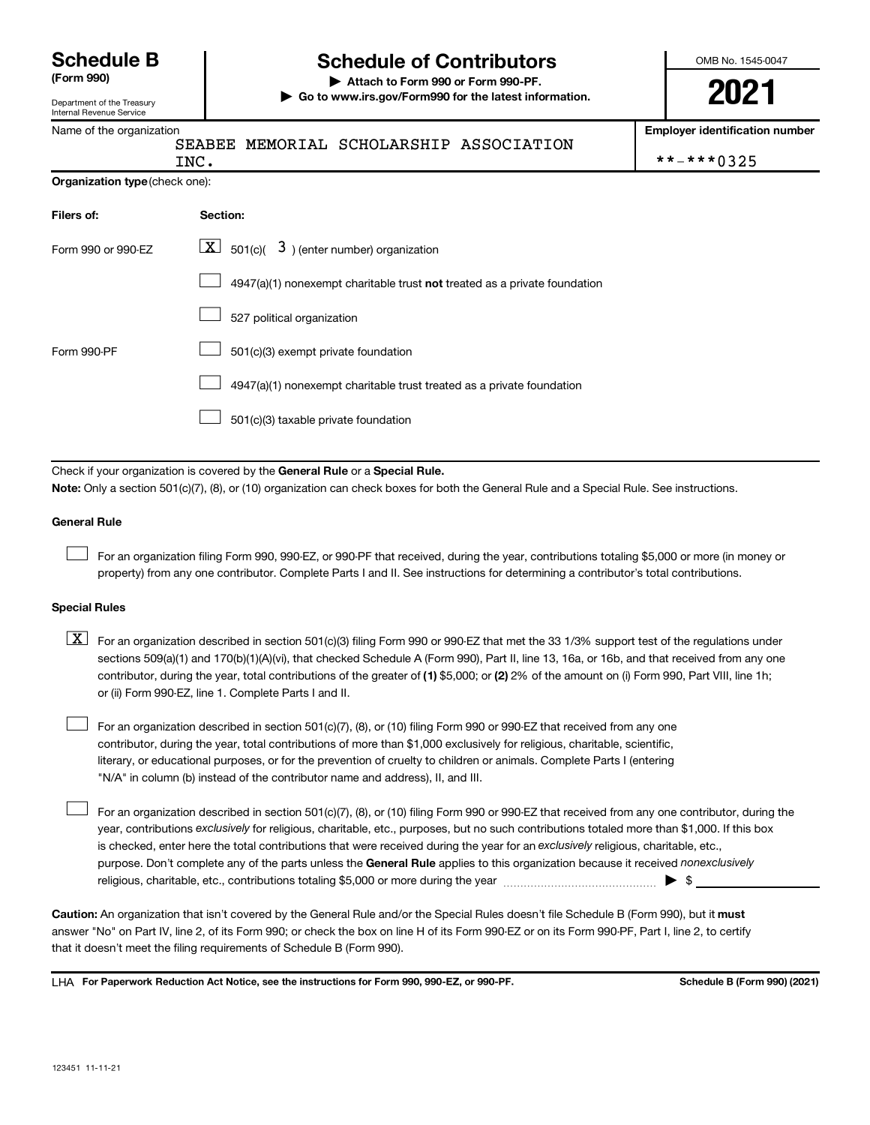# **Schedule B Schedule of Contributors**

**(Form 990) | Attach to Form 990 or Form 990-PF. | Go to www.irs.gov/Form990 for the latest information.** OMB No. 1545-0047

**2021**

| Department of the Treasury<br>Internal Revenue Service |      | <u>Go to www.irs.gov/Form990 for the latest information.</u>                                                                                                                                                                                                                                                                                                                                                                                                                                    | LUL I                                               |
|--------------------------------------------------------|------|-------------------------------------------------------------------------------------------------------------------------------------------------------------------------------------------------------------------------------------------------------------------------------------------------------------------------------------------------------------------------------------------------------------------------------------------------------------------------------------------------|-----------------------------------------------------|
| Name of the organization                               | INC. | SEABEE MEMORIAL SCHOLARSHIP ASSOCIATION                                                                                                                                                                                                                                                                                                                                                                                                                                                         | <b>Employer identification number</b><br>**-***0325 |
| Organization type (check one):                         |      |                                                                                                                                                                                                                                                                                                                                                                                                                                                                                                 |                                                     |
| Filers of:                                             |      | Section:                                                                                                                                                                                                                                                                                                                                                                                                                                                                                        |                                                     |
| Form 990 or 990-EZ                                     |      | $\boxed{\mathbf{X}}$ 501(c)( 3) (enter number) organization                                                                                                                                                                                                                                                                                                                                                                                                                                     |                                                     |
|                                                        |      | 4947(a)(1) nonexempt charitable trust not treated as a private foundation                                                                                                                                                                                                                                                                                                                                                                                                                       |                                                     |
|                                                        |      | 527 political organization                                                                                                                                                                                                                                                                                                                                                                                                                                                                      |                                                     |
| Form 990-PF                                            |      | 501(c)(3) exempt private foundation                                                                                                                                                                                                                                                                                                                                                                                                                                                             |                                                     |
|                                                        |      | 4947(a)(1) nonexempt charitable trust treated as a private foundation                                                                                                                                                                                                                                                                                                                                                                                                                           |                                                     |
|                                                        |      | 501(c)(3) taxable private foundation                                                                                                                                                                                                                                                                                                                                                                                                                                                            |                                                     |
|                                                        |      | Check if your organization is covered by the General Rule or a Special Rule.<br>Note: Only a section 501(c)(7), (8), or (10) organization can check boxes for both the General Rule and a Special Rule. See instructions.                                                                                                                                                                                                                                                                       |                                                     |
| <b>General Rule</b>                                    |      |                                                                                                                                                                                                                                                                                                                                                                                                                                                                                                 |                                                     |
|                                                        |      | For an organization filing Form 990, 990-EZ, or 990-PF that received, during the year, contributions totaling \$5,000 or more (in money or<br>property) from any one contributor. Complete Parts I and II. See instructions for determining a contributor's total contributions.                                                                                                                                                                                                                |                                                     |
| <b>Special Rules</b>                                   |      |                                                                                                                                                                                                                                                                                                                                                                                                                                                                                                 |                                                     |
| $\boxed{\text{X}}$                                     |      | For an organization described in section 501(c)(3) filing Form 990 or 990-EZ that met the 33 1/3% support test of the regulations under<br>sections 509(a)(1) and 170(b)(1)(A)(vi), that checked Schedule A (Form 990), Part II, line 13, 16a, or 16b, and that received from any one<br>contributor, during the year, total contributions of the greater of (1) \$5,000; or (2) 2% of the amount on (i) Form 990, Part VIII, line 1h;<br>or (ii) Form 990-EZ, line 1. Complete Parts I and II. |                                                     |

For an organization described in section 501(c)(7), (8), or (10) filing Form 990 or 990-EZ that received from any one contributor, during the year, total contributions of more than \$1,000 exclusively for religious, charitable, scientific, literary, or educational purposes, or for the prevention of cruelty to children or animals. Complete Parts I (entering "N/A" in column (b) instead of the contributor name and address), II, and III.

purpose. Don't complete any of the parts unless the General Rule applies to this organization because it received nonexclusively year, contributions exclusively for religious, charitable, etc., purposes, but no such contributions totaled more than \$1,000. If this box is checked, enter here the total contributions that were received during the year for an exclusively religious, charitable, etc., For an organization described in section 501(c)(7), (8), or (10) filing Form 990 or 990-EZ that received from any one contributor, during the religious, charitable, etc., contributions totaling \$5,000 or more during the year  $\ldots$  $\ldots$  $\ldots$  $\ldots$  $\ldots$  $\ldots$ 

Caution: An organization that isn't covered by the General Rule and/or the Special Rules doesn't file Schedule B (Form 990), but it must answer "No" on Part IV, line 2, of its Form 990; or check the box on line H of its Form 990-EZ or on its Form 990-PF, Part I, line 2, to certify that it doesn't meet the filing requirements of Schedule B (Form 990).

LHA For Paperwork Reduction Act Notice, see the instructions for Form 990, 990-EZ, or 990-PF. **Schell B (Form 990)** (2021)

 $\Box$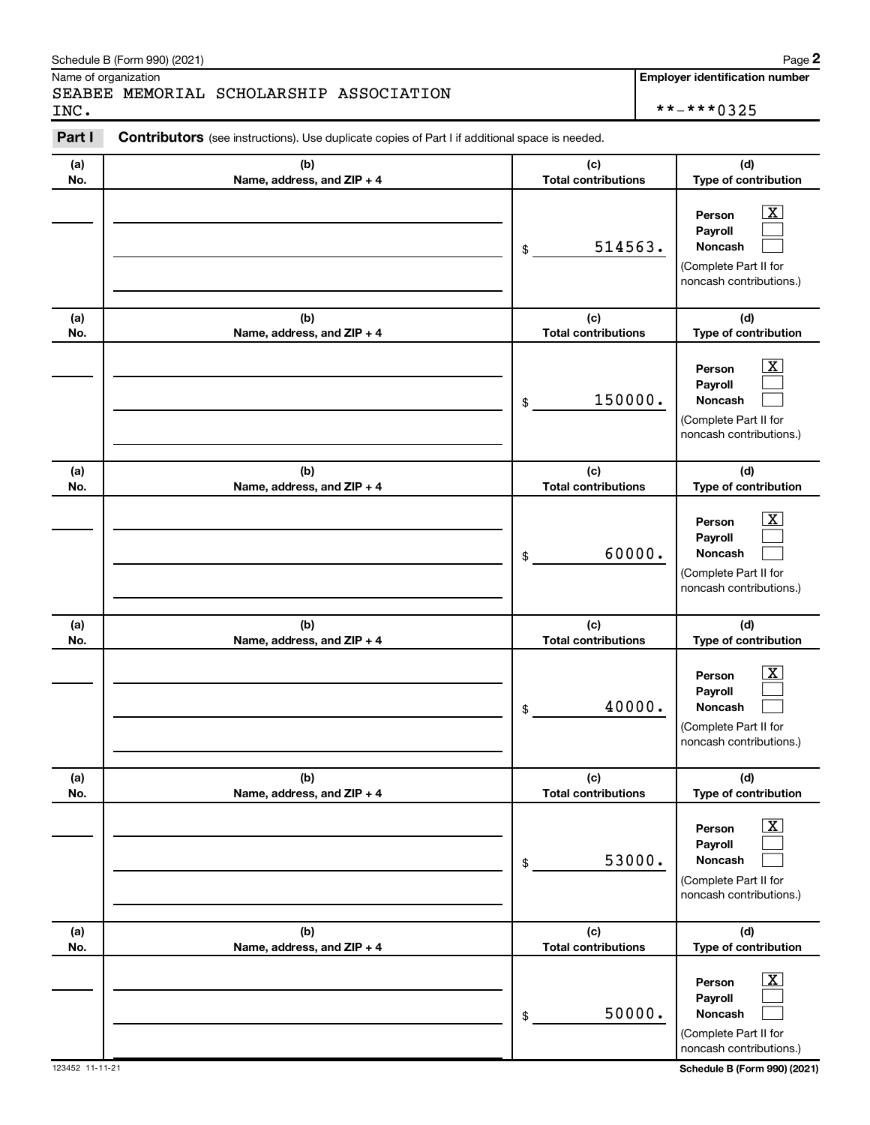#### Schedule B (Form 990) (2021)

SEABEE MEMORIAL SCHOLARSHIP ASSOCIATION

Name of organization

**Employer identification number**

### INC. \*\*-\*\*\*0325

| Part I     | <b>Contributors</b> (see instructions). Use duplicate copies of Part I if additional space is needed. |                                            |                                                                                                                                            |  |  |  |
|------------|-------------------------------------------------------------------------------------------------------|--------------------------------------------|--------------------------------------------------------------------------------------------------------------------------------------------|--|--|--|
| (a)        | (b)                                                                                                   | (c)                                        | (d)                                                                                                                                        |  |  |  |
| No.        | Name, address, and ZIP + 4                                                                            | <b>Total contributions</b>                 | Type of contribution                                                                                                                       |  |  |  |
|            |                                                                                                       | 514563.<br>\$                              | $\overline{\mathbf{x}}$<br>Person<br>Payroll<br>Noncash<br>(Complete Part II for<br>noncash contributions.)                                |  |  |  |
| (a)        | (b)                                                                                                   | (c)                                        | (d)                                                                                                                                        |  |  |  |
| No.        | Name, address, and ZIP + 4                                                                            | <b>Total contributions</b>                 | Type of contribution                                                                                                                       |  |  |  |
|            |                                                                                                       | 150000.<br>\$                              | $\overline{\mathbf{X}}$<br>Person<br>Payroll<br>Noncash<br>(Complete Part II for<br>noncash contributions.)                                |  |  |  |
| (a)        | (b)                                                                                                   | (c)                                        | (d)                                                                                                                                        |  |  |  |
| No.        | Name, address, and ZIP + 4                                                                            | <b>Total contributions</b>                 | Type of contribution                                                                                                                       |  |  |  |
|            |                                                                                                       | 60000.<br>\$                               | $\overline{\mathbf{X}}$<br>Person<br>Payroll<br>Noncash<br>(Complete Part II for<br>noncash contributions.)                                |  |  |  |
| (a)        | (b)                                                                                                   | (c)                                        | (d)                                                                                                                                        |  |  |  |
| No.        | Name, address, and ZIP + 4                                                                            | <b>Total contributions</b><br>40000.<br>\$ | Type of contribution<br>$\overline{\mathbf{X}}$<br>Person<br>Payroll<br>Noncash<br>(Complete Part II for<br>noncash contributions.)        |  |  |  |
| (a)<br>No. | (b)<br>Name, address, and ZIP + 4                                                                     | (c)<br><b>Total contributions</b>          | (d)<br>Type of contribution                                                                                                                |  |  |  |
|            |                                                                                                       | 53000.<br>\$                               | $\overline{\mathbf{x}}$<br>Person<br>Payroll<br><b>Noncash</b><br>(Complete Part II for<br>noncash contributions.)                         |  |  |  |
| (a)        | (b)                                                                                                   | (c)                                        | (d)                                                                                                                                        |  |  |  |
| No.        | Name, address, and ZIP + 4                                                                            | <b>Total contributions</b><br>50000.<br>\$ | Type of contribution<br>$\overline{\mathbf{x}}$<br>Person<br>Payroll<br><b>Noncash</b><br>(Complete Part II for<br>noncash contributions.) |  |  |  |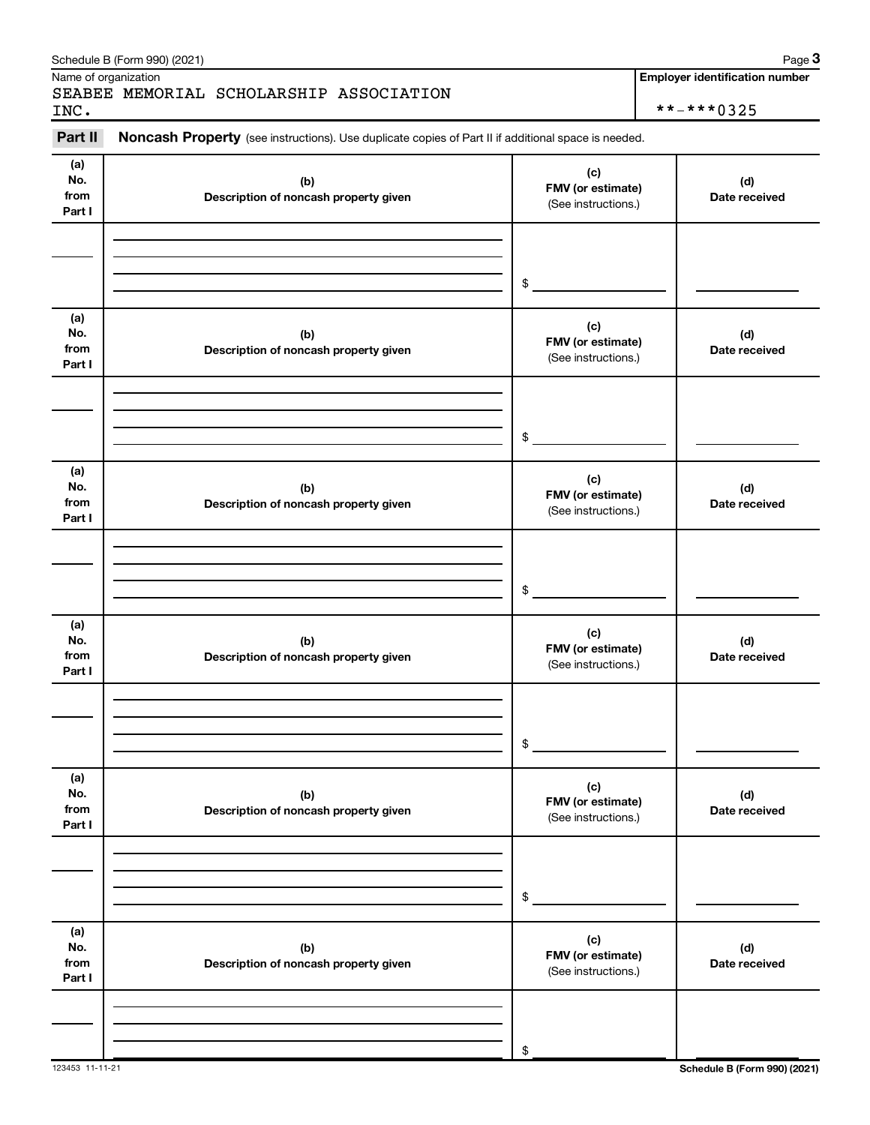|                              | Name of organization<br>SEABEE MEMORIAL SCHOLARSHIP ASSOCIATION                                     |                                                 | <b>Employer identification number</b> |
|------------------------------|-----------------------------------------------------------------------------------------------------|-------------------------------------------------|---------------------------------------|
| INC.<br>Part II              | Noncash Property (see instructions). Use duplicate copies of Part II if additional space is needed. |                                                 | **-***0325                            |
| (a)<br>No.<br>from<br>Part I | (b)<br>Description of noncash property given                                                        | (c)<br>FMV (or estimate)<br>(See instructions.) | (d)<br>Date received                  |
|                              |                                                                                                     | \$                                              |                                       |
| (a)<br>No.<br>from<br>Part I | (b)<br>Description of noncash property given                                                        | (c)<br>FMV (or estimate)<br>(See instructions.) | (d)<br>Date received                  |
|                              |                                                                                                     | \$                                              |                                       |
| (a)<br>No.<br>from<br>Part I | (b)<br>Description of noncash property given                                                        | (c)<br>FMV (or estimate)<br>(See instructions.) | (d)<br>Date received                  |
|                              |                                                                                                     | \$                                              |                                       |
| (a)<br>No.<br>from<br>Part I | (b)<br>Description of noncash property given                                                        | (c)<br>FMV (or estimate)<br>(See instructions.) | (d)<br>Date received                  |
|                              |                                                                                                     | \$                                              |                                       |
| (a)<br>No.<br>from<br>Part I | (b)<br>Description of noncash property given                                                        | (c)<br>FMV (or estimate)<br>(See instructions.) | (d)<br>Date received                  |
|                              |                                                                                                     | \$                                              |                                       |
| (a)<br>No.<br>from<br>Part I | (b)<br>Description of noncash property given                                                        | (c)<br>FMV (or estimate)<br>(See instructions.) | (d)<br>Date received                  |
|                              |                                                                                                     | \$                                              |                                       |

Schedule B (Form 990) (2021)

123453 11-11-21 **Schedule B (Form 990) (2021)**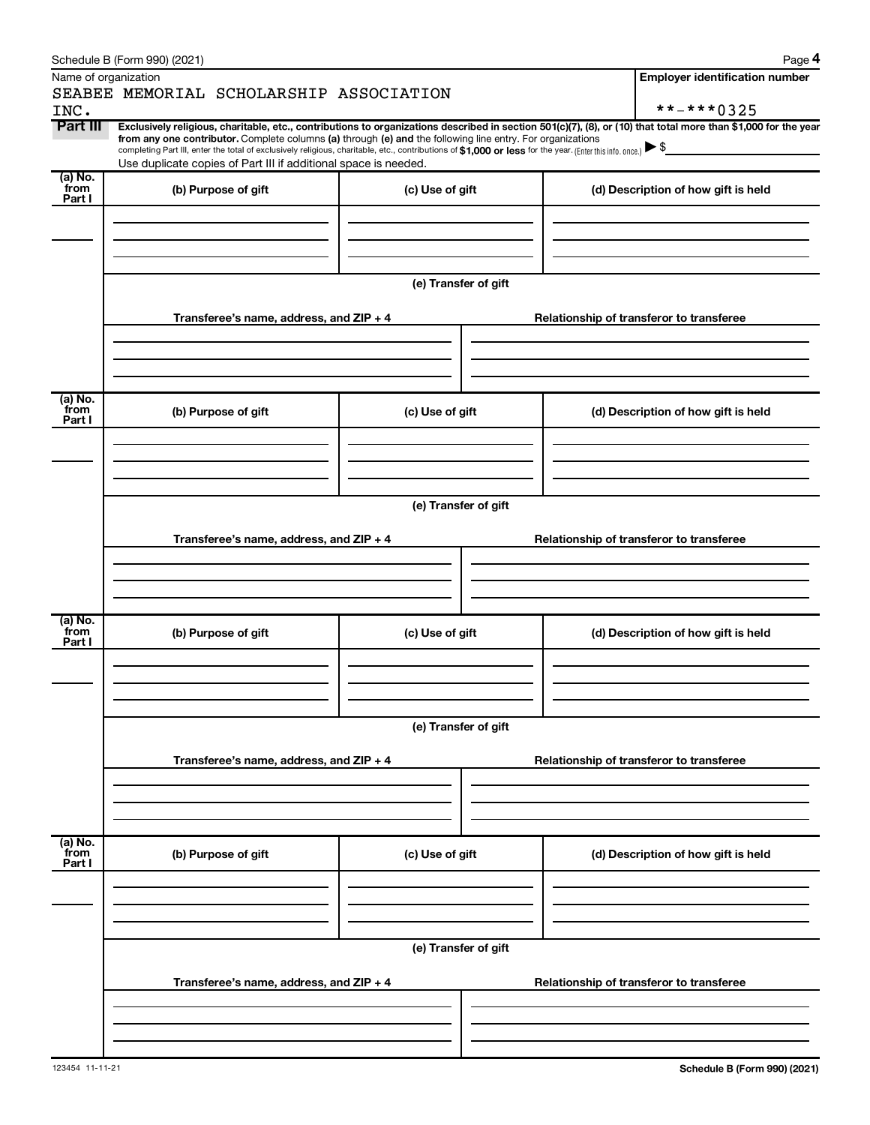|                           | Schedule B (Form 990) (2021)                                                                                                                                                                                                                                                                                                              |                      | Page 4                                                                                                                                                         |  |  |  |
|---------------------------|-------------------------------------------------------------------------------------------------------------------------------------------------------------------------------------------------------------------------------------------------------------------------------------------------------------------------------------------|----------------------|----------------------------------------------------------------------------------------------------------------------------------------------------------------|--|--|--|
|                           | Name of organization                                                                                                                                                                                                                                                                                                                      |                      | <b>Employer identification number</b>                                                                                                                          |  |  |  |
|                           | SEABEE MEMORIAL SCHOLARSHIP ASSOCIATION                                                                                                                                                                                                                                                                                                   |                      | **-***0325                                                                                                                                                     |  |  |  |
| INC.<br>Part III          | from any one contributor. Complete columns (a) through (e) and the following line entry. For organizations<br>completing Part III, enter the total of exclusively religious, charitable, etc., contributions of \$1,000 or less for the year. (Enter this info. once.)<br>Use duplicate copies of Part III if additional space is needed. |                      | Exclusively religious, charitable, etc., contributions to organizations described in section 501(c)(7), (8), or (10) that total more than \$1,000 for the year |  |  |  |
| (a) No.<br>from<br>Part I | (b) Purpose of gift                                                                                                                                                                                                                                                                                                                       | (c) Use of gift      | (d) Description of how gift is held                                                                                                                            |  |  |  |
|                           |                                                                                                                                                                                                                                                                                                                                           |                      |                                                                                                                                                                |  |  |  |
|                           |                                                                                                                                                                                                                                                                                                                                           | (e) Transfer of gift |                                                                                                                                                                |  |  |  |
|                           | Transferee's name, address, and $ZIP + 4$                                                                                                                                                                                                                                                                                                 |                      | Relationship of transferor to transferee                                                                                                                       |  |  |  |
| (a) No.                   |                                                                                                                                                                                                                                                                                                                                           |                      |                                                                                                                                                                |  |  |  |
| from<br>Part I            | (b) Purpose of gift                                                                                                                                                                                                                                                                                                                       | (c) Use of gift      | (d) Description of how gift is held                                                                                                                            |  |  |  |
|                           |                                                                                                                                                                                                                                                                                                                                           |                      |                                                                                                                                                                |  |  |  |
|                           | (e) Transfer of gift                                                                                                                                                                                                                                                                                                                      |                      |                                                                                                                                                                |  |  |  |
|                           | Transferee's name, address, and $ZIP + 4$                                                                                                                                                                                                                                                                                                 |                      | Relationship of transferor to transferee                                                                                                                       |  |  |  |
| (a) No.                   |                                                                                                                                                                                                                                                                                                                                           |                      |                                                                                                                                                                |  |  |  |
| from<br>Part I            | (b) Purpose of gift                                                                                                                                                                                                                                                                                                                       | (c) Use of gift      | (d) Description of how gift is held                                                                                                                            |  |  |  |
|                           |                                                                                                                                                                                                                                                                                                                                           |                      |                                                                                                                                                                |  |  |  |
|                           |                                                                                                                                                                                                                                                                                                                                           | (e) Transfer of gift |                                                                                                                                                                |  |  |  |
|                           | Transferee's name, address, and ZIP + 4                                                                                                                                                                                                                                                                                                   |                      | Relationship of transferor to transferee                                                                                                                       |  |  |  |
|                           |                                                                                                                                                                                                                                                                                                                                           |                      |                                                                                                                                                                |  |  |  |
| (a) No.<br>from<br>Part I | (b) Purpose of gift                                                                                                                                                                                                                                                                                                                       | (c) Use of gift      | (d) Description of how gift is held                                                                                                                            |  |  |  |
|                           |                                                                                                                                                                                                                                                                                                                                           |                      |                                                                                                                                                                |  |  |  |
|                           |                                                                                                                                                                                                                                                                                                                                           | (e) Transfer of gift |                                                                                                                                                                |  |  |  |
|                           | Transferee's name, address, and ZIP + 4                                                                                                                                                                                                                                                                                                   |                      | Relationship of transferor to transferee                                                                                                                       |  |  |  |
|                           |                                                                                                                                                                                                                                                                                                                                           |                      |                                                                                                                                                                |  |  |  |
|                           |                                                                                                                                                                                                                                                                                                                                           |                      |                                                                                                                                                                |  |  |  |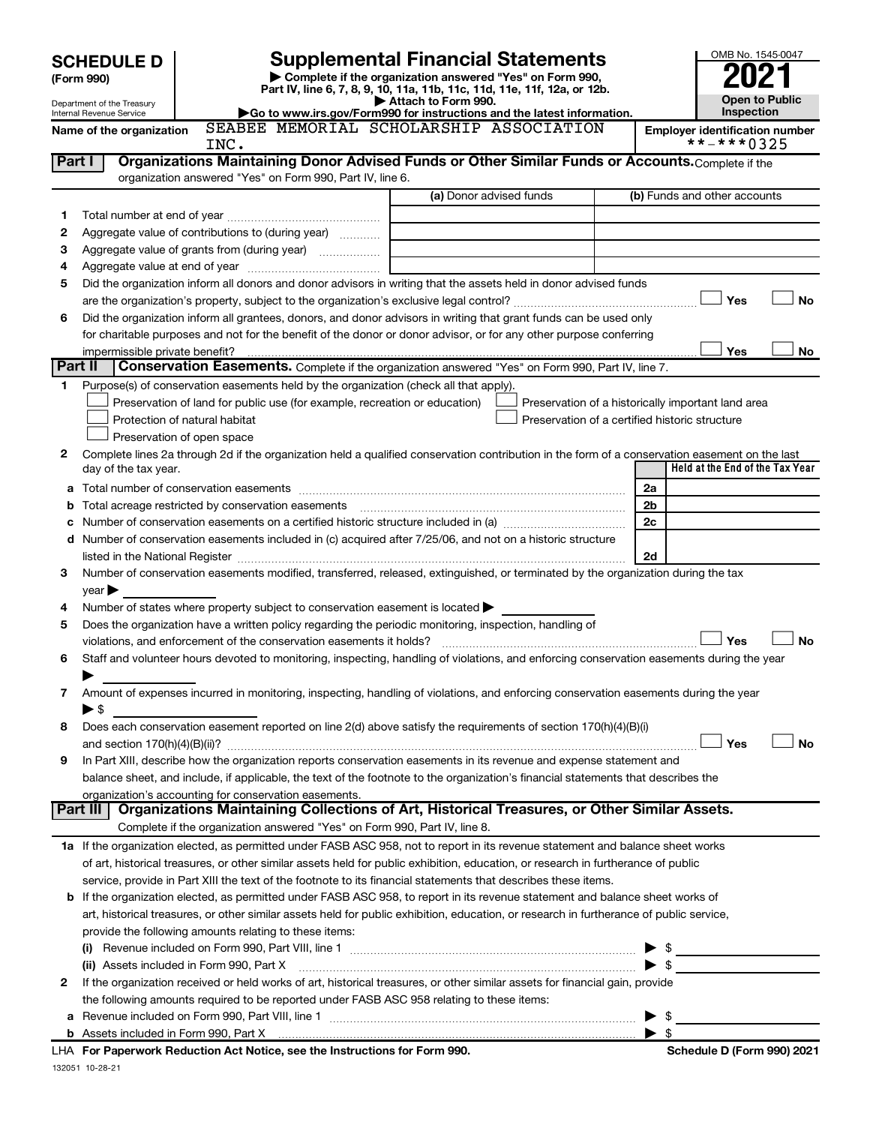|                           | <b>Supplemental Financial Statements</b><br><b>SCHEDULE D</b><br>Complete if the organization answered "Yes" on Form 990,<br>(Form 990)<br>Part IV, line 6, 7, 8, 9, 10, 11a, 11b, 11c, 11d, 11e, 11f, 12a, or 12b. |                                                                                                        |                                                                                                                                                |    | OMB No. 1545-0047            |                                                     |  |
|---------------------------|---------------------------------------------------------------------------------------------------------------------------------------------------------------------------------------------------------------------|--------------------------------------------------------------------------------------------------------|------------------------------------------------------------------------------------------------------------------------------------------------|----|------------------------------|-----------------------------------------------------|--|
|                           | Department of the Treasury                                                                                                                                                                                          |                                                                                                        | Attach to Form 990.                                                                                                                            |    |                              | Open to Public                                      |  |
|                           | Internal Revenue Service<br>Name of the organization                                                                                                                                                                |                                                                                                        | Go to www.irs.gov/Form990 for instructions and the latest information.<br>SEABEE MEMORIAL SCHOLARSHIP ASSOCIATION                              |    |                              | Inspection<br><b>Employer identification number</b> |  |
|                           |                                                                                                                                                                                                                     | INC.                                                                                                   |                                                                                                                                                |    |                              | **-***0325                                          |  |
| Part I                    |                                                                                                                                                                                                                     |                                                                                                        | Organizations Maintaining Donor Advised Funds or Other Similar Funds or Accounts. Complete if the                                              |    |                              |                                                     |  |
|                           |                                                                                                                                                                                                                     | organization answered "Yes" on Form 990, Part IV, line 6.                                              |                                                                                                                                                |    | (b) Funds and other accounts |                                                     |  |
|                           |                                                                                                                                                                                                                     |                                                                                                        | (a) Donor advised funds                                                                                                                        |    |                              |                                                     |  |
| 1<br>2                    |                                                                                                                                                                                                                     | Aggregate value of contributions to (during year)                                                      |                                                                                                                                                |    |                              |                                                     |  |
| 3                         |                                                                                                                                                                                                                     |                                                                                                        |                                                                                                                                                |    |                              |                                                     |  |
| 4                         |                                                                                                                                                                                                                     |                                                                                                        | the control of the control of the control of the control of the control of                                                                     |    |                              |                                                     |  |
| 5                         |                                                                                                                                                                                                                     |                                                                                                        | Did the organization inform all donors and donor advisors in writing that the assets held in donor advised funds                               |    |                              |                                                     |  |
|                           |                                                                                                                                                                                                                     |                                                                                                        |                                                                                                                                                |    |                              | <b>No</b><br>Yes                                    |  |
| 6                         |                                                                                                                                                                                                                     |                                                                                                        | Did the organization inform all grantees, donors, and donor advisors in writing that grant funds can be used only                              |    |                              |                                                     |  |
|                           |                                                                                                                                                                                                                     |                                                                                                        | for charitable purposes and not for the benefit of the donor or donor advisor, or for any other purpose conferring                             |    |                              |                                                     |  |
|                           |                                                                                                                                                                                                                     |                                                                                                        |                                                                                                                                                |    |                              | Yes<br>No                                           |  |
| Part II                   |                                                                                                                                                                                                                     |                                                                                                        | Conservation Easements. Complete if the organization answered "Yes" on Form 990, Part IV, line 7.                                              |    |                              |                                                     |  |
| 1                         |                                                                                                                                                                                                                     | Purpose(s) of conservation easements held by the organization (check all that apply).                  |                                                                                                                                                |    |                              |                                                     |  |
|                           |                                                                                                                                                                                                                     | Preservation of land for public use (for example, recreation or education)                             | Preservation of a historically important land area                                                                                             |    |                              |                                                     |  |
|                           |                                                                                                                                                                                                                     | Protection of natural habitat                                                                          | Preservation of a certified historic structure                                                                                                 |    |                              |                                                     |  |
|                           |                                                                                                                                                                                                                     | Preservation of open space                                                                             |                                                                                                                                                |    |                              |                                                     |  |
| 2                         | day of the tax year.                                                                                                                                                                                                |                                                                                                        | Complete lines 2a through 2d if the organization held a qualified conservation contribution in the form of a conservation easement on the last |    |                              | Held at the End of the Tax Year                     |  |
|                           |                                                                                                                                                                                                                     |                                                                                                        |                                                                                                                                                | 2a |                              |                                                     |  |
| b                         |                                                                                                                                                                                                                     |                                                                                                        |                                                                                                                                                |    |                              |                                                     |  |
| 2 <sub>b</sub><br>2c<br>с |                                                                                                                                                                                                                     |                                                                                                        |                                                                                                                                                |    |                              |                                                     |  |
|                           | d Number of conservation easements included in (c) acquired after 7/25/06, and not on a historic structure                                                                                                          |                                                                                                        |                                                                                                                                                |    |                              |                                                     |  |
|                           | 2d                                                                                                                                                                                                                  |                                                                                                        |                                                                                                                                                |    |                              |                                                     |  |
| З                         |                                                                                                                                                                                                                     |                                                                                                        | Number of conservation easements modified, transferred, released, extinguished, or terminated by the organization during the tax               |    |                              |                                                     |  |
|                           | $year \blacktriangleright$                                                                                                                                                                                          |                                                                                                        |                                                                                                                                                |    |                              |                                                     |  |
| 4                         |                                                                                                                                                                                                                     | Number of states where property subject to conservation easement is located $\blacktriangleright$      |                                                                                                                                                |    |                              |                                                     |  |
| 5                         |                                                                                                                                                                                                                     | Does the organization have a written policy regarding the periodic monitoring, inspection, handling of |                                                                                                                                                |    |                              |                                                     |  |
|                           |                                                                                                                                                                                                                     |                                                                                                        |                                                                                                                                                |    |                              | <b>No</b><br>Yes                                    |  |
| 6                         |                                                                                                                                                                                                                     |                                                                                                        | Staff and volunteer hours devoted to monitoring, inspecting, handling of violations, and enforcing conservation easements during the year      |    |                              |                                                     |  |
|                           |                                                                                                                                                                                                                     |                                                                                                        |                                                                                                                                                |    |                              |                                                     |  |
| 7                         |                                                                                                                                                                                                                     |                                                                                                        | Amount of expenses incurred in monitoring, inspecting, handling of violations, and enforcing conservation easements during the year            |    |                              |                                                     |  |
|                           | $\blacktriangleright$ \$                                                                                                                                                                                            |                                                                                                        |                                                                                                                                                |    |                              |                                                     |  |
| 8                         |                                                                                                                                                                                                                     |                                                                                                        | Does each conservation easement reported on line 2(d) above satisfy the requirements of section 170(h)(4)(B)(i)                                |    |                              | Yes<br><b>No</b>                                    |  |
| 9                         |                                                                                                                                                                                                                     |                                                                                                        | In Part XIII, describe how the organization reports conservation easements in its revenue and expense statement and                            |    |                              |                                                     |  |
|                           |                                                                                                                                                                                                                     |                                                                                                        | balance sheet, and include, if applicable, the text of the footnote to the organization's financial statements that describes the              |    |                              |                                                     |  |
|                           |                                                                                                                                                                                                                     | organization's accounting for conservation easements.                                                  |                                                                                                                                                |    |                              |                                                     |  |
|                           | Part III                                                                                                                                                                                                            |                                                                                                        | Organizations Maintaining Collections of Art, Historical Treasures, or Other Similar Assets.                                                   |    |                              |                                                     |  |
|                           |                                                                                                                                                                                                                     | Complete if the organization answered "Yes" on Form 990, Part IV, line 8.                              |                                                                                                                                                |    |                              |                                                     |  |
|                           |                                                                                                                                                                                                                     |                                                                                                        | 1a If the organization elected, as permitted under FASB ASC 958, not to report in its revenue statement and balance sheet works                |    |                              |                                                     |  |
|                           |                                                                                                                                                                                                                     |                                                                                                        | of art, historical treasures, or other similar assets held for public exhibition, education, or research in furtherance of public              |    |                              |                                                     |  |
|                           |                                                                                                                                                                                                                     |                                                                                                        | service, provide in Part XIII the text of the footnote to its financial statements that describes these items.                                 |    |                              |                                                     |  |
|                           |                                                                                                                                                                                                                     |                                                                                                        | <b>b</b> If the organization elected, as permitted under FASB ASC 958, to report in its revenue statement and balance sheet works of           |    |                              |                                                     |  |
|                           |                                                                                                                                                                                                                     |                                                                                                        | art, historical treasures, or other similar assets held for public exhibition, education, or research in furtherance of public service,        |    |                              |                                                     |  |
|                           |                                                                                                                                                                                                                     | provide the following amounts relating to these items:                                                 |                                                                                                                                                |    |                              |                                                     |  |
|                           |                                                                                                                                                                                                                     |                                                                                                        |                                                                                                                                                |    | $\blacktriangleright$ s      |                                                     |  |
|                           |                                                                                                                                                                                                                     | (ii) Assets included in Form 990, Part X                                                               |                                                                                                                                                |    | $\blacktriangleright$ \$     |                                                     |  |
| 2                         |                                                                                                                                                                                                                     | the following amounts required to be reported under FASB ASC 958 relating to these items:              | If the organization received or held works of art, historical treasures, or other similar assets for financial gain, provide                   |    |                              |                                                     |  |
|                           |                                                                                                                                                                                                                     |                                                                                                        |                                                                                                                                                |    | $\blacktriangleright$ s      |                                                     |  |
|                           |                                                                                                                                                                                                                     |                                                                                                        |                                                                                                                                                |    | $\blacktriangleright$ s      |                                                     |  |
|                           |                                                                                                                                                                                                                     | LHA For Paperwork Reduction Act Notice, see the Instructions for Form 990.                             |                                                                                                                                                |    |                              | Schedule D (Form 990) 2021                          |  |

| LHA For Paperwork Reduction Act Notice, see the Instructions for Form 990. |
|----------------------------------------------------------------------------|
| 132051 10-28-21                                                            |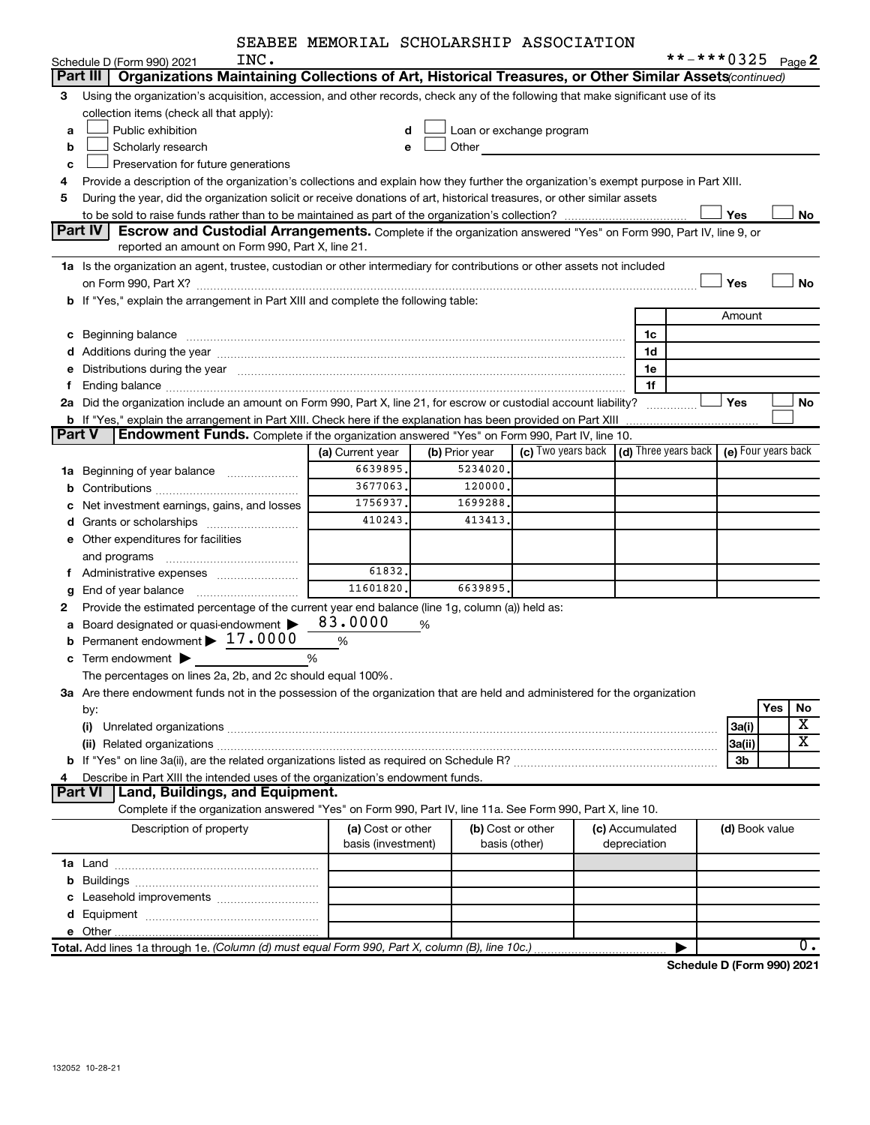| SEABEE MEMORIAL SCHOLARSHIP ASSOCIATION |  |
|-----------------------------------------|--|
|-----------------------------------------|--|

|               | INC.                                                                                                                                                                                                                           | SEADEE MEMORIAU SCROUARSHIP ASSOCIAIION |                |                                                                 |                 |    | **-***0325     | Page $\bm{2}$         |
|---------------|--------------------------------------------------------------------------------------------------------------------------------------------------------------------------------------------------------------------------------|-----------------------------------------|----------------|-----------------------------------------------------------------|-----------------|----|----------------|-----------------------|
|               | Schedule D (Form 990) 2021<br>Part III   Organizations Maintaining Collections of Art, Historical Treasures, or Other Similar Assets (continued)                                                                               |                                         |                |                                                                 |                 |    |                |                       |
| 3             | Using the organization's acquisition, accession, and other records, check any of the following that make significant use of its                                                                                                |                                         |                |                                                                 |                 |    |                |                       |
|               | collection items (check all that apply):                                                                                                                                                                                       |                                         |                |                                                                 |                 |    |                |                       |
| a             | Public exhibition                                                                                                                                                                                                              | d                                       |                | Loan or exchange program                                        |                 |    |                |                       |
| b             | Scholarly research                                                                                                                                                                                                             | e                                       | Other          |                                                                 |                 |    |                |                       |
| C             | Preservation for future generations                                                                                                                                                                                            |                                         |                |                                                                 |                 |    |                |                       |
| 4             | Provide a description of the organization's collections and explain how they further the organization's exempt purpose in Part XIII.                                                                                           |                                         |                |                                                                 |                 |    |                |                       |
| 5             | During the year, did the organization solicit or receive donations of art, historical treasures, or other similar assets                                                                                                       |                                         |                |                                                                 |                 |    |                |                       |
|               |                                                                                                                                                                                                                                |                                         |                |                                                                 |                 |    | Yes            | No                    |
|               | <b>Part IV</b><br>Escrow and Custodial Arrangements. Complete if the organization answered "Yes" on Form 990, Part IV, line 9, or                                                                                              |                                         |                |                                                                 |                 |    |                |                       |
|               | reported an amount on Form 990, Part X, line 21.                                                                                                                                                                               |                                         |                |                                                                 |                 |    |                |                       |
|               | 1a Is the organization an agent, trustee, custodian or other intermediary for contributions or other assets not included                                                                                                       |                                         |                |                                                                 |                 |    |                |                       |
|               |                                                                                                                                                                                                                                |                                         |                |                                                                 |                 |    | Yes            | <b>No</b>             |
|               | b If "Yes," explain the arrangement in Part XIII and complete the following table:                                                                                                                                             |                                         |                |                                                                 |                 |    |                |                       |
|               |                                                                                                                                                                                                                                |                                         |                |                                                                 |                 |    | Amount         |                       |
|               | c Beginning balance measurements and contain a series of the state of the state of the state of the state of the state of the state of the state of the state of the state of the state of the state of the state of the state |                                         |                |                                                                 |                 | 1c |                |                       |
|               |                                                                                                                                                                                                                                |                                         |                |                                                                 |                 | 1d |                |                       |
|               | e Distributions during the year measurement contained and all the year measurement of the year measurement of                                                                                                                  |                                         |                |                                                                 |                 | 1e |                |                       |
|               |                                                                                                                                                                                                                                |                                         |                |                                                                 |                 | 1f |                |                       |
|               | 2a Did the organization include an amount on Form 990, Part X, line 21, for escrow or custodial account liability?                                                                                                             |                                         |                |                                                                 |                 |    | Yes            | No                    |
|               | b If "Yes," explain the arrangement in Part XIII. Check here if the explanation has been provided on Part XIII                                                                                                                 |                                         |                |                                                                 |                 |    |                |                       |
| <b>Part V</b> | <b>Endowment Funds.</b> Complete if the organization answered "Yes" on Form 990, Part IV, line 10.                                                                                                                             |                                         |                |                                                                 |                 |    |                |                       |
|               |                                                                                                                                                                                                                                | (a) Current year                        | (b) Prior year | (c) Two years back   (d) Three years back   (e) Four years back |                 |    |                |                       |
|               | 1a Beginning of year balance                                                                                                                                                                                                   | 6639895                                 | 5234020        |                                                                 |                 |    |                |                       |
|               |                                                                                                                                                                                                                                | 3677063                                 | 120000         |                                                                 |                 |    |                |                       |
|               | Net investment earnings, gains, and losses                                                                                                                                                                                     | 1756937                                 | 1699288        |                                                                 |                 |    |                |                       |
|               |                                                                                                                                                                                                                                | 410243                                  | 413413         |                                                                 |                 |    |                |                       |
|               | <b>e</b> Other expenditures for facilities                                                                                                                                                                                     |                                         |                |                                                                 |                 |    |                |                       |
|               | and programs                                                                                                                                                                                                                   |                                         |                |                                                                 |                 |    |                |                       |
|               | Administrative expenses                                                                                                                                                                                                        | 61832.                                  |                |                                                                 |                 |    |                |                       |
| g             |                                                                                                                                                                                                                                | 11601820                                | 6639895.       |                                                                 |                 |    |                |                       |
| 2             | Provide the estimated percentage of the current year end balance (line 1g, column (a)) held as:                                                                                                                                |                                         |                |                                                                 |                 |    |                |                       |
| a             | Board designated or quasi-endowment                                                                                                                                                                                            | 83.0000                                 | %              |                                                                 |                 |    |                |                       |
|               | <b>b</b> Permanent endowment $\blacktriangleright$ 17.0000                                                                                                                                                                     | %                                       |                |                                                                 |                 |    |                |                       |
|               | Term endowment $\blacktriangleright$                                                                                                                                                                                           | %                                       |                |                                                                 |                 |    |                |                       |
|               | The percentages on lines 2a, 2b, and 2c should equal 100%.                                                                                                                                                                     |                                         |                |                                                                 |                 |    |                |                       |
|               | 3a Are there endowment funds not in the possession of the organization that are held and administered for the organization                                                                                                     |                                         |                |                                                                 |                 |    |                |                       |
|               | by:                                                                                                                                                                                                                            |                                         |                |                                                                 |                 |    |                | Yes<br>No             |
|               | (i)                                                                                                                                                                                                                            |                                         |                |                                                                 |                 |    | 3a(i)          | $\overline{\text{X}}$ |
|               |                                                                                                                                                                                                                                |                                         |                |                                                                 |                 |    | 3a(ii)         | X                     |
|               |                                                                                                                                                                                                                                |                                         |                |                                                                 |                 |    | Зb             |                       |
| 4             | Describe in Part XIII the intended uses of the organization's endowment funds.                                                                                                                                                 |                                         |                |                                                                 |                 |    |                |                       |
|               | Land, Buildings, and Equipment.<br><b>Part VI</b>                                                                                                                                                                              |                                         |                |                                                                 |                 |    |                |                       |
|               | Complete if the organization answered "Yes" on Form 990, Part IV, line 11a. See Form 990, Part X, line 10.                                                                                                                     |                                         |                |                                                                 |                 |    |                |                       |
|               | Description of property                                                                                                                                                                                                        | (a) Cost or other                       |                | (b) Cost or other                                               | (c) Accumulated |    | (d) Book value |                       |
|               |                                                                                                                                                                                                                                | basis (investment)                      |                | basis (other)                                                   | depreciation    |    |                |                       |
|               |                                                                                                                                                                                                                                |                                         |                |                                                                 |                 |    |                |                       |
|               |                                                                                                                                                                                                                                |                                         |                |                                                                 |                 |    |                |                       |
|               |                                                                                                                                                                                                                                |                                         |                |                                                                 |                 |    |                |                       |
|               |                                                                                                                                                                                                                                |                                         |                |                                                                 |                 |    |                |                       |
|               |                                                                                                                                                                                                                                |                                         |                |                                                                 |                 |    |                |                       |
|               | Total. Add lines 1a through 1e. (Column (d) must equal Form 990, Part X, column (B), line 10c.).                                                                                                                               |                                         |                |                                                                 |                 |    |                | 0.                    |

**Schedule D (Form 990) 2021**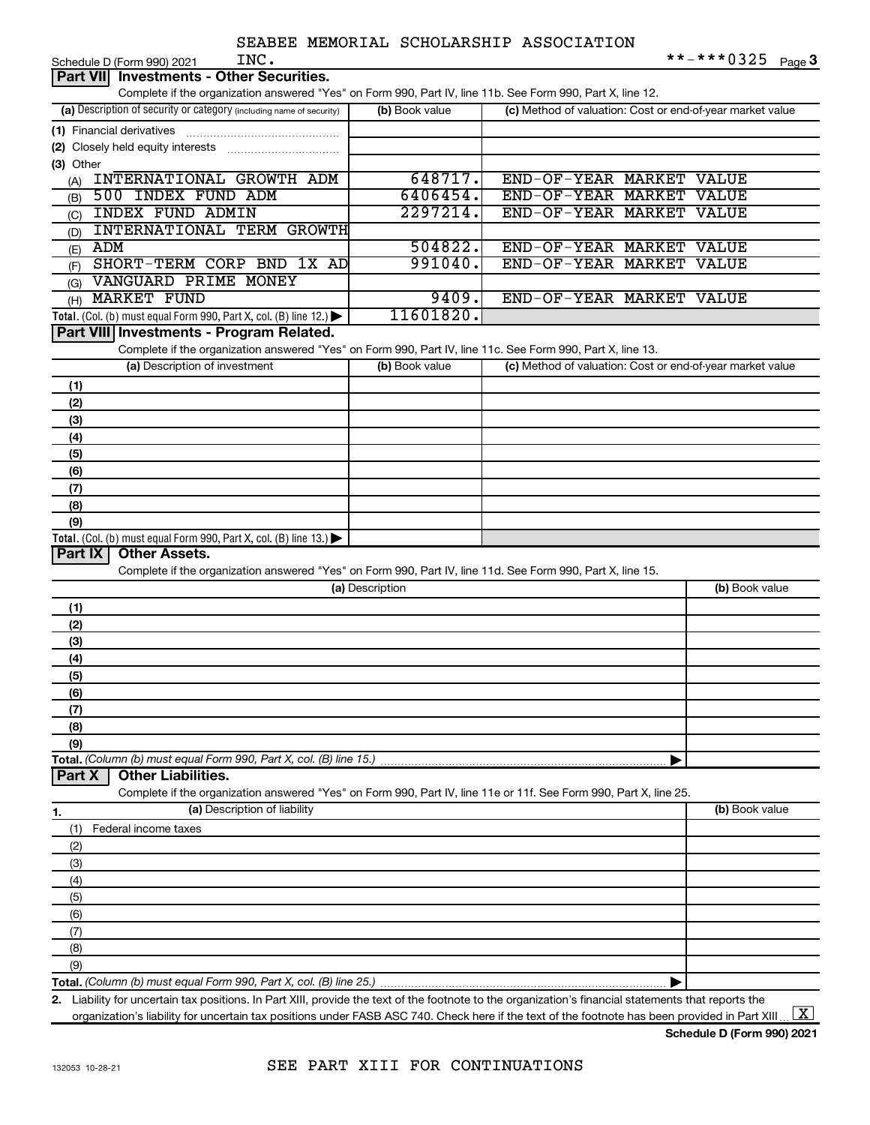|                                                                                                                   |                 | SEABEE MEMORIAL SCHOLARSHIP ASSOCIATION                   |                   |
|-------------------------------------------------------------------------------------------------------------------|-----------------|-----------------------------------------------------------|-------------------|
| INC.<br>Schedule D (Form 990) 2021                                                                                |                 |                                                           | **-***0325 Page 3 |
| Part VII Investments - Other Securities.                                                                          |                 |                                                           |                   |
| Complete if the organization answered "Yes" on Form 990, Part IV, line 11b. See Form 990, Part X, line 12.        |                 |                                                           |                   |
| (a) Description of security or category (including name of security)                                              | (b) Book value  | (c) Method of valuation: Cost or end-of-year market value |                   |
| (1) Financial derivatives                                                                                         |                 |                                                           |                   |
| (2) Closely held equity interests                                                                                 |                 |                                                           |                   |
| (3) Other                                                                                                         |                 |                                                           |                   |
| INTERNATIONAL GROWTH ADM<br>(A)                                                                                   | 648717.         | END-OF-YEAR MARKET                                        | VALUE             |
| 500 INDEX FUND ADM<br>(B)                                                                                         | 6406454.        | END-OF-YEAR MARKET                                        | <b>VALUE</b>      |
| <b>INDEX FUND ADMIN</b><br>(C)                                                                                    | 2297214.        | END-OF-YEAR MARKET                                        | <b>VALUE</b>      |
| INTERNATIONAL TERM GROWTH<br>(D)                                                                                  |                 |                                                           |                   |
| ADM<br>(E)                                                                                                        | 504822.         | END-OF-YEAR MARKET                                        | VALUE             |
| SHORT-TERM CORP BND 1X AD<br>(F)                                                                                  | 991040.         | END-OF-YEAR MARKET                                        | <b>VALUE</b>      |
| VANGUARD PRIME MONEY<br>(G)                                                                                       |                 |                                                           |                   |
| <b>MARKET FUND</b><br>(H)                                                                                         | 9409.           | END-OF-YEAR MARKET VALUE                                  |                   |
| Total. (Col. (b) must equal Form 990, Part X, col. (B) line 12.)                                                  | 11601820.       |                                                           |                   |
| Part VIII Investments - Program Related.                                                                          |                 |                                                           |                   |
| Complete if the organization answered "Yes" on Form 990, Part IV, line 11c. See Form 990, Part X, line 13.        |                 |                                                           |                   |
| (a) Description of investment                                                                                     | (b) Book value  | (c) Method of valuation: Cost or end-of-year market value |                   |
| (1)                                                                                                               |                 |                                                           |                   |
| (2)                                                                                                               |                 |                                                           |                   |
| (3)                                                                                                               |                 |                                                           |                   |
| (4)                                                                                                               |                 |                                                           |                   |
|                                                                                                                   |                 |                                                           |                   |
| (5)<br>(6)                                                                                                        |                 |                                                           |                   |
|                                                                                                                   |                 |                                                           |                   |
| (7)                                                                                                               |                 |                                                           |                   |
| (8)                                                                                                               |                 |                                                           |                   |
| (9)                                                                                                               |                 |                                                           |                   |
| Total. (Col. (b) must equal Form 990, Part X, col. (B) line 13.)<br><b>Other Assets.</b><br>Part IX               |                 |                                                           |                   |
|                                                                                                                   |                 |                                                           |                   |
| Complete if the organization answered "Yes" on Form 990, Part IV, line 11d. See Form 990, Part X, line 15.        | (a) Description |                                                           | (b) Book value    |
|                                                                                                                   |                 |                                                           |                   |
| (1)                                                                                                               |                 |                                                           |                   |
| (2)                                                                                                               |                 |                                                           |                   |
| (3)                                                                                                               |                 |                                                           |                   |
| (4)                                                                                                               |                 |                                                           |                   |
|                                                                                                                   |                 |                                                           |                   |
| (5)                                                                                                               |                 |                                                           |                   |
| (6)                                                                                                               |                 |                                                           |                   |
| (7)                                                                                                               |                 |                                                           |                   |
| (8)                                                                                                               |                 |                                                           |                   |
| (9)                                                                                                               |                 |                                                           |                   |
| Total. (Column (b) must equal Form 990, Part X, col. (B) line 15.)                                                |                 |                                                           |                   |
| Part X<br><b>Other Liabilities.</b>                                                                               |                 |                                                           |                   |
| Complete if the organization answered "Yes" on Form 990, Part IV, line 11e or 11f. See Form 990, Part X, line 25. |                 |                                                           |                   |
| (a) Description of liability                                                                                      |                 |                                                           | (b) Book value    |
| (1)<br>Federal income taxes                                                                                       |                 |                                                           |                   |
| (2)                                                                                                               |                 |                                                           |                   |
| (3)                                                                                                               |                 |                                                           |                   |
|                                                                                                                   |                 |                                                           |                   |
| (4)                                                                                                               |                 |                                                           |                   |
| (5)                                                                                                               |                 |                                                           |                   |
| (6)                                                                                                               |                 |                                                           |                   |
| (7)                                                                                                               |                 |                                                           |                   |
| (8)<br>(9)                                                                                                        |                 |                                                           |                   |

**Total.**  *(Column (b) must equal Form 990, Part X, col. (B) line 25.)* |

**2.** Liability for uncertain tax positions. In Part XIII, provide the text of the footnote to the organization's financial statements that reports the organization's liability for uncertain tax positions under FASB ASC 740. Check here if the text of the footnote has been provided in Part XIII ...  $\fbox{\bf X}$ 

**Schedule D (Form 990) 2021**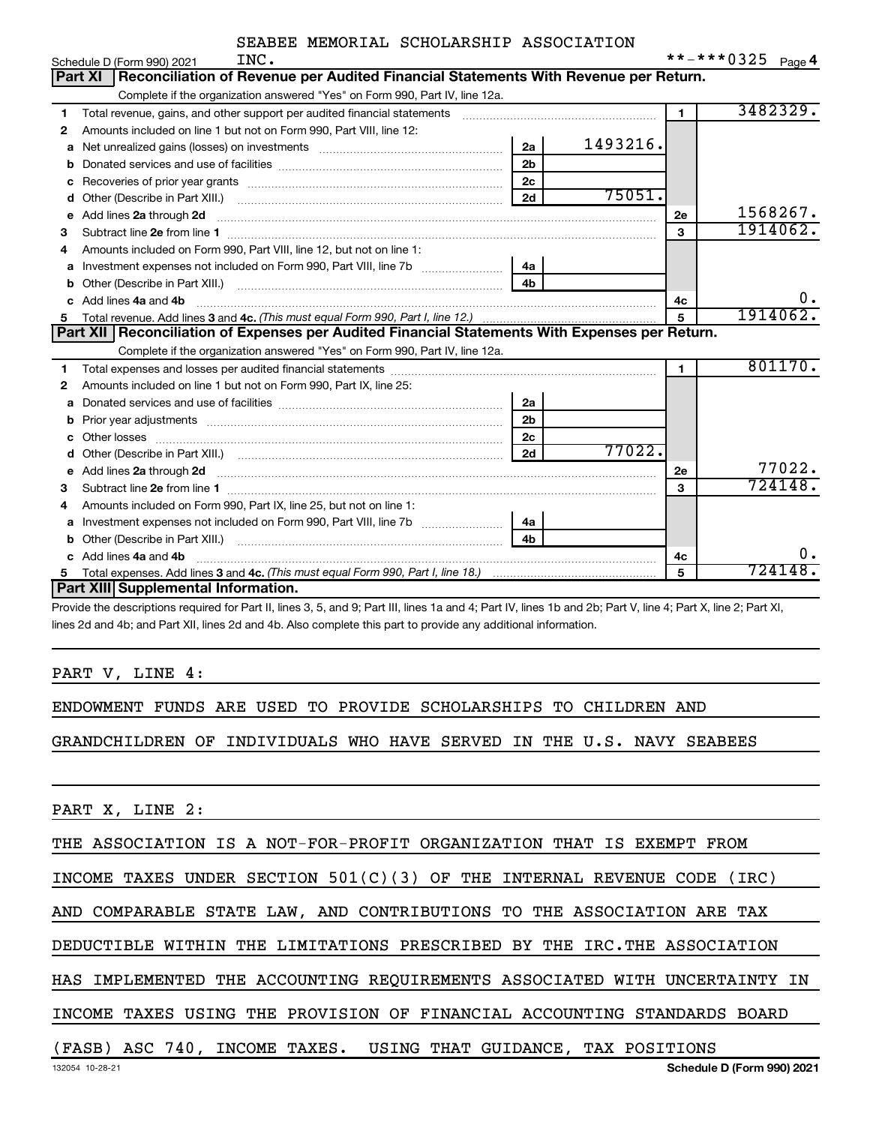|    | INC.<br>Schedule D (Form 990) 2021                                                                                                                                                                                                  |                |          |                | **-***0325 $_{Page 4}$ |        |
|----|-------------------------------------------------------------------------------------------------------------------------------------------------------------------------------------------------------------------------------------|----------------|----------|----------------|------------------------|--------|
|    | <b>Part XI</b><br>Reconciliation of Revenue per Audited Financial Statements With Revenue per Return.                                                                                                                               |                |          |                |                        |        |
|    | Complete if the organization answered "Yes" on Form 990, Part IV, line 12a.                                                                                                                                                         |                |          |                |                        |        |
| 1  | Total revenue, gains, and other support per audited financial statements [111] [11] Total revenue, gains, and other support per audited financial statements                                                                        |                |          | $\blacksquare$ | 3482329.               |        |
| 2  | Amounts included on line 1 but not on Form 990, Part VIII, line 12:                                                                                                                                                                 |                |          |                |                        |        |
| a  | Net unrealized gains (losses) on investments [111] Net unrealized mains (losses) on investments [11] Metamanian                                                                                                                     | 2a             | 1493216. |                |                        |        |
| b  |                                                                                                                                                                                                                                     | 2 <sub>b</sub> |          |                |                        |        |
| с  |                                                                                                                                                                                                                                     | 2c             |          |                |                        |        |
| d  |                                                                                                                                                                                                                                     | 2d             | 75051.   |                |                        |        |
| е  | Add lines 2a through 2d <b>manufactures</b> in the contract of the contract of the contract of the contract of the contract of the contract of the contract of the contract of the contract of the contract of the contract of the  |                |          | 2e             | 1568267.               |        |
| 3  |                                                                                                                                                                                                                                     |                |          | 3              | 1914062.               |        |
| 4  | Amounts included on Form 990, Part VIII, line 12, but not on line 1:                                                                                                                                                                |                |          |                |                        |        |
| a  | Investment expenses not included on Form 990, Part VIII, line 7b                                                                                                                                                                    | 4a             |          |                |                        |        |
| b  |                                                                                                                                                                                                                                     | 4 <sub>h</sub> |          |                |                        |        |
| C. | Add lines 4a and 4b                                                                                                                                                                                                                 |                |          | 4с             |                        | υ.     |
| 5  |                                                                                                                                                                                                                                     |                |          | $\overline{5}$ | 1914062.               |        |
|    | Part XII   Reconciliation of Expenses per Audited Financial Statements With Expenses per Return.                                                                                                                                    |                |          |                |                        |        |
|    | Complete if the organization answered "Yes" on Form 990, Part IV, line 12a.                                                                                                                                                         |                |          |                |                        |        |
| 1  |                                                                                                                                                                                                                                     |                |          | $\mathbf{1}$   | 801170.                |        |
| 2  | Amounts included on line 1 but not on Form 990, Part IX, line 25:                                                                                                                                                                   |                |          |                |                        |        |
| a  |                                                                                                                                                                                                                                     | 2a             |          |                |                        |        |
| b  |                                                                                                                                                                                                                                     | 2 <sub>b</sub> |          |                |                        |        |
| c  |                                                                                                                                                                                                                                     | 2 <sub>c</sub> |          |                |                        |        |
|    |                                                                                                                                                                                                                                     | 2d             | 77022.   |                |                        |        |
| е  | Add lines 2a through 2d <b>contained a contained a contained a contained a</b> contained a contained a contained a contained a contained a contained a contained a contained a contained a contained a contained a contained a cont |                |          | 2е             |                        | 77022. |
| 3  | Subtract line 2e from line 1                                                                                                                                                                                                        |                |          | 3              | 724148.                |        |
| 4  | Amounts included on Form 990, Part IX, line 25, but not on line 1:                                                                                                                                                                  |                |          |                |                        |        |
| a  | Investment expenses not included on Form 990, Part VIII, line 7b [11, 111, 120]                                                                                                                                                     | 4a             |          |                |                        |        |
| b  | Other (Describe in Part XIII.) (2000) (2000) (2000) (2010) (2010) (2010) (2010) (2010) (2010) (2010) (2010) (20                                                                                                                     | 4 <sub>b</sub> |          |                |                        |        |
|    | Add lines 4a and 4b                                                                                                                                                                                                                 |                |          | 4c             |                        | 0.     |
| 5  |                                                                                                                                                                                                                                     |                |          | 5              | 724148.                |        |
|    | Part XIII Supplemental Information.                                                                                                                                                                                                 |                |          |                |                        |        |

Provide the descriptions required for Part II, lines 3, 5, and 9; Part III, lines 1a and 4; Part IV, lines 1b and 2b; Part V, line 4; Part X, line 2; Part XI, lines 2d and 4b; and Part XII, lines 2d and 4b. Also complete this part to provide any additional information.

PART V, LINE 4:

ENDOWMENT FUNDS ARE USED TO PROVIDE SCHOLARSHIPS TO CHILDREN AND

GRANDCHILDREN OF INDIVIDUALS WHO HAVE SERVED IN THE U.S. NAVY SEABEES

PART X, LINE 2:

THE ASSOCIATION IS A NOT-FOR-PROFIT ORGANIZATION THAT IS EXEMPT FROM

INCOME TAXES UNDER SECTION 501(C)(3) OF THE INTERNAL REVENUE CODE (IRC)

AND COMPARABLE STATE LAW, AND CONTRIBUTIONS TO THE ASSOCIATION ARE TAX

DEDUCTIBLE WITHIN THE LIMITATIONS PRESCRIBED BY THE IRC.THE ASSOCIATION

HAS IMPLEMENTED THE ACCOUNTING REQUIREMENTS ASSOCIATED WITH UNCERTAINTY IN

INCOME TAXES USING THE PROVISION OF FINANCIAL ACCOUNTING STANDARDS BOARD

#### (FASB) ASC 740, INCOME TAXES. USING THAT GUIDANCE, TAX POSITIONS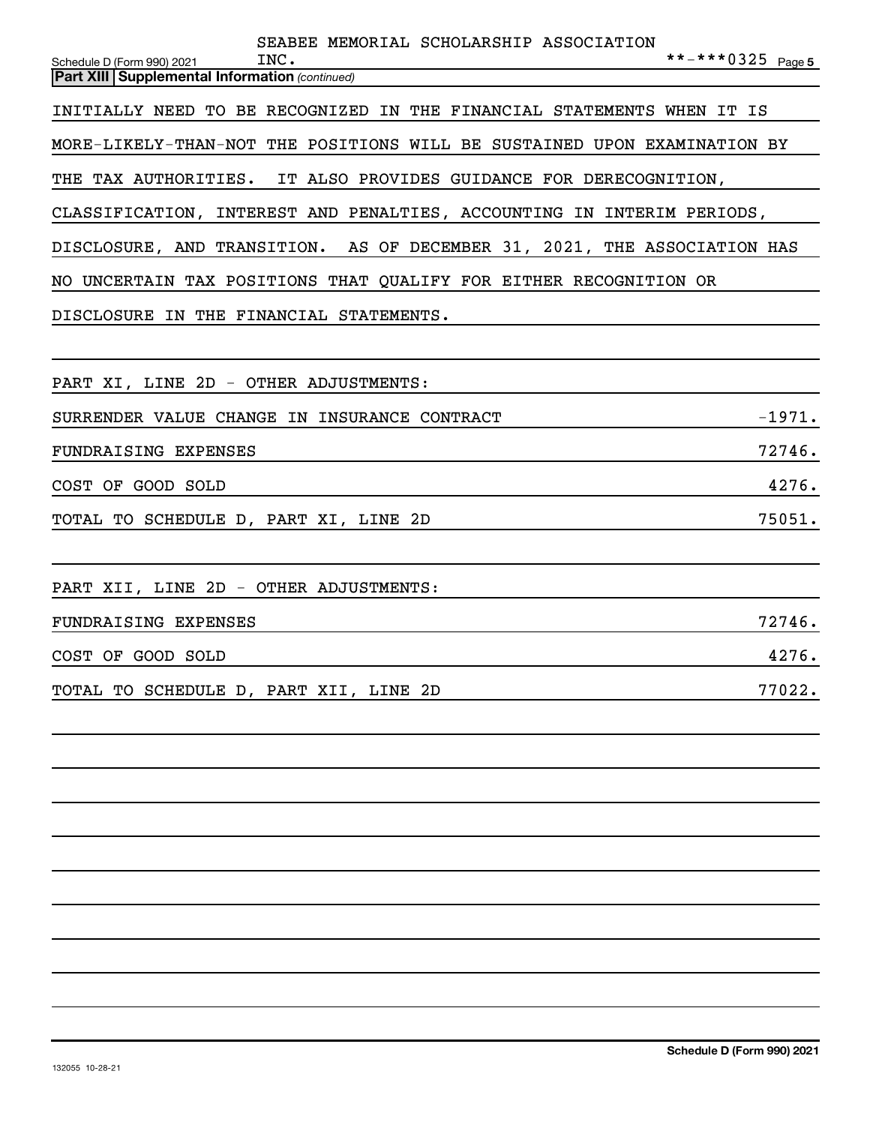| SEABEE MEMORIAL SCHOLARSHIP ASSOCIATION<br>**-***0325 Page 5<br>INC.<br>Schedule D (Form 990) 2021 |
|----------------------------------------------------------------------------------------------------|
| <b>Part XIII Supplemental Information (continued)</b>                                              |
| INITIALLY NEED TO BE RECOGNIZED IN THE FINANCIAL STATEMENTS WHEN IT IS                             |
| MORE-LIKELY-THAN-NOT THE POSITIONS WILL BE SUSTAINED UPON EXAMINATION BY                           |
| THE TAX AUTHORITIES. IT ALSO PROVIDES GUIDANCE FOR DERECOGNITION,                                  |
| CLASSIFICATION, INTEREST AND PENALTIES, ACCOUNTING IN INTERIM PERIODS,                             |
| DISCLOSURE, AND TRANSITION. AS OF DECEMBER 31, 2021, THE ASSOCIATION HAS                           |
| NO UNCERTAIN TAX POSITIONS THAT QUALIFY FOR EITHER RECOGNITION OR                                  |
| DISCLOSURE IN THE FINANCIAL STATEMENTS.                                                            |
|                                                                                                    |
| PART XI, LINE 2D - OTHER ADJUSTMENTS:                                                              |
| $-1971.$<br>SURRENDER VALUE CHANGE IN INSURANCE CONTRACT                                           |
| 72746.<br><b>FUNDRAISING EXPENSES</b>                                                              |
| 4276.<br>COST OF GOOD SOLD                                                                         |
| 75051.<br>TOTAL TO SCHEDULE D, PART XI, LINE 2D                                                    |
|                                                                                                    |
| PART XII, LINE 2D - OTHER ADJUSTMENTS:                                                             |
| 72746.<br><b>FUNDRAISING EXPENSES</b>                                                              |
| 4276.<br>COST OF GOOD SOLD                                                                         |
| 77022.<br>TOTAL TO SCHEDULE D, PART XII, LINE 2D                                                   |
|                                                                                                    |
|                                                                                                    |
|                                                                                                    |
|                                                                                                    |
|                                                                                                    |
|                                                                                                    |
|                                                                                                    |
|                                                                                                    |
|                                                                                                    |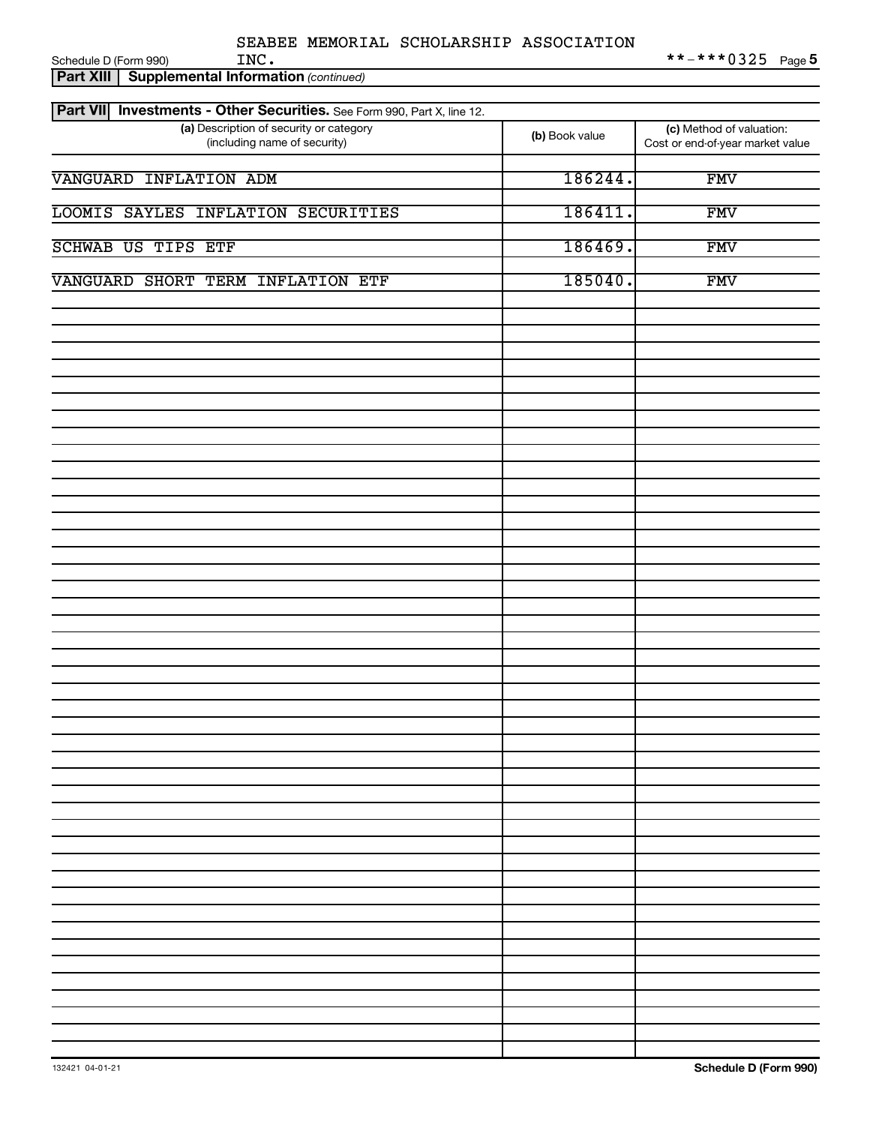| SEABEE MEMORIAL SCHOLARSHIP ASSOCIATION |  |  |  |  |
|-----------------------------------------|--|--|--|--|
|-----------------------------------------|--|--|--|--|

**Part XIII | Supplemental Information** (continued)

| <b>Part VII Investments - Other Securities.</b> See Form 990, Part X, line 12. |                |                                                              |  |  |  |
|--------------------------------------------------------------------------------|----------------|--------------------------------------------------------------|--|--|--|
| (a) Description of security or category<br>(including name of security)        | (b) Book value | (c) Method of valuation:<br>Cost or end-of-year market value |  |  |  |
| VANGUARD INFLATION ADM                                                         | 186244.        | <b>FMV</b>                                                   |  |  |  |
| LOOMIS SAYLES INFLATION SECURITIES                                             | 186411.        | <b>FMV</b>                                                   |  |  |  |
| <b>SCHWAB US TIPS ETF</b>                                                      | 186469.        | <b>FMV</b>                                                   |  |  |  |
| VANGUARD SHORT TERM INFLATION ETF                                              | 185040.        | <b>FMV</b>                                                   |  |  |  |
|                                                                                |                |                                                              |  |  |  |
|                                                                                |                |                                                              |  |  |  |
|                                                                                |                |                                                              |  |  |  |
|                                                                                |                |                                                              |  |  |  |
|                                                                                |                |                                                              |  |  |  |
|                                                                                |                |                                                              |  |  |  |
|                                                                                |                |                                                              |  |  |  |
|                                                                                |                |                                                              |  |  |  |
|                                                                                |                |                                                              |  |  |  |
|                                                                                |                |                                                              |  |  |  |
|                                                                                |                |                                                              |  |  |  |
|                                                                                |                |                                                              |  |  |  |
|                                                                                |                |                                                              |  |  |  |
|                                                                                |                |                                                              |  |  |  |
|                                                                                |                |                                                              |  |  |  |
|                                                                                |                |                                                              |  |  |  |
|                                                                                |                |                                                              |  |  |  |
|                                                                                |                |                                                              |  |  |  |
|                                                                                |                |                                                              |  |  |  |
|                                                                                |                |                                                              |  |  |  |
|                                                                                |                |                                                              |  |  |  |
|                                                                                |                |                                                              |  |  |  |
|                                                                                |                |                                                              |  |  |  |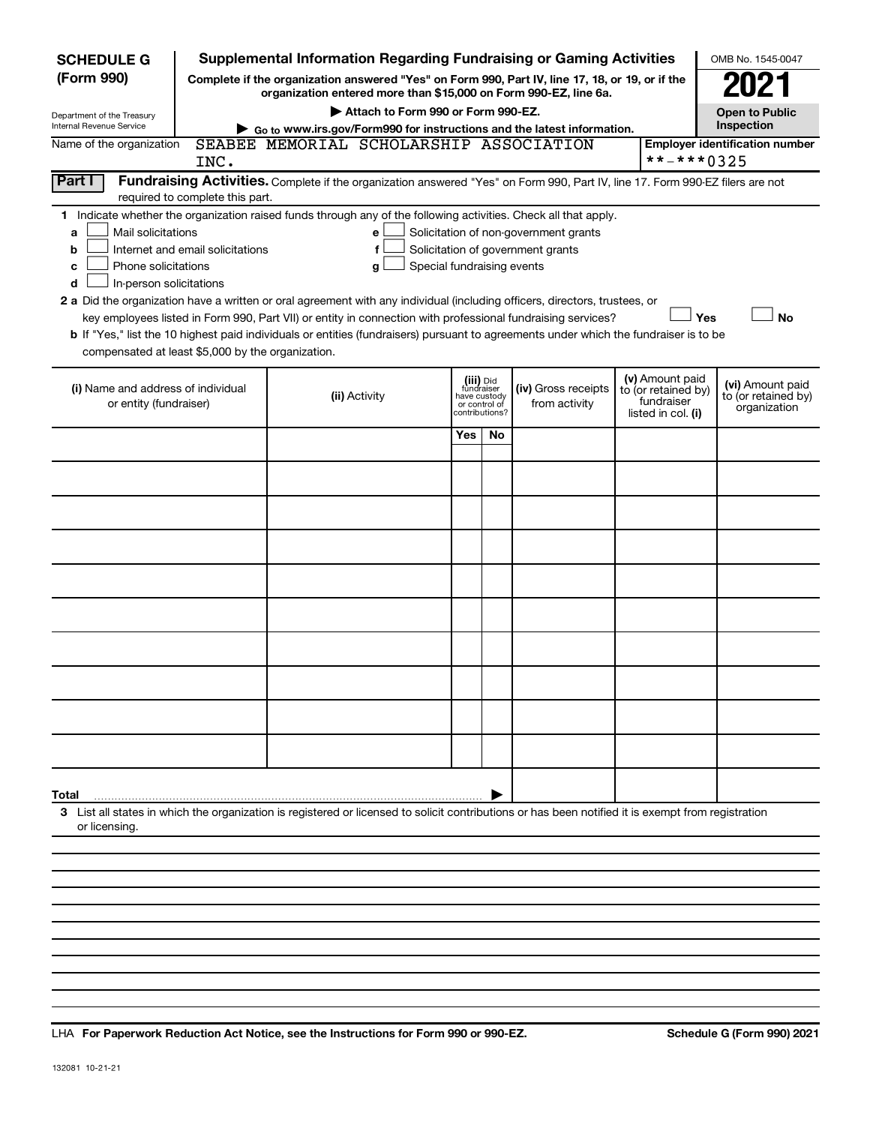| <b>SCHEDULE G</b>                                                                                                                                                                                                                                                                                                                                                                                                                                                                                                                       |                                                                                                                                                                                                           |  |                                           |                                                                            |    | <b>Supplemental Information Regarding Fundraising or Gaming Activities</b>                                                                                                                |                                                                            |            | OMB No. 1545-0047                                       |
|-----------------------------------------------------------------------------------------------------------------------------------------------------------------------------------------------------------------------------------------------------------------------------------------------------------------------------------------------------------------------------------------------------------------------------------------------------------------------------------------------------------------------------------------|-----------------------------------------------------------------------------------------------------------------------------------------------------------------------------------------------------------|--|-------------------------------------------|----------------------------------------------------------------------------|----|-------------------------------------------------------------------------------------------------------------------------------------------------------------------------------------------|----------------------------------------------------------------------------|------------|---------------------------------------------------------|
| (Form 990)                                                                                                                                                                                                                                                                                                                                                                                                                                                                                                                              | Complete if the organization answered "Yes" on Form 990, Part IV, line 17, 18, or 19, or if the<br>organization entered more than \$15,000 on Form 990-EZ, line 6a.<br>Attach to Form 990 or Form 990-EZ. |  |                                           |                                                                            |    |                                                                                                                                                                                           |                                                                            |            |                                                         |
| Department of the Treasury                                                                                                                                                                                                                                                                                                                                                                                                                                                                                                              |                                                                                                                                                                                                           |  |                                           |                                                                            |    |                                                                                                                                                                                           |                                                                            |            | <b>Open to Public</b>                                   |
| Internal Revenue Service                                                                                                                                                                                                                                                                                                                                                                                                                                                                                                                |                                                                                                                                                                                                           |  |                                           |                                                                            |    | ▶ Go to www.irs.gov/Form990 for instructions and the latest information.                                                                                                                  |                                                                            |            | Inspection                                              |
| Name of the organization                                                                                                                                                                                                                                                                                                                                                                                                                                                                                                                | INC.                                                                                                                                                                                                      |  | SEABEE MEMORIAL SCHOLARSHIP ASSOCIATION   |                                                                            |    |                                                                                                                                                                                           |                                                                            | **-***0325 | <b>Employer identification number</b>                   |
| Part I                                                                                                                                                                                                                                                                                                                                                                                                                                                                                                                                  | required to complete this part.                                                                                                                                                                           |  |                                           |                                                                            |    | Fundraising Activities. Complete if the organization answered "Yes" on Form 990, Part IV, line 17. Form 990-EZ filers are not                                                             |                                                                            |            |                                                         |
| 1 Indicate whether the organization raised funds through any of the following activities. Check all that apply.<br>Mail solicitations<br>a<br>b<br>Phone solicitations<br>c<br>In-person solicitations<br>d<br>2 a Did the organization have a written or oral agreement with any individual (including officers, directors, trustees, or<br>b If "Yes," list the 10 highest paid individuals or entities (fundraisers) pursuant to agreements under which the fundraiser is to be<br>compensated at least \$5,000 by the organization. | Internet and email solicitations                                                                                                                                                                          |  | e<br>f<br>Special fundraising events<br>g |                                                                            |    | Solicitation of non-government grants<br>Solicitation of government grants<br>key employees listed in Form 990, Part VII) or entity in connection with professional fundraising services? |                                                                            | Yes        | <b>No</b>                                               |
| (i) Name and address of individual<br>or entity (fundraiser)                                                                                                                                                                                                                                                                                                                                                                                                                                                                            |                                                                                                                                                                                                           |  | (ii) Activity                             | (iii) Did<br>fundraiser<br>have custody<br>or control of<br>contributions? |    | (iv) Gross receipts<br>from activity                                                                                                                                                      | (v) Amount paid<br>to (or retained by)<br>fundraiser<br>listed in col. (i) |            | (vi) Amount paid<br>to (or retained by)<br>organization |
|                                                                                                                                                                                                                                                                                                                                                                                                                                                                                                                                         |                                                                                                                                                                                                           |  |                                           | Yes                                                                        | No |                                                                                                                                                                                           |                                                                            |            |                                                         |
|                                                                                                                                                                                                                                                                                                                                                                                                                                                                                                                                         |                                                                                                                                                                                                           |  |                                           |                                                                            |    |                                                                                                                                                                                           |                                                                            |            |                                                         |
|                                                                                                                                                                                                                                                                                                                                                                                                                                                                                                                                         |                                                                                                                                                                                                           |  |                                           |                                                                            |    |                                                                                                                                                                                           |                                                                            |            |                                                         |
|                                                                                                                                                                                                                                                                                                                                                                                                                                                                                                                                         |                                                                                                                                                                                                           |  |                                           |                                                                            |    |                                                                                                                                                                                           |                                                                            |            |                                                         |
|                                                                                                                                                                                                                                                                                                                                                                                                                                                                                                                                         |                                                                                                                                                                                                           |  |                                           |                                                                            |    |                                                                                                                                                                                           |                                                                            |            |                                                         |
|                                                                                                                                                                                                                                                                                                                                                                                                                                                                                                                                         |                                                                                                                                                                                                           |  |                                           |                                                                            |    |                                                                                                                                                                                           |                                                                            |            |                                                         |
|                                                                                                                                                                                                                                                                                                                                                                                                                                                                                                                                         |                                                                                                                                                                                                           |  |                                           |                                                                            |    |                                                                                                                                                                                           |                                                                            |            |                                                         |
|                                                                                                                                                                                                                                                                                                                                                                                                                                                                                                                                         |                                                                                                                                                                                                           |  |                                           |                                                                            |    |                                                                                                                                                                                           |                                                                            |            |                                                         |
|                                                                                                                                                                                                                                                                                                                                                                                                                                                                                                                                         |                                                                                                                                                                                                           |  |                                           |                                                                            |    |                                                                                                                                                                                           |                                                                            |            |                                                         |
|                                                                                                                                                                                                                                                                                                                                                                                                                                                                                                                                         |                                                                                                                                                                                                           |  |                                           |                                                                            |    |                                                                                                                                                                                           |                                                                            |            |                                                         |
| Total                                                                                                                                                                                                                                                                                                                                                                                                                                                                                                                                   |                                                                                                                                                                                                           |  |                                           |                                                                            |    |                                                                                                                                                                                           |                                                                            |            |                                                         |
| 3 List all states in which the organization is registered or licensed to solicit contributions or has been notified it is exempt from registration<br>or licensing                                                                                                                                                                                                                                                                                                                                                                      |                                                                                                                                                                                                           |  |                                           |                                                                            |    |                                                                                                                                                                                           |                                                                            |            |                                                         |

LHA For Paperwork Reduction Act Notice, see the Instructions for Form 990 or 990-EZ. Schedule G (Form 990) 2021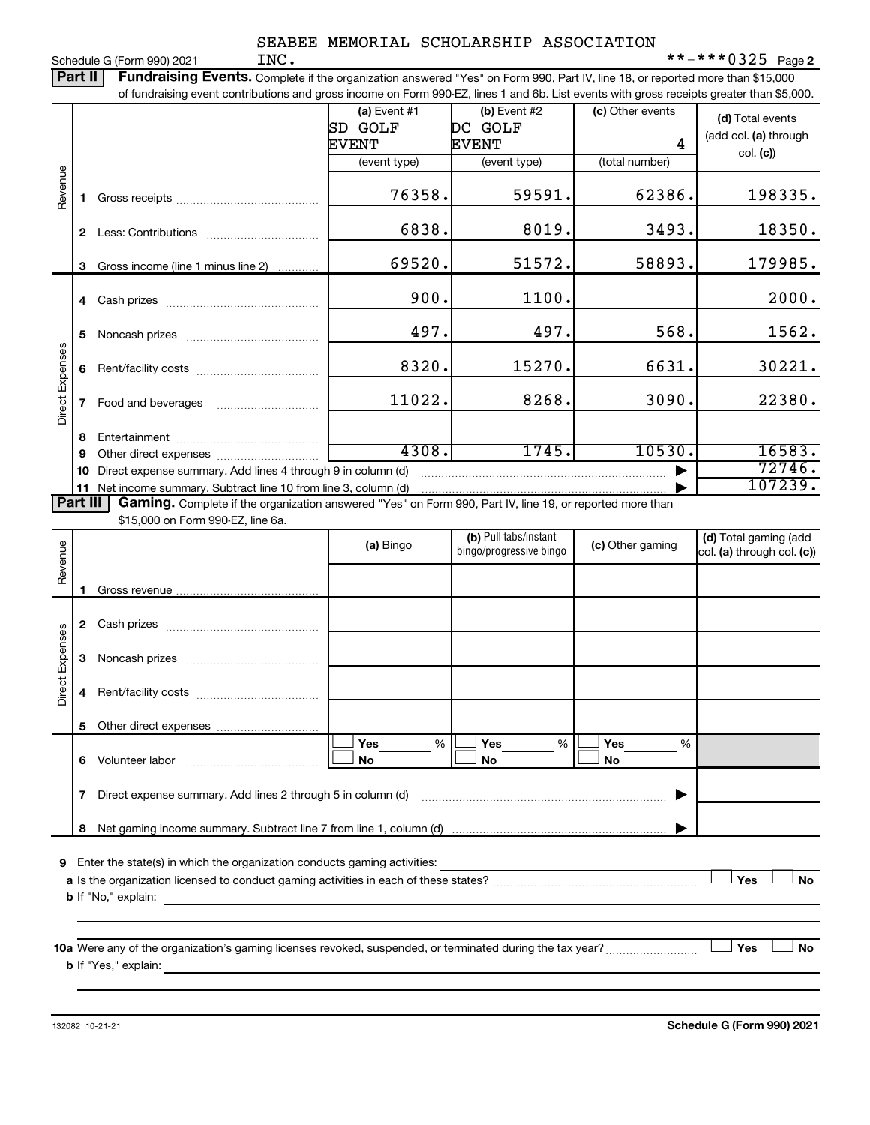Schedule G (Form 990) 2021  $\text{INC.}$ 

**2** INC. \*\*-\*\*\*0325

Part II | Fundraising Events. Complete if the organization answered "Yes" on Form 990, Part IV, line 18, or reported more than \$15,000 of fundraising event contributions and gross income on Form 990-EZ, lines 1 and 6b. List events with gross receipts greater than \$5,000.

|                 |                | OF RITURIAISHIY EVENT CONTIDUMONS AND YIOSS INCOME ON FOND 990-EZ, IINES T AND OD. EIST EVENTS WILL YIOSS RECEIDIS YREARER MAN \$0,000. |                                                              |                                                  |                       |                                                     |
|-----------------|----------------|-----------------------------------------------------------------------------------------------------------------------------------------|--------------------------------------------------------------|--------------------------------------------------|-----------------------|-----------------------------------------------------|
|                 |                |                                                                                                                                         | $(a)$ Event #1<br>SD GOLF                                    | $(b)$ Event #2<br>DC GOLF                        | (c) Other events<br>4 | (d) Total events<br>(add col. (a) through           |
|                 |                |                                                                                                                                         | <b>EVENT</b><br><b>EVENT</b><br>(event type)<br>(event type) |                                                  | (total number)        | col. (c)                                            |
|                 |                |                                                                                                                                         |                                                              |                                                  |                       |                                                     |
| Revenue         | 1.             |                                                                                                                                         | 76358.                                                       | 59591.                                           | 62386.                | 198335.                                             |
|                 |                |                                                                                                                                         | 6838.                                                        | 8019.                                            | 3493.                 | 18350.                                              |
|                 | 3              | Gross income (line 1 minus line 2)                                                                                                      | 69520.                                                       | 51572.                                           | 58893.                | 179985.                                             |
|                 |                |                                                                                                                                         | 900.                                                         | 1100.                                            |                       | 2000.                                               |
|                 | 5              |                                                                                                                                         | 497.                                                         | 497.                                             | 568.                  | 1562.                                               |
|                 | 6              |                                                                                                                                         | 8320.                                                        | 15270.                                           | 6631.                 | 30221.                                              |
| Direct Expenses | $\overline{7}$ |                                                                                                                                         | 11022.                                                       | 8268.                                            | 3090.                 | 22380.                                              |
|                 | 8              |                                                                                                                                         |                                                              |                                                  |                       |                                                     |
|                 | 9              |                                                                                                                                         | 4308.                                                        | 1745.                                            | 10530.                | 16583.                                              |
|                 | 10             | Direct expense summary. Add lines 4 through 9 in column (d)                                                                             |                                                              |                                                  |                       | 72746.                                              |
|                 |                |                                                                                                                                         |                                                              |                                                  |                       | 107239.                                             |
| Part III        |                | Gaming. Complete if the organization answered "Yes" on Form 990, Part IV, line 19, or reported more than                                |                                                              |                                                  |                       |                                                     |
|                 |                | \$15,000 on Form 990-EZ, line 6a.                                                                                                       |                                                              |                                                  |                       |                                                     |
|                 |                |                                                                                                                                         | (a) Bingo                                                    | (b) Pull tabs/instant<br>bingo/progressive bingo | (c) Other gaming      | (d) Total gaming (add<br>col. (a) through col. (c)) |
| Revenue         | 1.             |                                                                                                                                         |                                                              |                                                  |                       |                                                     |
|                 |                |                                                                                                                                         |                                                              |                                                  |                       |                                                     |
|                 |                |                                                                                                                                         |                                                              |                                                  |                       |                                                     |
| Direct Expenses | 3              |                                                                                                                                         |                                                              |                                                  |                       |                                                     |
|                 |                |                                                                                                                                         |                                                              |                                                  |                       |                                                     |

**9** Enter the state(s) in which the organization conducts gaming activities:

**8** Net gaming income summary. Subtract line 7 from line 1, column (d)

**6** Volunteer labor ~~~~~~~~~~~~~

**5** Other direct expenses

| a Is the organization licensed to conduct gaming activities in each of these states? |  | Yes | No |
|--------------------------------------------------------------------------------------|--|-----|----|
| <b>b</b> If "No," explain:                                                           |  |     |    |

**Yes Yes Yes** % % %

|

**No No No**

 $|\Box$  Yes  $\qquad \%$   $|\Box$  Yes  $\qquad \%$   $|\Box$  $|\Box$  No  $|\Box$  No  $|\Box$ 

**10 a Yes No** Were any of the organization's gaming licenses revoked, suspended, or terminated during the tax year? ~~~~~~~~~ † † **b** If "Yes," explain:

**7** Direct expense summary. Add lines 2 through 5 in column (d) ~~~~~~~~~~~~~~~~~~~~~~~~ |

132082 10-21-21

**Schedule G (Form 990) 2021**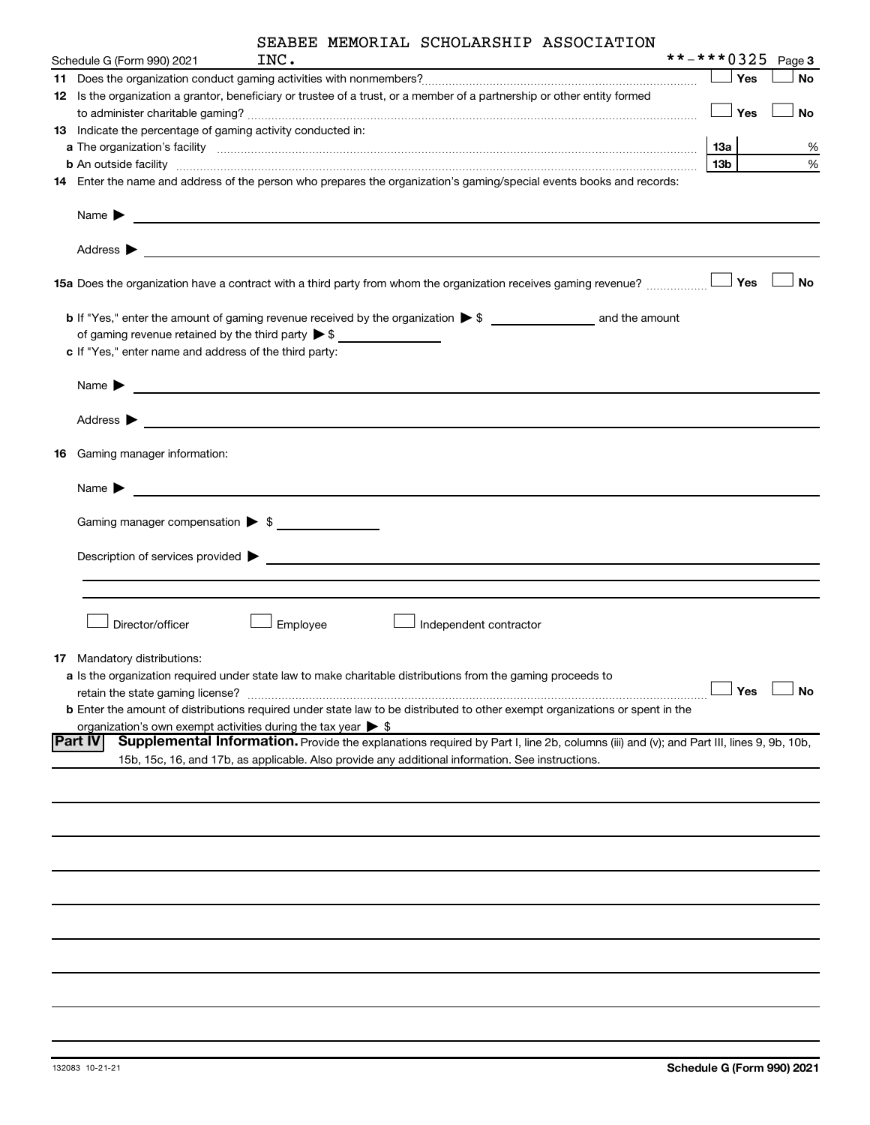|  |  |  | SEABEE MEMORIAL SCHOLARSHIP ASSOCIATION |
|--|--|--|-----------------------------------------|
|--|--|--|-----------------------------------------|

| peaber Memoniap Schopanshift Association<br>**-***0325 Page 3<br>INC.<br>Schedule G (Form 990) 2021                                                                                                                                  |     |     |           |
|--------------------------------------------------------------------------------------------------------------------------------------------------------------------------------------------------------------------------------------|-----|-----|-----------|
| <u> 1989 - Johann Stein, markin sammen fyrir sener og fyrir sener og fyrir sener og fyrir sener og fyrir sener og</u>                                                                                                                |     | Yes | <b>No</b> |
| 12 Is the organization a grantor, beneficiary or trustee of a trust, or a member of a partnership or other entity formed                                                                                                             |     |     |           |
|                                                                                                                                                                                                                                      |     | Yes | No        |
| 13 Indicate the percentage of gaming activity conducted in:                                                                                                                                                                          |     |     |           |
| a The organization's facility [11, 2010] The organization's facility [11, 2010] The organization's facility [11, 2010] The organization's facility [11, 2010] The organization of the state of the state of the state of the s       | 13a |     | %         |
| <b>b</b> An outside facility <i>www.communicality www.communicality.communicality www.communicality www.communicality.communicality</i>                                                                                              | 13b |     | %         |
| 14 Enter the name and address of the person who prepares the organization's gaming/special events books and records:                                                                                                                 |     |     |           |
| Name $\blacktriangleright$<br><u> 2000 - Jan James Alexander (h. 1888).</u><br>1900 - Johann Alexander (h. 1800).                                                                                                                    |     |     |           |
| Address ><br><u> 1989 - Johann John Stone, meil in der Stone aus der Stone aus der Stone aus der Stone aus der Stone anderen S</u>                                                                                                   |     |     |           |
|                                                                                                                                                                                                                                      |     | Yes | No        |
|                                                                                                                                                                                                                                      |     |     |           |
| of gaming revenue retained by the third party $\triangleright$ \$                                                                                                                                                                    |     |     |           |
| c If "Yes," enter name and address of the third party:                                                                                                                                                                               |     |     |           |
| Name <b>Decision of the Contract of the Contract of the Contract of the Contract of the Contract of the Contract of the Contract of the Contract of the Contract of the Contract of the Contract of the Contract of the Contract</b> |     |     |           |
| Address ><br><u> 2002 - Johann John Stein, mars an de British (b. 1958)</u>                                                                                                                                                          |     |     |           |
| 16 Gaming manager information:                                                                                                                                                                                                       |     |     |           |
|                                                                                                                                                                                                                                      |     |     |           |
|                                                                                                                                                                                                                                      |     |     |           |
| Gaming manager compensation > \$                                                                                                                                                                                                     |     |     |           |
| Description of services provided > example and a service of the service of the services provided > example and the services provided > example and the services provided > example and the services of the services of the ser       |     |     |           |
|                                                                                                                                                                                                                                      |     |     |           |
|                                                                                                                                                                                                                                      |     |     |           |
| Director/officer<br>Employee<br>Independent contractor                                                                                                                                                                               |     |     |           |
| 17 Mandatory distributions:                                                                                                                                                                                                          |     |     |           |
| a Is the organization required under state law to make charitable distributions from the gaming proceeds to                                                                                                                          |     |     |           |
| retain the state gaming license?                                                                                                                                                                                                     |     | Yes | No        |
| <b>b</b> Enter the amount of distributions required under state law to be distributed to other exempt organizations or spent in the                                                                                                  |     |     |           |
| organization's own exempt activities during the tax year $\triangleright$ \$<br> Part IV<br>Supplemental Information. Provide the explanations required by Part I, line 2b, columns (iii) and (v); and Part III, lines 9, 9b, 10b,   |     |     |           |
| 15b, 15c, 16, and 17b, as applicable. Also provide any additional information. See instructions.                                                                                                                                     |     |     |           |
|                                                                                                                                                                                                                                      |     |     |           |
|                                                                                                                                                                                                                                      |     |     |           |
|                                                                                                                                                                                                                                      |     |     |           |
|                                                                                                                                                                                                                                      |     |     |           |
|                                                                                                                                                                                                                                      |     |     |           |
|                                                                                                                                                                                                                                      |     |     |           |
|                                                                                                                                                                                                                                      |     |     |           |
|                                                                                                                                                                                                                                      |     |     |           |
|                                                                                                                                                                                                                                      |     |     |           |
|                                                                                                                                                                                                                                      |     |     |           |
|                                                                                                                                                                                                                                      |     |     |           |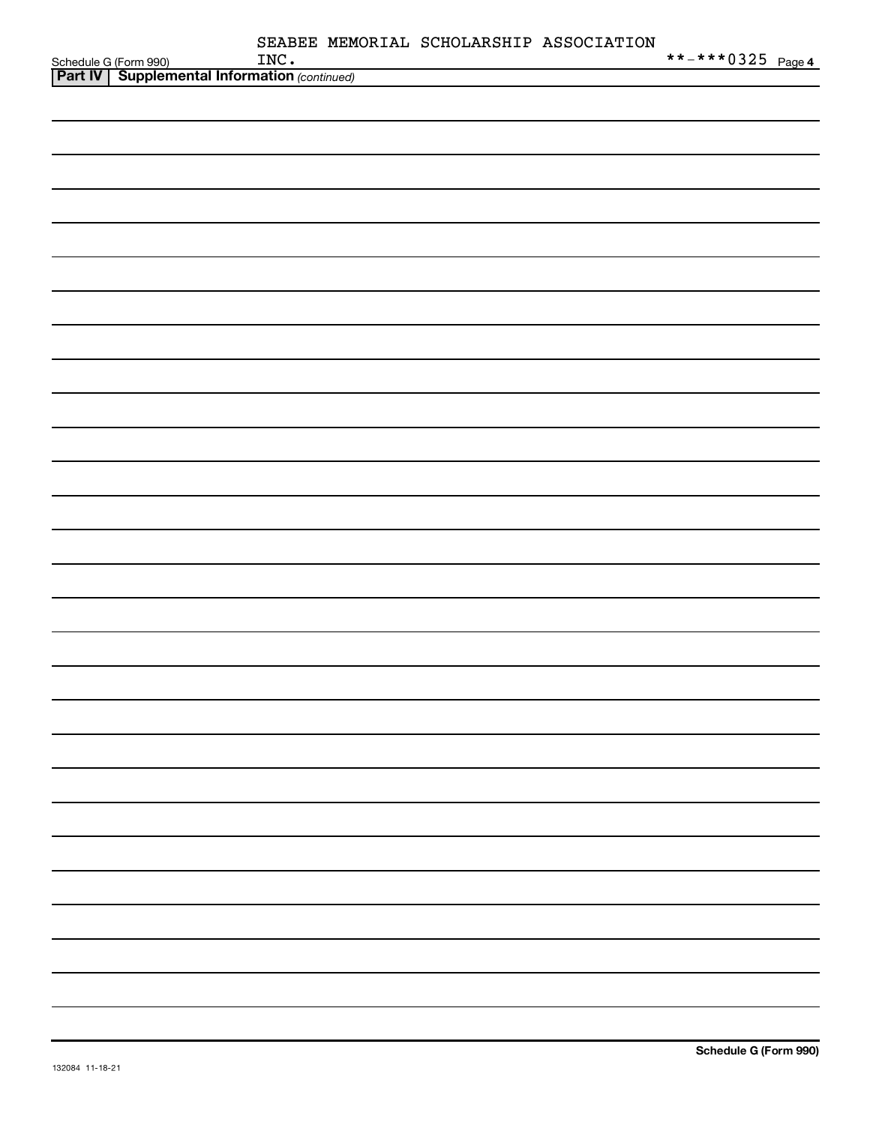|                                                                                     |      |  | SEABEE MEMORIAL SCHOLARSHIP ASSOCIATION |                   |  |
|-------------------------------------------------------------------------------------|------|--|-----------------------------------------|-------------------|--|
| Schedule G (Form 990) INC.<br><b>Part IV   Supplemental Information</b> (continued) | INC. |  |                                         | **-***0325 Page 4 |  |
|                                                                                     |      |  |                                         |                   |  |
|                                                                                     |      |  |                                         |                   |  |
|                                                                                     |      |  |                                         |                   |  |
|                                                                                     |      |  |                                         |                   |  |
|                                                                                     |      |  |                                         |                   |  |
|                                                                                     |      |  |                                         |                   |  |
|                                                                                     |      |  |                                         |                   |  |
|                                                                                     |      |  |                                         |                   |  |
|                                                                                     |      |  |                                         |                   |  |
|                                                                                     |      |  |                                         |                   |  |
|                                                                                     |      |  |                                         |                   |  |
|                                                                                     |      |  |                                         |                   |  |
|                                                                                     |      |  |                                         |                   |  |
|                                                                                     |      |  |                                         |                   |  |
|                                                                                     |      |  |                                         |                   |  |
|                                                                                     |      |  |                                         |                   |  |
|                                                                                     |      |  |                                         |                   |  |
|                                                                                     |      |  |                                         |                   |  |
|                                                                                     |      |  |                                         |                   |  |
|                                                                                     |      |  |                                         |                   |  |
|                                                                                     |      |  |                                         |                   |  |
|                                                                                     |      |  |                                         |                   |  |
|                                                                                     |      |  |                                         |                   |  |
|                                                                                     |      |  |                                         |                   |  |
|                                                                                     |      |  |                                         |                   |  |
|                                                                                     |      |  |                                         |                   |  |
|                                                                                     |      |  |                                         |                   |  |
|                                                                                     |      |  |                                         |                   |  |
|                                                                                     |      |  |                                         |                   |  |
|                                                                                     |      |  |                                         |                   |  |
|                                                                                     |      |  |                                         |                   |  |
|                                                                                     |      |  |                                         |                   |  |
|                                                                                     |      |  |                                         |                   |  |
|                                                                                     |      |  |                                         |                   |  |
|                                                                                     |      |  |                                         |                   |  |
|                                                                                     |      |  |                                         |                   |  |
|                                                                                     |      |  |                                         |                   |  |
|                                                                                     |      |  |                                         |                   |  |
|                                                                                     |      |  |                                         |                   |  |
|                                                                                     |      |  |                                         |                   |  |
|                                                                                     |      |  |                                         |                   |  |
|                                                                                     |      |  |                                         |                   |  |
|                                                                                     |      |  |                                         |                   |  |
|                                                                                     |      |  |                                         |                   |  |
|                                                                                     |      |  |                                         |                   |  |
|                                                                                     |      |  |                                         |                   |  |
|                                                                                     |      |  |                                         |                   |  |
|                                                                                     |      |  |                                         |                   |  |
|                                                                                     |      |  |                                         |                   |  |
|                                                                                     |      |  |                                         |                   |  |
|                                                                                     |      |  |                                         |                   |  |
|                                                                                     |      |  |                                         |                   |  |
|                                                                                     |      |  |                                         |                   |  |
|                                                                                     |      |  |                                         |                   |  |
|                                                                                     |      |  |                                         |                   |  |
|                                                                                     |      |  |                                         |                   |  |
|                                                                                     |      |  |                                         |                   |  |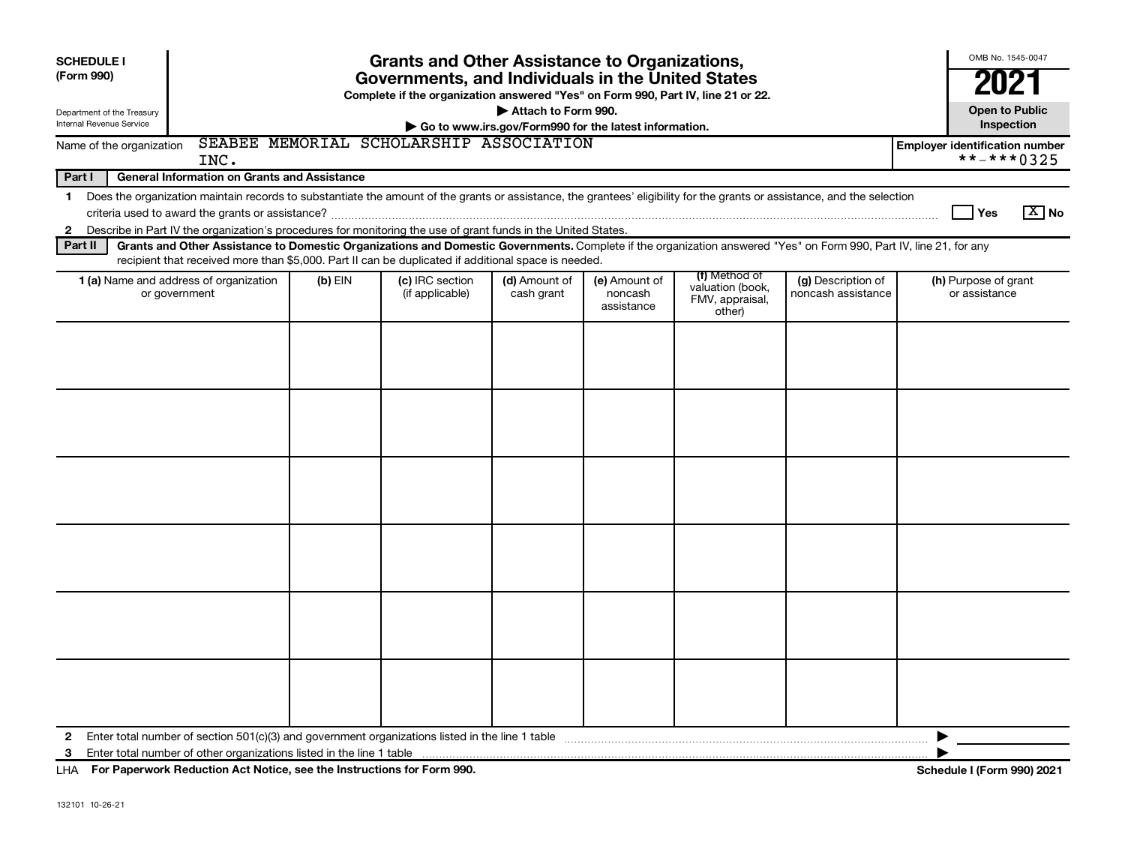| <b>SCHEDULE I</b><br>(Form 990)<br>Department of the Treasury<br>Internal Revenue Service                                                                                  | <b>Grants and Other Assistance to Organizations,</b><br>Governments, and Individuals in the United States<br>Complete if the organization answered "Yes" on Form 990, Part IV, line 21 or 22.<br>Attach to Form 990.                                                                |         |                                         |                                                       |                                        |                                                                |                                          | OMB No. 1545-0047<br>2021<br><b>Open to Public</b>  |
|----------------------------------------------------------------------------------------------------------------------------------------------------------------------------|-------------------------------------------------------------------------------------------------------------------------------------------------------------------------------------------------------------------------------------------------------------------------------------|---------|-----------------------------------------|-------------------------------------------------------|----------------------------------------|----------------------------------------------------------------|------------------------------------------|-----------------------------------------------------|
| Name of the organization                                                                                                                                                   |                                                                                                                                                                                                                                                                                     |         | SEABEE MEMORIAL SCHOLARSHIP ASSOCIATION | Go to www.irs.gov/Form990 for the latest information. |                                        |                                                                |                                          | Inspection<br><b>Employer identification number</b> |
|                                                                                                                                                                            | INC.                                                                                                                                                                                                                                                                                |         |                                         |                                                       |                                        |                                                                |                                          | **-***0325                                          |
| Part I                                                                                                                                                                     | <b>General Information on Grants and Assistance</b>                                                                                                                                                                                                                                 |         |                                         |                                                       |                                        |                                                                |                                          |                                                     |
| 1 Does the organization maintain records to substantiate the amount of the grants or assistance, the grantees' eligibility for the grants or assistance, and the selection |                                                                                                                                                                                                                                                                                     |         |                                         |                                                       |                                        |                                                                |                                          |                                                     |
|                                                                                                                                                                            |                                                                                                                                                                                                                                                                                     |         |                                         |                                                       |                                        |                                                                |                                          | $\boxed{\text{X}}$ No<br><b>Yes</b>                 |
| $\mathbf{2}$<br>Part II                                                                                                                                                    | Describe in Part IV the organization's procedures for monitoring the use of grant funds in the United States.<br>Grants and Other Assistance to Domestic Organizations and Domestic Governments. Complete if the organization answered "Yes" on Form 990, Part IV, line 21, for any |         |                                         |                                                       |                                        |                                                                |                                          |                                                     |
|                                                                                                                                                                            | recipient that received more than \$5,000. Part II can be duplicated if additional space is needed.                                                                                                                                                                                 |         |                                         |                                                       |                                        |                                                                |                                          |                                                     |
|                                                                                                                                                                            | <b>1 (a)</b> Name and address of organization<br>or government                                                                                                                                                                                                                      | (b) EIN | (c) IRC section<br>(if applicable)      | (d) Amount of<br>cash grant                           | (e) Amount of<br>noncash<br>assistance | (f) Method of<br>valuation (book,<br>FMV, appraisal,<br>other) | (g) Description of<br>noncash assistance | (h) Purpose of grant<br>or assistance               |
|                                                                                                                                                                            |                                                                                                                                                                                                                                                                                     |         |                                         |                                                       |                                        |                                                                |                                          |                                                     |
|                                                                                                                                                                            |                                                                                                                                                                                                                                                                                     |         |                                         |                                                       |                                        |                                                                |                                          |                                                     |
|                                                                                                                                                                            |                                                                                                                                                                                                                                                                                     |         |                                         |                                                       |                                        |                                                                |                                          |                                                     |
|                                                                                                                                                                            |                                                                                                                                                                                                                                                                                     |         |                                         |                                                       |                                        |                                                                |                                          |                                                     |
|                                                                                                                                                                            |                                                                                                                                                                                                                                                                                     |         |                                         |                                                       |                                        |                                                                |                                          |                                                     |
|                                                                                                                                                                            |                                                                                                                                                                                                                                                                                     |         |                                         |                                                       |                                        |                                                                |                                          |                                                     |
| $\mathbf{2}$                                                                                                                                                               | Enter total number of section 501(c)(3) and government organizations listed in the line 1 table                                                                                                                                                                                     |         |                                         |                                                       |                                        |                                                                |                                          |                                                     |
| 3                                                                                                                                                                          | Enter total number of other organizations listed in the line 1 table                                                                                                                                                                                                                |         |                                         |                                                       |                                        |                                                                |                                          |                                                     |
|                                                                                                                                                                            | LHA For Paperwork Reduction Act Notice, see the Instructions for Form 990.                                                                                                                                                                                                          |         |                                         |                                                       |                                        |                                                                |                                          | <b>Schedule I (Form 990) 2021</b>                   |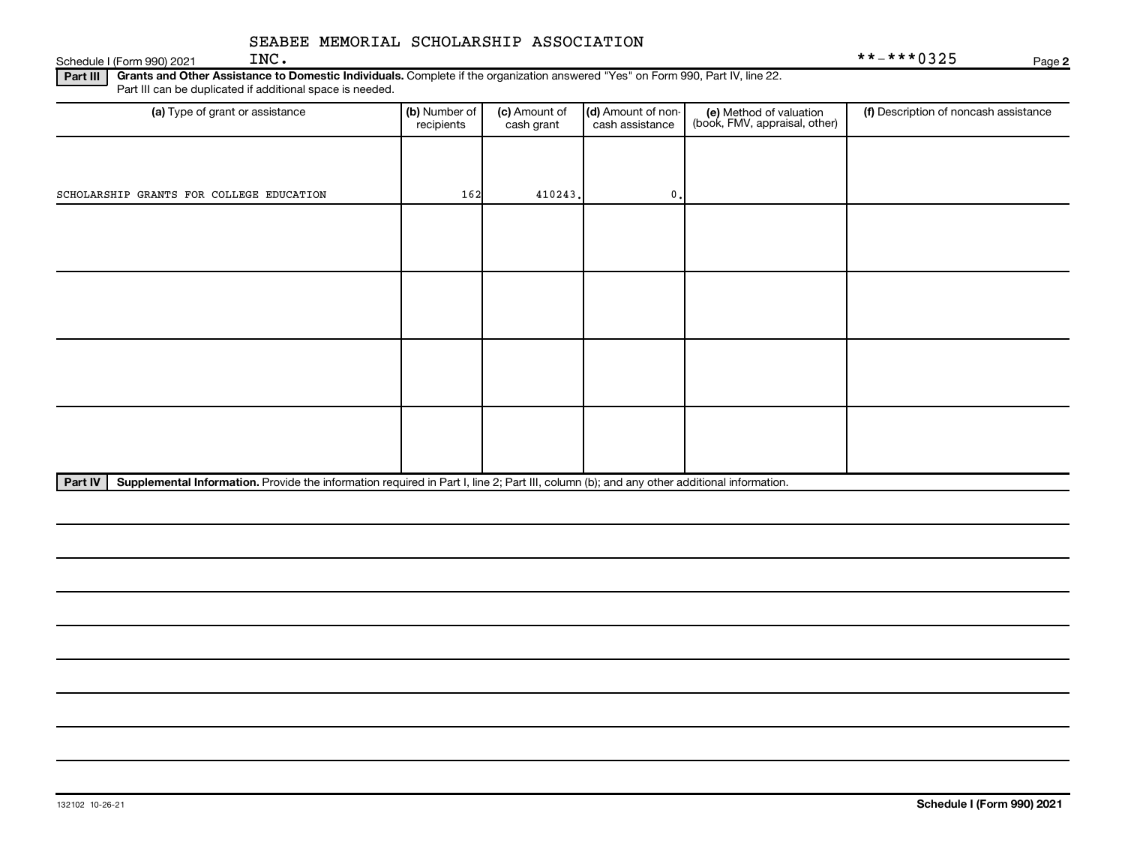#### Schedule I (Form 990) 2021  $\text{INC.}$ SEABEE MEMORIAL SCHOLARSHIP ASSOCIATION

 $***-**0325$ 

**2**

**Part III | Grants and Other Assistance to Domestic Individuals.** Complete if the organization answered "Yes" on Form 990, Part IV, line 22. Part III can be duplicated if additional space is needed.

| recipients | (c) Amount of<br>cash grant | cash assistance      | (e) Method of valuation<br>(book, FMV, appraisal, other) | (f) Description of noncash assistance |
|------------|-----------------------------|----------------------|----------------------------------------------------------|---------------------------------------|
|            |                             |                      |                                                          |                                       |
|            |                             |                      |                                                          |                                       |
|            |                             |                      |                                                          |                                       |
|            |                             |                      |                                                          |                                       |
|            |                             |                      |                                                          |                                       |
|            |                             |                      |                                                          |                                       |
|            |                             |                      |                                                          |                                       |
|            |                             |                      |                                                          |                                       |
|            |                             |                      |                                                          |                                       |
|            |                             |                      |                                                          |                                       |
|            |                             | (b) Number of<br>162 | 410243.                                                  | (d) Amount of non-<br>0.              |

Part IV | Supplemental Information. Provide the information required in Part I, line 2; Part III, column (b); and any other additional information.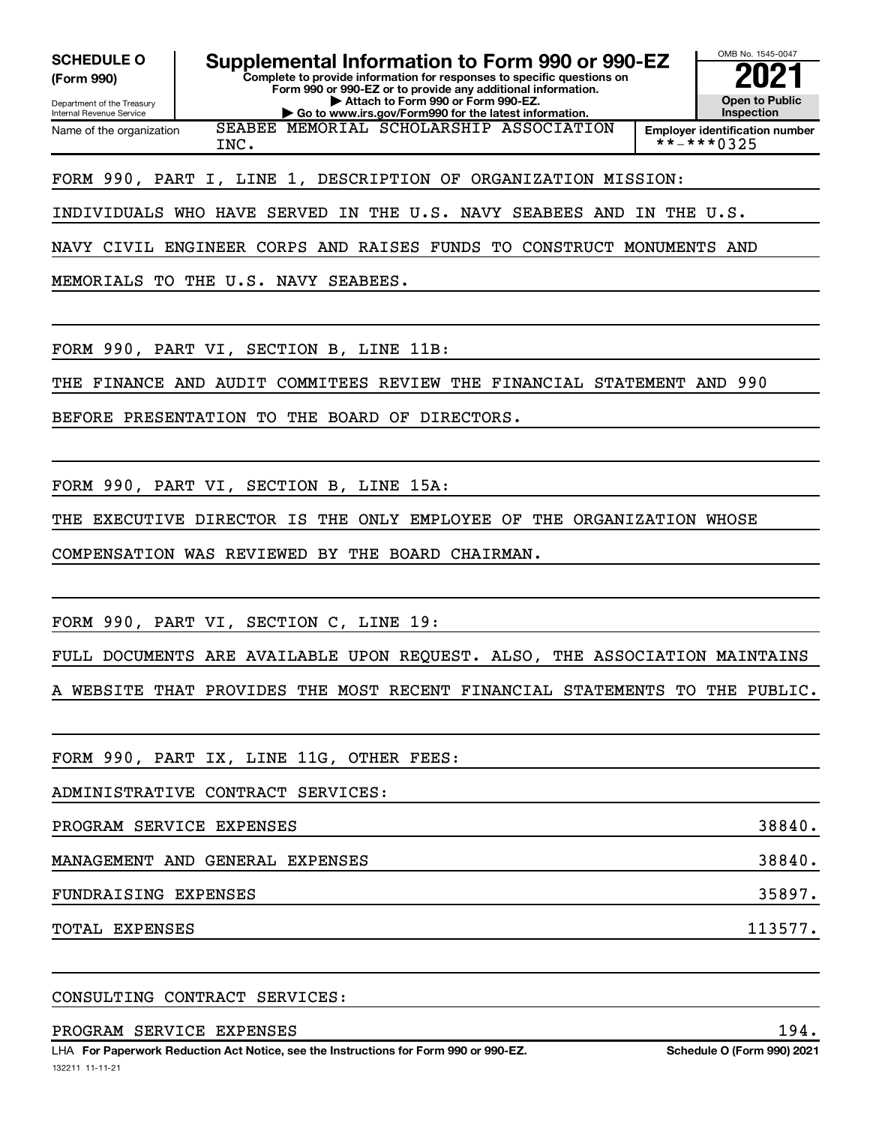**(Form 990)**

Department of the Treasury Internal Revenue Service

Name of the organization

**Complete to provide information for responses to specific questions on Form 990 or 990-EZ or to provide any additional information. | Attach to Form 990 or Form 990-EZ. | Go to www.irs.gov/Form990 for the latest information. SCHEDULE O Supplemental Information to Form 990 or 990-EZ**  $\frac{10000 \text{ N}}{2}$ SEABEE MEMORIAL SCHOLARSHIP ASSOCIATION

INC. \*\*-\*\*\*0325

OMB No. 1545-0047 **Open to Public Inspection Employer identification number**

FORM 990, PART I, LINE 1, DESCRIPTION OF ORGANIZATION MISSION:

INDIVIDUALS WHO HAVE SERVED IN THE U.S. NAVY SEABEES AND IN THE U.S.

NAVY CIVIL ENGINEER CORPS AND RAISES FUNDS TO CONSTRUCT MONUMENTS AND

MEMORIALS TO THE U.S. NAVY SEABEES.

FORM 990, PART VI, SECTION B, LINE 11B:

THE FINANCE AND AUDIT COMMITEES REVIEW THE FINANCIAL STATEMENT AND 990

BEFORE PRESENTATION TO THE BOARD OF DIRECTORS.

FORM 990, PART VI, SECTION B, LINE 15A:

THE EXECUTIVE DIRECTOR IS THE ONLY EMPLOYEE OF THE ORGANIZATION WHOSE

COMPENSATION WAS REVIEWED BY THE BOARD CHAIRMAN.

FORM 990, PART VI, SECTION C, LINE 19:

FULL DOCUMENTS ARE AVAILABLE UPON REQUEST. ALSO, THE ASSOCIATION MAINTAINS

A WEBSITE THAT PROVIDES THE MOST RECENT FINANCIAL STATEMENTS TO THE PUBLIC.

FORM 990, PART IX, LINE 11G, OTHER FEES: ADMINISTRATIVE CONTRACT SERVICES: PROGRAM SERVICE EXPENSES **38840.** 

MANAGEMENT AND GENERAL EXPENSES 38840.

FUNDRAISING EXPENSES 35897.

TOTAL EXPENSES 113577.

CONSULTING CONTRACT SERVICES:

PROGRAM SERVICE EXPENSES 194.